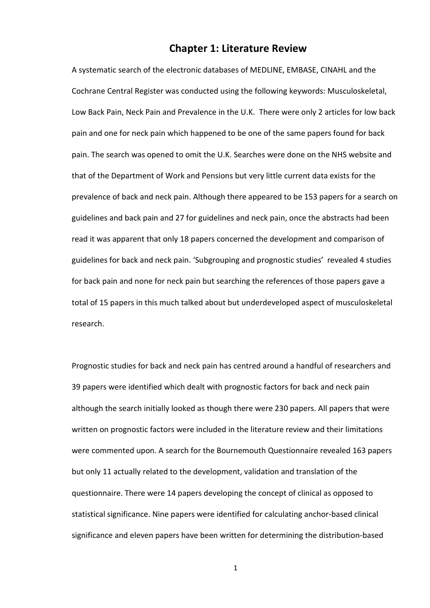# Chapter 1: Literature Review

A systematic search of the electronic databases of MEDLINE, EMBASE, CINAHL and the Cochrane Central Register was conducted using the following keywords: Musculoskeletal, Low Back Pain, Neck Pain and Prevalence in the U.K. There were only 2 articles for low back pain and one for neck pain which happened to be one of the same papers found for back pain. The search was opened to omit the U.K. Searches were done on the NHS website and that of the Department of Work and Pensions but very little current data exists for the prevalence of back and neck pain. Although there appeared to be 153 papers for a search on guidelines and back pain and 27 for guidelines and neck pain, once the abstracts had been read it was apparent that only 18 papers concerned the development and comparison of guidelines for back and neck pain. 'Subgrouping and prognostic studies' revealed 4 studies for back pain and none for neck pain but searching the references of those papers gave a total of 15 papers in this much talked about but underdeveloped aspect of musculoskeletal research.

Prognostic studies for back and neck pain has centred around a handful of researchers and 39 papers were identified which dealt with prognostic factors for back and neck pain although the search initially looked as though there were 230 papers. All papers that were written on prognostic factors were included in the literature review and their limitations were commented upon. A search for the Bournemouth Questionnaire revealed 163 papers but only 11 actually related to the development, validation and translation of the questionnaire. There were 14 papers developing the concept of clinical as opposed to statistical significance. Nine papers were identified for calculating anchor-based clinical significance and eleven papers have been written for determining the distribution-based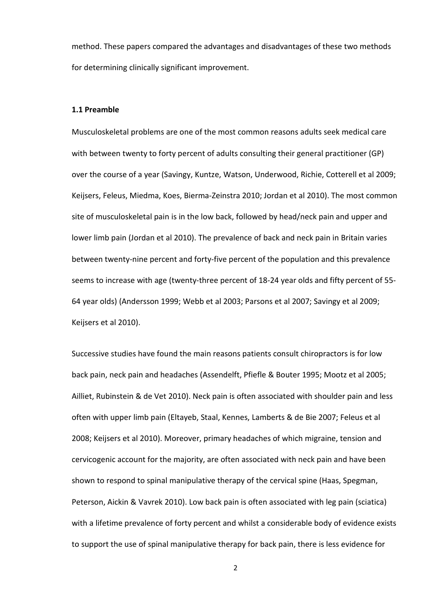method. These papers compared the advantages and disadvantages of these two methods for determining clinically significant improvement.

### 1.1 Preamble

Musculoskeletal problems are one of the most common reasons adults seek medical care with between twenty to forty percent of adults consulting their general practitioner (GP) over the course of a year (Savingy, Kuntze, Watson, Underwood, Richie, Cotterell et al 2009; Keijsers, Feleus, Miedma, Koes, Bierma-Zeinstra 2010; Jordan et al 2010). The most common site of musculoskeletal pain is in the low back, followed by head/neck pain and upper and lower limb pain (Jordan et al 2010). The prevalence of back and neck pain in Britain varies between twenty-nine percent and forty-five percent of the population and this prevalence seems to increase with age (twenty-three percent of 18-24 year olds and fifty percent of 55- 64 year olds) (Andersson 1999; Webb et al 2003; Parsons et al 2007; Savingy et al 2009; Keijsers et al 2010).

Successive studies have found the main reasons patients consult chiropractors is for low back pain, neck pain and headaches (Assendelft, Pfiefle & Bouter 1995; Mootz et al 2005; Ailliet, Rubinstein & de Vet 2010). Neck pain is often associated with shoulder pain and less often with upper limb pain (Eltayeb, Staal, Kennes, Lamberts & de Bie 2007; Feleus et al 2008; Keijsers et al 2010). Moreover, primary headaches of which migraine, tension and cervicogenic account for the majority, are often associated with neck pain and have been shown to respond to spinal manipulative therapy of the cervical spine (Haas, Spegman, Peterson, Aickin & Vavrek 2010). Low back pain is often associated with leg pain (sciatica) with a lifetime prevalence of forty percent and whilst a considerable body of evidence exists to support the use of spinal manipulative therapy for back pain, there is less evidence for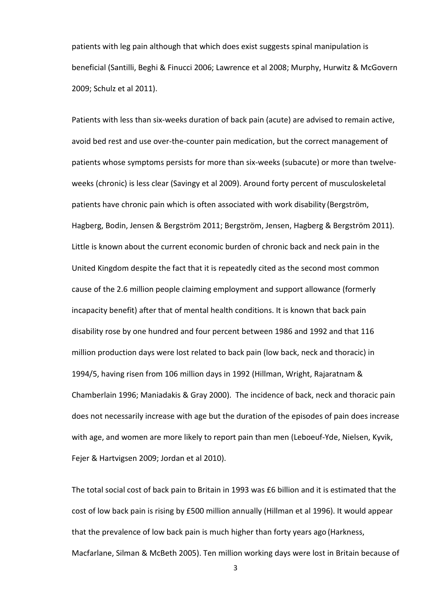patients with leg pain although that which does exist suggests spinal manipulation is beneficial (Santilli, Beghi & Finucci 2006; Lawrence et al 2008; Murphy, Hurwitz & McGovern 2009; Schulz et al 2011).

Patients with less than six-weeks duration of back pain (acute) are advised to remain active, avoid bed rest and use over-the-counter pain medication, but the correct management of patients whose symptoms persists for more than six-weeks (subacute) or more than twelveweeks (chronic) is less clear (Savingy et al 2009). Around forty percent of musculoskeletal patients have chronic pain which is often associated with work disability (Bergström, Hagberg, Bodin, Jensen & Bergström 2011; Bergström, Jensen, Hagberg & Bergström 2011). Little is known about the current economic burden of chronic back and neck pain in the United Kingdom despite the fact that it is repeatedly cited as the second most common cause of the 2.6 million people claiming employment and support allowance (formerly incapacity benefit) after that of mental health conditions. It is known that back pain disability rose by one hundred and four percent between 1986 and 1992 and that 116 million production days were lost related to back pain (low back, neck and thoracic) in 1994/5, having risen from 106 million days in 1992 (Hillman, Wright, Rajaratnam & Chamberlain 1996; Maniadakis & Gray 2000). The incidence of back, neck and thoracic pain does not necessarily increase with age but the duration of the episodes of pain does increase with age, and women are more likely to report pain than men (Leboeuf-Yde, Nielsen, Kyvik, Fejer & Hartvigsen 2009; Jordan et al 2010).

The total social cost of back pain to Britain in 1993 was £6 billion and it is estimated that the cost of low back pain is rising by £500 million annually (Hillman et al 1996). It would appear that the prevalence of low back pain is much higher than forty years ago (Harkness, Macfarlane, Silman & McBeth 2005). Ten million working days were lost in Britain because of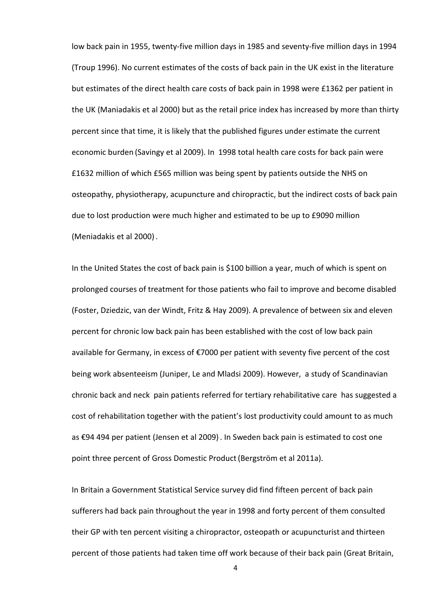low back pain in 1955, twenty-five million days in 1985 and seventy-five million days in 1994 (Troup 1996). No current estimates of the costs of back pain in the UK exist in the literature but estimates of the direct health care costs of back pain in 1998 were £1362 per patient in the UK (Maniadakis et al 2000) but as the retail price index has increased by more than thirty percent since that time, it is likely that the published figures under estimate the current economic burden (Savingy et al 2009). In 1998 total health care costs for back pain were £1632 million of which £565 million was being spent by patients outside the NHS on osteopathy, physiotherapy, acupuncture and chiropractic, but the indirect costs of back pain due to lost production were much higher and estimated to be up to £9090 million (Meniadakis et al 2000).

In the United States the cost of back pain is \$100 billion a year, much of which is spent on prolonged courses of treatment for those patients who fail to improve and become disabled (Foster, Dziedzic, van der Windt, Fritz & Hay 2009). A prevalence of between six and eleven percent for chronic low back pain has been established with the cost of low back pain available for Germany, in excess of  $\epsilon$ 7000 per patient with seventy five percent of the cost being work absenteeism (Juniper, Le and Mladsi 2009). However, a study of Scandinavian chronic back and neck pain patients referred for tertiary rehabilitative care has suggested a cost of rehabilitation together with the patient's lost productivity could amount to as much as €94 494 per patient (Jensen et al 2009). In Sweden back pain is estimated to cost one point three percent of Gross Domestic Product(Bergström et al 2011a).

In Britain a Government Statistical Service survey did find fifteen percent of back pain sufferers had back pain throughout the year in 1998 and forty percent of them consulted their GP with ten percent visiting a chiropractor, osteopath or acupuncturist and thirteen percent of those patients had taken time off work because of their back pain (Great Britain,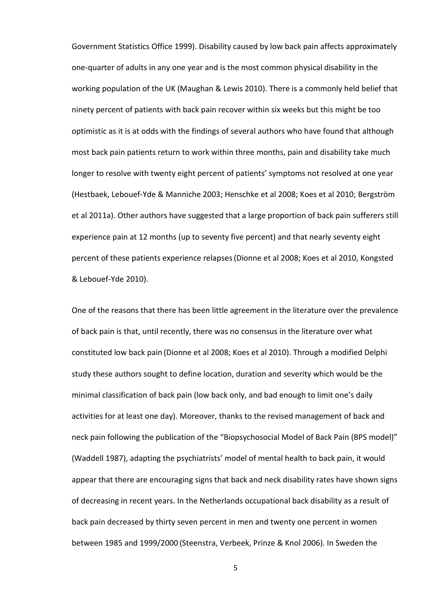Government Statistics Office 1999). Disability caused by low back pain affects approximately one-quarter of adults in any one year and is the most common physical disability in the working population of the UK (Maughan & Lewis 2010). There is a commonly held belief that ninety percent of patients with back pain recover within six weeks but this might be too optimistic as it is at odds with the findings of several authors who have found that although most back pain patients return to work within three months, pain and disability take much longer to resolve with twenty eight percent of patients' symptoms not resolved at one year (Hestbaek, Lebouef-Yde & Manniche 2003; Henschke et al 2008; Koes et al 2010; Bergström et al 2011a). Other authors have suggested that a large proportion of back pain sufferers still experience pain at 12 months (up to seventy five percent) and that nearly seventy eight percent of these patients experience relapses(Dionne et al 2008; Koes et al 2010, Kongsted & Lebouef-Yde 2010).

One of the reasons that there has been little agreement in the literature over the prevalence of back pain is that, until recently, there was no consensus in the literature over what constituted low back pain (Dionne et al 2008; Koes et al 2010). Through a modified Delphi study these authors sought to define location, duration and severity which would be the minimal classification of back pain (low back only, and bad enough to limit one's daily activities for at least one day). Moreover, thanks to the revised management of back and neck pain following the publication of the "Biopsychosocial Model of Back Pain (BPS model)" (Waddell 1987), adapting the psychiatrists' model of mental health to back pain, it would appear that there are encouraging signs that back and neck disability rates have shown signs of decreasing in recent years. In the Netherlands occupational back disability as a result of back pain decreased by thirty seven percent in men and twenty one percent in women between 1985 and 1999/2000 (Steenstra, Verbeek, Prinze & Knol 2006). In Sweden the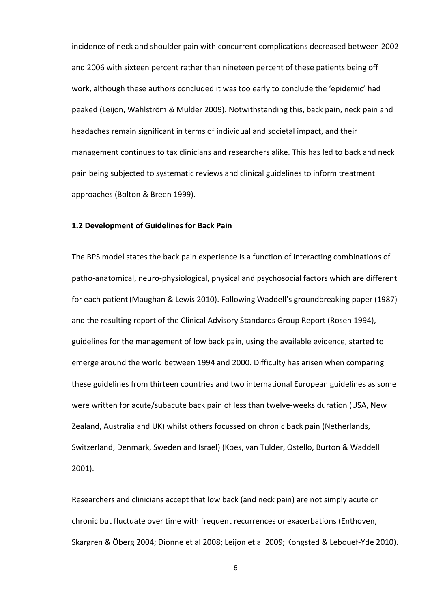incidence of neck and shoulder pain with concurrent complications decreased between 2002 and 2006 with sixteen percent rather than nineteen percent of these patients being off work, although these authors concluded it was too early to conclude the 'epidemic' had peaked (Leijon, Wahlström & Mulder 2009). Notwithstanding this, back pain, neck pain and headaches remain significant in terms of individual and societal impact, and their management continues to tax clinicians and researchers alike. This has led to back and neck pain being subjected to systematic reviews and clinical guidelines to inform treatment approaches (Bolton & Breen 1999).

## 1.2 Development of Guidelines for Back Pain

The BPS model states the back pain experience is a function of interacting combinations of patho-anatomical, neuro-physiological, physical and psychosocial factors which are different for each patient(Maughan & Lewis 2010). Following Waddell's groundbreaking paper (1987) and the resulting report of the Clinical Advisory Standards Group Report (Rosen 1994), guidelines for the management of low back pain, using the available evidence, started to emerge around the world between 1994 and 2000. Difficulty has arisen when comparing these guidelines from thirteen countries and two international European guidelines as some were written for acute/subacute back pain of less than twelve-weeks duration (USA, New Zealand, Australia and UK) whilst others focussed on chronic back pain (Netherlands, Switzerland, Denmark, Sweden and Israel) (Koes, van Tulder, Ostello, Burton & Waddell 2001).

Researchers and clinicians accept that low back (and neck pain) are not simply acute or chronic but fluctuate over time with frequent recurrences or exacerbations (Enthoven, Skargren & Öberg 2004; Dionne et al 2008; Leijon et al 2009; Kongsted & Lebouef-Yde 2010).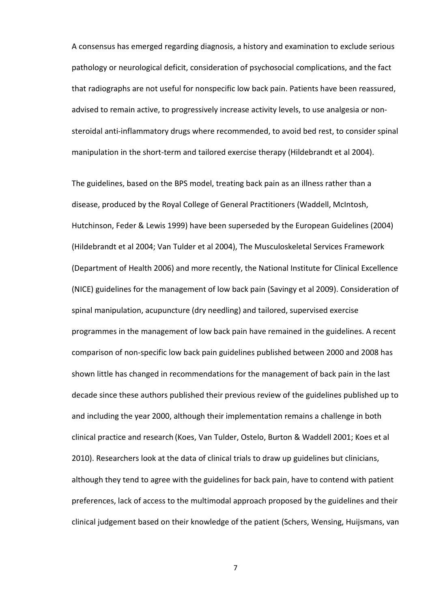A consensus has emerged regarding diagnosis, a history and examination to exclude serious pathology or neurological deficit, consideration of psychosocial complications, and the fact that radiographs are not useful for nonspecific low back pain. Patients have been reassured, advised to remain active, to progressively increase activity levels, to use analgesia or nonsteroidal anti-inflammatory drugs where recommended, to avoid bed rest, to consider spinal manipulation in the short-term and tailored exercise therapy (Hildebrandt et al 2004).

The guidelines, based on the BPS model, treating back pain as an illness rather than a disease, produced by the Royal College of General Practitioners (Waddell, McIntosh, Hutchinson, Feder & Lewis 1999) have been superseded by the European Guidelines (2004) (Hildebrandt et al 2004; Van Tulder et al 2004), The Musculoskeletal Services Framework (Department of Health 2006) and more recently, the National Institute for Clinical Excellence (NICE) guidelines for the management of low back pain (Savingy et al 2009). Consideration of spinal manipulation, acupuncture (dry needling) and tailored, supervised exercise programmes in the management of low back pain have remained in the guidelines. A recent comparison of non-specific low back pain guidelines published between 2000 and 2008 has shown little has changed in recommendations for the management of back pain in the last decade since these authors published their previous review of the guidelines published up to and including the year 2000, although their implementation remains a challenge in both clinical practice and research (Koes, Van Tulder, Ostelo, Burton & Waddell 2001; Koes et al 2010). Researchers look at the data of clinical trials to draw up guidelines but clinicians, although they tend to agree with the guidelines for back pain, have to contend with patient preferences, lack of access to the multimodal approach proposed by the guidelines and their clinical judgement based on their knowledge of the patient (Schers, Wensing, Huijsmans, van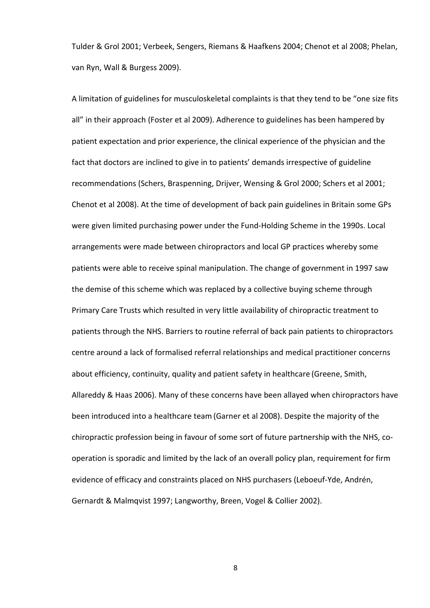Tulder & Grol 2001; Verbeek, Sengers, Riemans & Haafkens 2004; Chenot et al 2008; Phelan, van Ryn, Wall & Burgess 2009).

A limitation of guidelines for musculoskeletal complaints is that they tend to be "one size fits all" in their approach (Foster et al 2009). Adherence to guidelines has been hampered by patient expectation and prior experience, the clinical experience of the physician and the fact that doctors are inclined to give in to patients' demands irrespective of guideline recommendations (Schers, Braspenning, Drijver, Wensing & Grol 2000; Schers et al 2001; Chenot et al 2008). At the time of development of back pain guidelines in Britain some GPs were given limited purchasing power under the Fund-Holding Scheme in the 1990s. Local arrangements were made between chiropractors and local GP practices whereby some patients were able to receive spinal manipulation. The change of government in 1997 saw the demise of this scheme which was replaced by a collective buying scheme through Primary Care Trusts which resulted in very little availability of chiropractic treatment to patients through the NHS. Barriers to routine referral of back pain patients to chiropractors centre around a lack of formalised referral relationships and medical practitioner concerns about efficiency, continuity, quality and patient safety in healthcare (Greene, Smith, Allareddy & Haas 2006). Many of these concerns have been allayed when chiropractors have been introduced into a healthcare team(Garner et al 2008). Despite the majority of the chiropractic profession being in favour of some sort of future partnership with the NHS, cooperation is sporadic and limited by the lack of an overall policy plan, requirement for firm evidence of efficacy and constraints placed on NHS purchasers (Leboeuf-Yde, Andrén, Gernardt & Malmqvist 1997; Langworthy, Breen, Vogel & Collier 2002).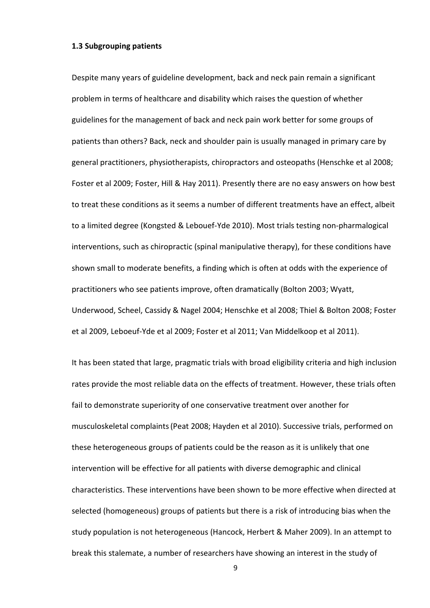#### 1.3 Subgrouping patients

Despite many years of guideline development, back and neck pain remain a significant problem in terms of healthcare and disability which raises the question of whether guidelines for the management of back and neck pain work better for some groups of patients than others? Back, neck and shoulder pain is usually managed in primary care by general practitioners, physiotherapists, chiropractors and osteopaths (Henschke et al 2008; Foster et al 2009; Foster, Hill & Hay 2011). Presently there are no easy answers on how best to treat these conditions as it seems a number of different treatments have an effect, albeit to a limited degree (Kongsted & Lebouef-Yde 2010). Most trials testing non-pharmalogical interventions, such as chiropractic (spinal manipulative therapy), for these conditions have shown small to moderate benefits, a finding which is often at odds with the experience of practitioners who see patients improve, often dramatically (Bolton 2003; Wyatt, Underwood, Scheel, Cassidy & Nagel 2004; Henschke et al 2008; Thiel & Bolton 2008; Foster et al 2009, Leboeuf-Yde et al 2009; Foster et al 2011; Van Middelkoop et al 2011).

It has been stated that large, pragmatic trials with broad eligibility criteria and high inclusion rates provide the most reliable data on the effects of treatment. However, these trials often fail to demonstrate superiority of one conservative treatment over another for musculoskeletal complaints(Peat 2008; Hayden et al 2010). Successive trials, performed on these heterogeneous groups of patients could be the reason as it is unlikely that one intervention will be effective for all patients with diverse demographic and clinical characteristics. These interventions have been shown to be more effective when directed at selected (homogeneous) groups of patients but there is a risk of introducing bias when the study population is not heterogeneous (Hancock, Herbert & Maher 2009). In an attempt to break this stalemate, a number of researchers have showing an interest in the study of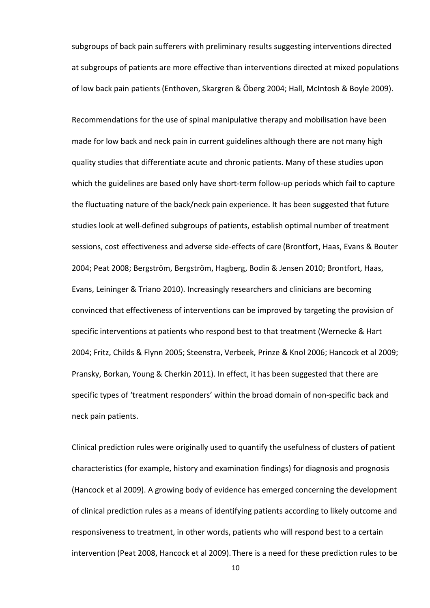subgroups of back pain sufferers with preliminary results suggesting interventions directed at subgroups of patients are more effective than interventions directed at mixed populations of low back pain patients (Enthoven, Skargren & Öberg 2004; Hall, McIntosh & Boyle 2009).

Recommendations for the use of spinal manipulative therapy and mobilisation have been made for low back and neck pain in current guidelines although there are not many high quality studies that differentiate acute and chronic patients. Many of these studies upon which the guidelines are based only have short-term follow-up periods which fail to capture the fluctuating nature of the back/neck pain experience. It has been suggested that future studies look at well-defined subgroups of patients, establish optimal number of treatment sessions, cost effectiveness and adverse side-effects of care (Brontfort, Haas, Evans & Bouter 2004; Peat 2008; Bergström, Bergström, Hagberg, Bodin & Jensen 2010; Brontfort, Haas, Evans, Leininger & Triano 2010). Increasingly researchers and clinicians are becoming convinced that effectiveness of interventions can be improved by targeting the provision of specific interventions at patients who respond best to that treatment (Wernecke & Hart 2004; Fritz, Childs & Flynn 2005; Steenstra, Verbeek, Prinze & Knol 2006; Hancock et al 2009; Pransky, Borkan, Young & Cherkin 2011). In effect, it has been suggested that there are specific types of 'treatment responders' within the broad domain of non-specific back and neck pain patients.

Clinical prediction rules were originally used to quantify the usefulness of clusters of patient characteristics (for example, history and examination findings) for diagnosis and prognosis (Hancock et al 2009). A growing body of evidence has emerged concerning the development of clinical prediction rules as a means of identifying patients according to likely outcome and responsiveness to treatment, in other words, patients who will respond best to a certain intervention (Peat 2008, Hancock et al 2009). There is a need for these prediction rules to be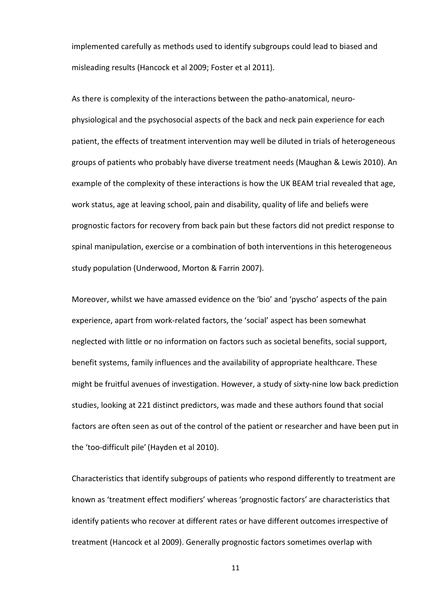implemented carefully as methods used to identify subgroups could lead to biased and misleading results (Hancock et al 2009; Foster et al 2011).

As there is complexity of the interactions between the patho-anatomical, neurophysiological and the psychosocial aspects of the back and neck pain experience for each patient, the effects of treatment intervention may well be diluted in trials of heterogeneous groups of patients who probably have diverse treatment needs (Maughan & Lewis 2010). An example of the complexity of these interactions is how the UK BEAM trial revealed that age, work status, age at leaving school, pain and disability, quality of life and beliefs were prognostic factors for recovery from back pain but these factors did not predict response to spinal manipulation, exercise or a combination of both interventions in this heterogeneous study population (Underwood, Morton & Farrin 2007).

Moreover, whilst we have amassed evidence on the 'bio' and 'pyscho' aspects of the pain experience, apart from work-related factors, the 'social' aspect has been somewhat neglected with little or no information on factors such as societal benefits, social support, benefit systems, family influences and the availability of appropriate healthcare. These might be fruitful avenues of investigation. However, a study of sixty-nine low back prediction studies, looking at 221 distinct predictors, was made and these authors found that social factors are often seen as out of the control of the patient or researcher and have been put in the 'too-difficult pile' (Hayden et al 2010).

Characteristics that identify subgroups of patients who respond differently to treatment are known as 'treatment effect modifiers' whereas 'prognostic factors' are characteristics that identify patients who recover at different rates or have different outcomes irrespective of treatment (Hancock et al 2009). Generally prognostic factors sometimes overlap with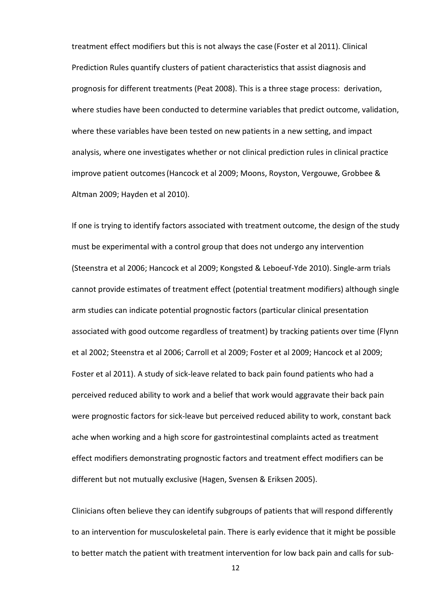treatment effect modifiers but this is not always the case (Foster et al 2011). Clinical Prediction Rules quantify clusters of patient characteristics that assist diagnosis and prognosis for different treatments (Peat 2008). This is a three stage process: derivation, where studies have been conducted to determine variables that predict outcome, validation, where these variables have been tested on new patients in a new setting, and impact analysis, where one investigates whether or not clinical prediction rules in clinical practice improve patient outcomes(Hancock et al 2009; Moons, Royston, Vergouwe, Grobbee & Altman 2009; Hayden et al 2010).

If one is trying to identify factors associated with treatment outcome, the design of the study must be experimental with a control group that does not undergo any intervention (Steenstra et al 2006; Hancock et al 2009; Kongsted & Leboeuf-Yde 2010). Single-arm trials cannot provide estimates of treatment effect (potential treatment modifiers) although single arm studies can indicate potential prognostic factors (particular clinical presentation associated with good outcome regardless of treatment) by tracking patients over time (Flynn et al 2002; Steenstra et al 2006; Carroll et al 2009; Foster et al 2009; Hancock et al 2009; Foster et al 2011). A study of sick-leave related to back pain found patients who had a perceived reduced ability to work and a belief that work would aggravate their back pain were prognostic factors for sick-leave but perceived reduced ability to work, constant back ache when working and a high score for gastrointestinal complaints acted as treatment effect modifiers demonstrating prognostic factors and treatment effect modifiers can be different but not mutually exclusive (Hagen, Svensen & Eriksen 2005).

Clinicians often believe they can identify subgroups of patients that will respond differently to an intervention for musculoskeletal pain. There is early evidence that it might be possible to better match the patient with treatment intervention for low back pain and calls for sub-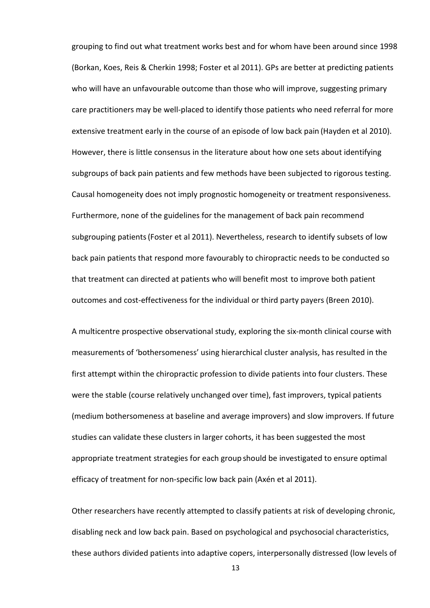grouping to find out what treatment works best and for whom have been around since 1998 (Borkan, Koes, Reis & Cherkin 1998; Foster et al 2011). GPs are better at predicting patients who will have an unfavourable outcome than those who will improve, suggesting primary care practitioners may be well-placed to identify those patients who need referral for more extensive treatment early in the course of an episode of low back pain (Hayden et al 2010). However, there is little consensus in the literature about how one sets about identifying subgroups of back pain patients and few methods have been subjected to rigorous testing. Causal homogeneity does not imply prognostic homogeneity or treatment responsiveness. Furthermore, none of the guidelines for the management of back pain recommend subgrouping patients(Foster et al 2011). Nevertheless, research to identify subsets of low back pain patients that respond more favourably to chiropractic needs to be conducted so that treatment can directed at patients who will benefit most to improve both patient outcomes and cost-effectiveness for the individual or third party payers (Breen 2010).

A multicentre prospective observational study, exploring the six-month clinical course with measurements of 'bothersomeness' using hierarchical cluster analysis, has resulted in the first attempt within the chiropractic profession to divide patients into four clusters. These were the stable (course relatively unchanged over time), fast improvers, typical patients (medium bothersomeness at baseline and average improvers) and slow improvers. If future studies can validate these clusters in larger cohorts, it has been suggested the most appropriate treatment strategies for each group should be investigated to ensure optimal efficacy of treatment for non-specific low back pain (Axén et al 2011).

Other researchers have recently attempted to classify patients at risk of developing chronic, disabling neck and low back pain. Based on psychological and psychosocial characteristics, these authors divided patients into adaptive copers, interpersonally distressed (low levels of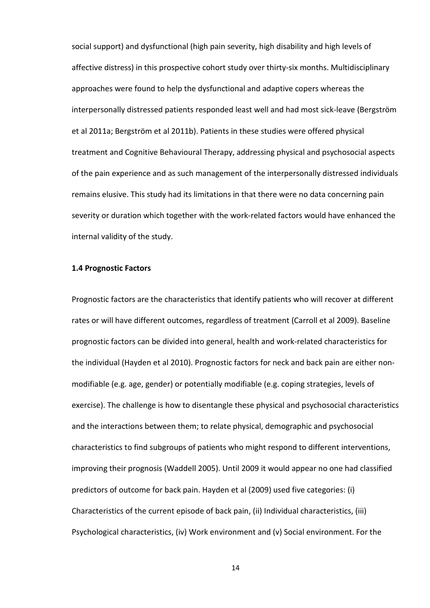social support) and dysfunctional (high pain severity, high disability and high levels of affective distress) in this prospective cohort study over thirty-six months. Multidisciplinary approaches were found to help the dysfunctional and adaptive copers whereas the interpersonally distressed patients responded least well and had most sick-leave (Bergström et al 2011a; Bergström et al 2011b). Patients in these studies were offered physical treatment and Cognitive Behavioural Therapy, addressing physical and psychosocial aspects of the pain experience and as such management of the interpersonally distressed individuals remains elusive. This study had its limitations in that there were no data concerning pain severity or duration which together with the work-related factors would have enhanced the internal validity of the study.

### 1.4 Prognostic Factors

Prognostic factors are the characteristics that identify patients who will recover at different rates or will have different outcomes, regardless of treatment (Carroll et al 2009). Baseline prognostic factors can be divided into general, health and work-related characteristics for the individual (Hayden et al 2010). Prognostic factors for neck and back pain are either nonmodifiable (e.g. age, gender) or potentially modifiable (e.g. coping strategies, levels of exercise). The challenge is how to disentangle these physical and psychosocial characteristics and the interactions between them; to relate physical, demographic and psychosocial characteristics to find subgroups of patients who might respond to different interventions, improving their prognosis (Waddell 2005). Until 2009 it would appear no one had classified predictors of outcome for back pain. Hayden et al (2009) used five categories: (i) Characteristics of the current episode of back pain, (ii) Individual characteristics, (iii) Psychological characteristics, (iv) Work environment and (v) Social environment. For the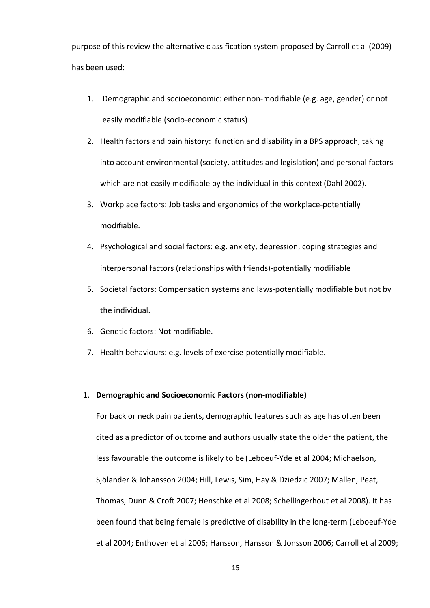purpose of this review the alternative classification system proposed by Carroll et al (2009) has been used:

- 1. Demographic and socioeconomic: either non-modifiable (e.g. age, gender) or not easily modifiable (socio-economic status)
- 2. Health factors and pain history: function and disability in a BPS approach, taking into account environmental (society, attitudes and legislation) and personal factors which are not easily modifiable by the individual in this context (Dahl 2002).
- 3. Workplace factors: Job tasks and ergonomics of the workplace-potentially modifiable.
- 4. Psychological and social factors: e.g. anxiety, depression, coping strategies and interpersonal factors (relationships with friends)-potentially modifiable
- 5. Societal factors: Compensation systems and laws-potentially modifiable but not by the individual.
- 6. Genetic factors: Not modifiable.
- 7. Health behaviours: e.g. levels of exercise-potentially modifiable.

# 1. Demographic and Socioeconomic Factors (non-modifiable)

For back or neck pain patients, demographic features such as age has often been cited as a predictor of outcome and authors usually state the older the patient, the less favourable the outcome is likely to be (Leboeuf-Yde et al 2004; Michaelson, Sjölander & Johansson 2004; Hill, Lewis, Sim, Hay & Dziedzic 2007; Mallen, Peat, Thomas, Dunn & Croft 2007; Henschke et al 2008; Schellingerhout et al 2008). It has been found that being female is predictive of disability in the long-term (Leboeuf-Yde et al 2004; Enthoven et al 2006; Hansson, Hansson & Jonsson 2006; Carroll et al 2009;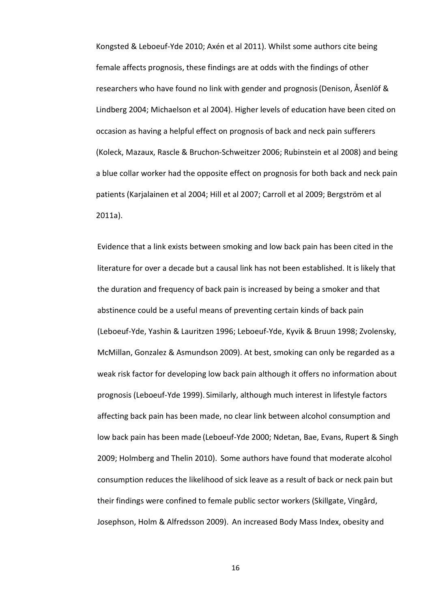Kongsted & Leboeuf-Yde 2010; Axén et al 2011). Whilst some authors cite being female affects prognosis, these findings are at odds with the findings of other researchers who have found no link with gender and prognosis(Denison, Åsenlöf & Lindberg 2004; Michaelson et al 2004). Higher levels of education have been cited on occasion as having a helpful effect on prognosis of back and neck pain sufferers (Koleck, Mazaux, Rascle & Bruchon-Schweitzer 2006; Rubinstein et al 2008) and being a blue collar worker had the opposite effect on prognosis for both back and neck pain patients (Karjalainen et al 2004; Hill et al 2007; Carroll et al 2009; Bergström et al 2011a).

Evidence that a link exists between smoking and low back pain has been cited in the literature for over a decade but a causal link has not been established. It is likely that the duration and frequency of back pain is increased by being a smoker and that abstinence could be a useful means of preventing certain kinds of back pain (Leboeuf-Yde, Yashin & Lauritzen 1996; Leboeuf-Yde, Kyvik & Bruun 1998; Zvolensky, McMillan, Gonzalez & Asmundson 2009). At best, smoking can only be regarded as a weak risk factor for developing low back pain although it offers no information about prognosis (Leboeuf-Yde 1999). Similarly, although much interest in lifestyle factors affecting back pain has been made, no clear link between alcohol consumption and low back pain has been made (Leboeuf-Yde 2000; Ndetan, Bae, Evans, Rupert & Singh 2009; Holmberg and Thelin 2010). Some authors have found that moderate alcohol consumption reduces the likelihood of sick leave as a result of back or neck pain but their findings were confined to female public sector workers (Skillgate, Vingård, Josephson, Holm & Alfredsson 2009). An increased Body Mass Index, obesity and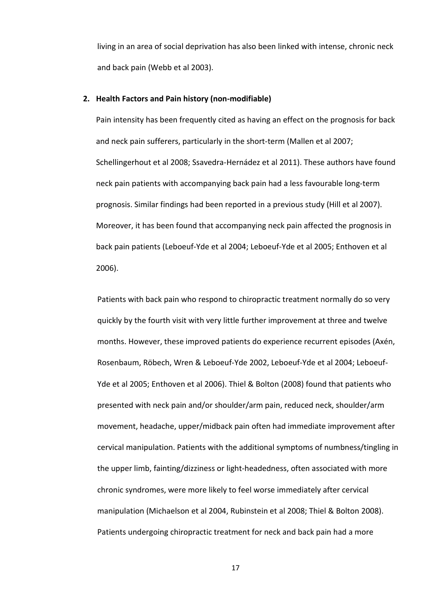living in an area of social deprivation has also been linked with intense, chronic neck and back pain (Webb et al 2003).

# 2. Health Factors and Pain history (non-modifiable)

Pain intensity has been frequently cited as having an effect on the prognosis for back and neck pain sufferers, particularly in the short-term (Mallen et al 2007; Schellingerhout et al 2008; Ssavedra-Hernádez et al 2011). These authors have found neck pain patients with accompanying back pain had a less favourable long-term prognosis. Similar findings had been reported in a previous study (Hill et al 2007). Moreover, it has been found that accompanying neck pain affected the prognosis in back pain patients (Leboeuf-Yde et al 2004; Leboeuf-Yde et al 2005; Enthoven et al 2006).

Patients with back pain who respond to chiropractic treatment normally do so very quickly by the fourth visit with very little further improvement at three and twelve months. However, these improved patients do experience recurrent episodes (Axén, Rosenbaum, Röbech, Wren & Leboeuf-Yde 2002, Leboeuf-Yde et al 2004; Leboeuf-Yde et al 2005; Enthoven et al 2006). Thiel & Bolton (2008) found that patients who presented with neck pain and/or shoulder/arm pain, reduced neck, shoulder/arm movement, headache, upper/midback pain often had immediate improvement after cervical manipulation. Patients with the additional symptoms of numbness/tingling in the upper limb, fainting/dizziness or light-headedness, often associated with more chronic syndromes, were more likely to feel worse immediately after cervical manipulation (Michaelson et al 2004, Rubinstein et al 2008; Thiel & Bolton 2008). Patients undergoing chiropractic treatment for neck and back pain had a more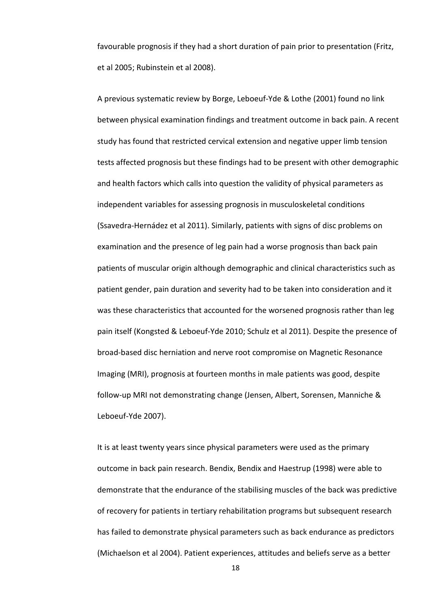favourable prognosis if they had a short duration of pain prior to presentation (Fritz, et al 2005; Rubinstein et al 2008).

A previous systematic review by Borge, Leboeuf-Yde & Lothe (2001) found no link between physical examination findings and treatment outcome in back pain. A recent study has found that restricted cervical extension and negative upper limb tension tests affected prognosis but these findings had to be present with other demographic and health factors which calls into question the validity of physical parameters as independent variables for assessing prognosis in musculoskeletal conditions (Ssavedra-Hernádez et al 2011). Similarly, patients with signs of disc problems on examination and the presence of leg pain had a worse prognosis than back pain patients of muscular origin although demographic and clinical characteristics such as patient gender, pain duration and severity had to be taken into consideration and it was these characteristics that accounted for the worsened prognosis rather than leg pain itself (Kongsted & Leboeuf-Yde 2010; Schulz et al 2011). Despite the presence of broad-based disc herniation and nerve root compromise on Magnetic Resonance Imaging (MRI), prognosis at fourteen months in male patients was good, despite follow-up MRI not demonstrating change (Jensen, Albert, Sorensen, Manniche & Leboeuf-Yde 2007).

It is at least twenty years since physical parameters were used as the primary outcome in back pain research. Bendix, Bendix and Haestrup (1998) were able to demonstrate that the endurance of the stabilising muscles of the back was predictive of recovery for patients in tertiary rehabilitation programs but subsequent research has failed to demonstrate physical parameters such as back endurance as predictors (Michaelson et al 2004). Patient experiences, attitudes and beliefs serve as a better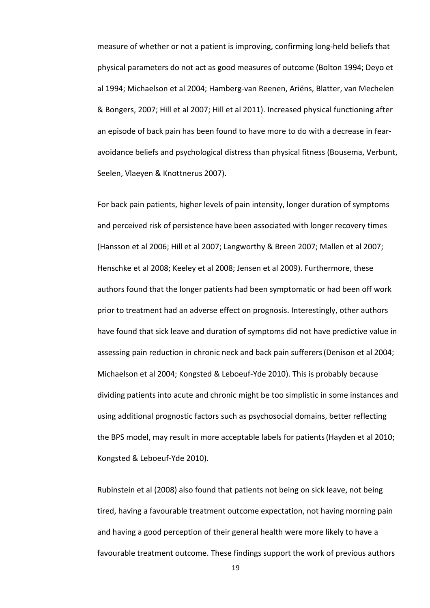measure of whether or not a patient is improving, confirming long-held beliefs that physical parameters do not act as good measures of outcome (Bolton 1994; Deyo et al 1994; Michaelson et al 2004; Hamberg-van Reenen, Ariëns, Blatter, van Mechelen & Bongers, 2007; Hill et al 2007; Hill et al 2011). Increased physical functioning after an episode of back pain has been found to have more to do with a decrease in fearavoidance beliefs and psychological distress than physical fitness (Bousema, Verbunt, Seelen, Vlaeyen & Knottnerus 2007).

For back pain patients, higher levels of pain intensity, longer duration of symptoms and perceived risk of persistence have been associated with longer recovery times (Hansson et al 2006; Hill et al 2007; Langworthy & Breen 2007; Mallen et al 2007; Henschke et al 2008; Keeley et al 2008; Jensen et al 2009). Furthermore, these authors found that the longer patients had been symptomatic or had been off work prior to treatment had an adverse effect on prognosis. Interestingly, other authors have found that sick leave and duration of symptoms did not have predictive value in assessing pain reduction in chronic neck and back pain sufferers(Denison et al 2004; Michaelson et al 2004; Kongsted & Leboeuf-Yde 2010). This is probably because dividing patients into acute and chronic might be too simplistic in some instances and using additional prognostic factors such as psychosocial domains, better reflecting the BPS model, may result in more acceptable labels for patients(Hayden et al 2010; Kongsted & Leboeuf-Yde 2010).

Rubinstein et al (2008) also found that patients not being on sick leave, not being tired, having a favourable treatment outcome expectation, not having morning pain and having a good perception of their general health were more likely to have a favourable treatment outcome. These findings support the work of previous authors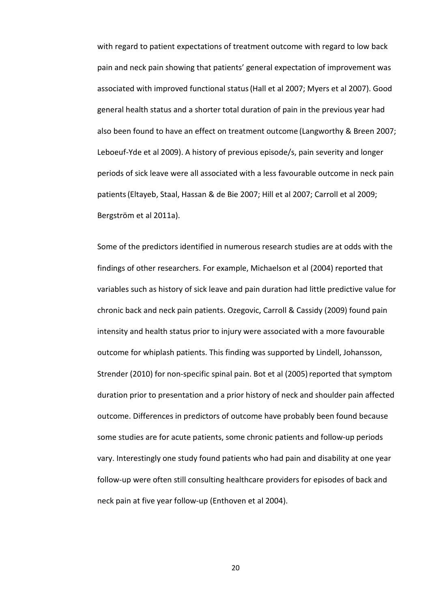with regard to patient expectations of treatment outcome with regard to low back pain and neck pain showing that patients' general expectation of improvement was associated with improved functional status(Hall et al 2007; Myers et al 2007). Good general health status and a shorter total duration of pain in the previous year had also been found to have an effect on treatment outcome (Langworthy & Breen 2007; Leboeuf-Yde et al 2009). A history of previous episode/s, pain severity and longer periods of sick leave were all associated with a less favourable outcome in neck pain patients(Eltayeb, Staal, Hassan & de Bie 2007; Hill et al 2007; Carroll et al 2009; Bergström et al 2011a).

Some of the predictors identified in numerous research studies are at odds with the findings of other researchers. For example, Michaelson et al (2004) reported that variables such as history of sick leave and pain duration had little predictive value for chronic back and neck pain patients. Ozegovic, Carroll & Cassidy (2009) found pain intensity and health status prior to injury were associated with a more favourable outcome for whiplash patients. This finding was supported by Lindell, Johansson, Strender (2010) for non-specific spinal pain. Bot et al (2005) reported that symptom duration prior to presentation and a prior history of neck and shoulder pain affected outcome. Differences in predictors of outcome have probably been found because some studies are for acute patients, some chronic patients and follow-up periods vary. Interestingly one study found patients who had pain and disability at one year follow-up were often still consulting healthcare providers for episodes of back and neck pain at five year follow-up (Enthoven et al 2004).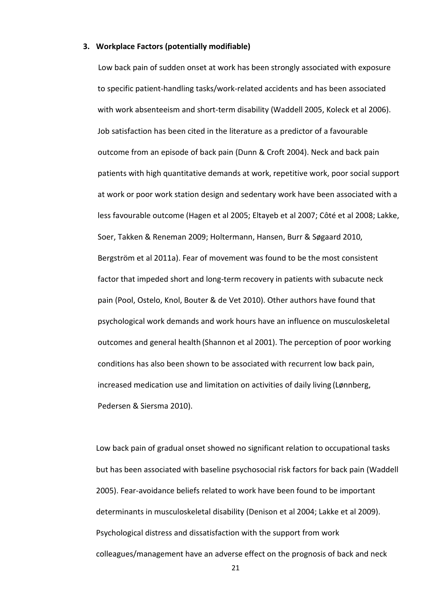#### 3. Workplace Factors (potentially modifiable)

 Low back pain of sudden onset at work has been strongly associated with exposure to specific patient-handling tasks/work-related accidents and has been associated with work absenteeism and short-term disability (Waddell 2005, Koleck et al 2006). Job satisfaction has been cited in the literature as a predictor of a favourable outcome from an episode of back pain (Dunn & Croft 2004). Neck and back pain patients with high quantitative demands at work, repetitive work, poor social support at work or poor work station design and sedentary work have been associated with a less favourable outcome (Hagen et al 2005; Eltayeb et al 2007; Côté et al 2008; Lakke, Soer, Takken & Reneman 2009; Holtermann, Hansen, Burr & Søgaard 2010, Bergström et al 2011a). Fear of movement was found to be the most consistent factor that impeded short and long-term recovery in patients with subacute neck pain (Pool, Ostelo, Knol, Bouter & de Vet 2010). Other authors have found that psychological work demands and work hours have an influence on musculoskeletal outcomes and general health (Shannon et al 2001). The perception of poor working conditions has also been shown to be associated with recurrent low back pain, increased medication use and limitation on activities of daily living (Lønnberg, Pedersen & Siersma 2010).

Low back pain of gradual onset showed no significant relation to occupational tasks but has been associated with baseline psychosocial risk factors for back pain (Waddell 2005). Fear-avoidance beliefs related to work have been found to be important determinants in musculoskeletal disability (Denison et al 2004; Lakke et al 2009). Psychological distress and dissatisfaction with the support from work colleagues/management have an adverse effect on the prognosis of back and neck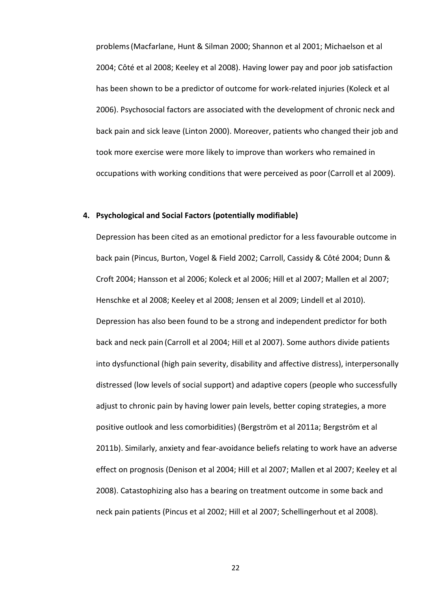problems(Macfarlane, Hunt & Silman 2000; Shannon et al 2001; Michaelson et al 2004; Côté et al 2008; Keeley et al 2008). Having lower pay and poor job satisfaction has been shown to be a predictor of outcome for work-related injuries (Koleck et al 2006). Psychosocial factors are associated with the development of chronic neck and back pain and sick leave (Linton 2000). Moreover, patients who changed their job and took more exercise were more likely to improve than workers who remained in occupations with working conditions that were perceived as poor(Carroll et al 2009).

#### 4. Psychological and Social Factors (potentially modifiable)

Depression has been cited as an emotional predictor for a less favourable outcome in back pain (Pincus, Burton, Vogel & Field 2002; Carroll, Cassidy & Côté 2004; Dunn & Croft 2004; Hansson et al 2006; Koleck et al 2006; Hill et al 2007; Mallen et al 2007; Henschke et al 2008; Keeley et al 2008; Jensen et al 2009; Lindell et al 2010). Depression has also been found to be a strong and independent predictor for both back and neck pain (Carroll et al 2004; Hill et al 2007). Some authors divide patients into dysfunctional (high pain severity, disability and affective distress), interpersonally distressed (low levels of social support) and adaptive copers (people who successfully adjust to chronic pain by having lower pain levels, better coping strategies, a more positive outlook and less comorbidities) (Bergström et al 2011a; Bergström et al 2011b). Similarly, anxiety and fear-avoidance beliefs relating to work have an adverse effect on prognosis (Denison et al 2004; Hill et al 2007; Mallen et al 2007; Keeley et al 2008). Catastophizing also has a bearing on treatment outcome in some back and neck pain patients (Pincus et al 2002; Hill et al 2007; Schellingerhout et al 2008).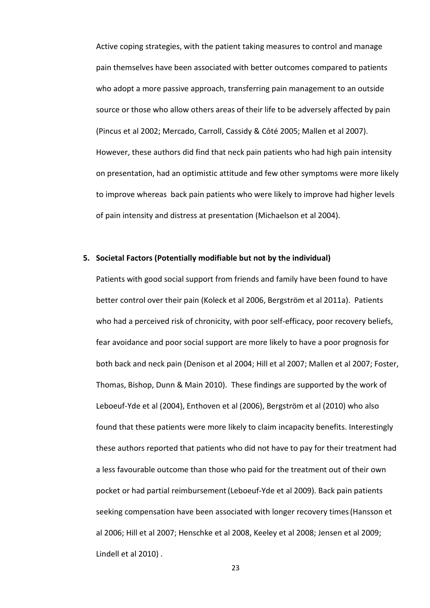Active coping strategies, with the patient taking measures to control and manage pain themselves have been associated with better outcomes compared to patients who adopt a more passive approach, transferring pain management to an outside source or those who allow others areas of their life to be adversely affected by pain (Pincus et al 2002; Mercado, Carroll, Cassidy & Côté 2005; Mallen et al 2007). However, these authors did find that neck pain patients who had high pain intensity on presentation, had an optimistic attitude and few other symptoms were more likely to improve whereas back pain patients who were likely to improve had higher levels of pain intensity and distress at presentation (Michaelson et al 2004).

## 5. Societal Factors (Potentially modifiable but not by the individual)

Patients with good social support from friends and family have been found to have better control over their pain (Koleck et al 2006, Bergström et al 2011a). Patients who had a perceived risk of chronicity, with poor self-efficacy, poor recovery beliefs, fear avoidance and poor social support are more likely to have a poor prognosis for both back and neck pain (Denison et al 2004; Hill et al 2007; Mallen et al 2007; Foster, Thomas, Bishop, Dunn & Main 2010). These findings are supported by the work of Leboeuf-Yde et al (2004), Enthoven et al (2006), Bergström et al (2010) who also found that these patients were more likely to claim incapacity benefits. Interestingly these authors reported that patients who did not have to pay for their treatment had a less favourable outcome than those who paid for the treatment out of their own pocket or had partial reimbursement(Leboeuf-Yde et al 2009). Back pain patients seeking compensation have been associated with longer recovery times(Hansson et al 2006; Hill et al 2007; Henschke et al 2008, Keeley et al 2008; Jensen et al 2009; Lindell et al 2010) .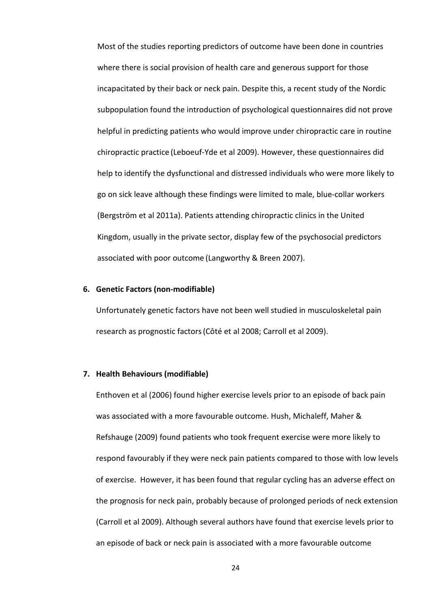Most of the studies reporting predictors of outcome have been done in countries where there is social provision of health care and generous support for those incapacitated by their back or neck pain. Despite this, a recent study of the Nordic subpopulation found the introduction of psychological questionnaires did not prove helpful in predicting patients who would improve under chiropractic care in routine chiropractic practice (Leboeuf-Yde et al 2009). However, these questionnaires did help to identify the dysfunctional and distressed individuals who were more likely to go on sick leave although these findings were limited to male, blue-collar workers (Bergström et al 2011a). Patients attending chiropractic clinics in the United Kingdom, usually in the private sector, display few of the psychosocial predictors associated with poor outcome (Langworthy & Breen 2007).

## 6. Genetic Factors (non-modifiable)

Unfortunately genetic factors have not been well studied in musculoskeletal pain research as prognostic factors(Côté et al 2008; Carroll et al 2009).

#### 7. Health Behaviours (modifiable)

Enthoven et al (2006) found higher exercise levels prior to an episode of back pain was associated with a more favourable outcome. Hush, Michaleff, Maher & Refshauge (2009) found patients who took frequent exercise were more likely to respond favourably if they were neck pain patients compared to those with low levels of exercise. However, it has been found that regular cycling has an adverse effect on the prognosis for neck pain, probably because of prolonged periods of neck extension (Carroll et al 2009). Although several authors have found that exercise levels prior to an episode of back or neck pain is associated with a more favourable outcome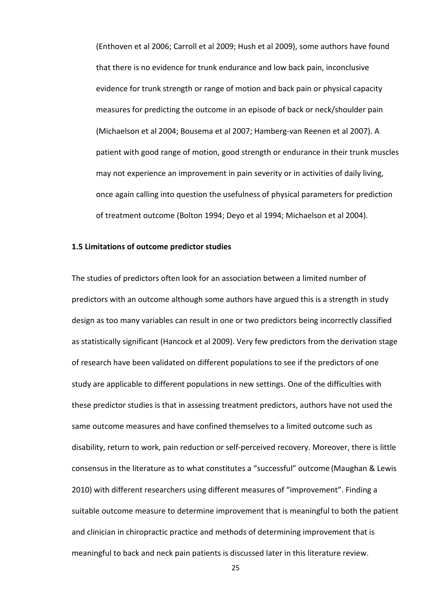(Enthoven et al 2006; Carroll et al 2009; Hush et al 2009), some authors have found that there is no evidence for trunk endurance and low back pain, inconclusive evidence for trunk strength or range of motion and back pain or physical capacity measures for predicting the outcome in an episode of back or neck/shoulder pain (Michaelson et al 2004; Bousema et al 2007; Hamberg-van Reenen et al 2007). A patient with good range of motion, good strength or endurance in their trunk muscles may not experience an improvement in pain severity or in activities of daily living, once again calling into question the usefulness of physical parameters for prediction of treatment outcome (Bolton 1994; Deyo et al 1994; Michaelson et al 2004).

## 1.5 Limitations of outcome predictor studies

The studies of predictors often look for an association between a limited number of predictors with an outcome although some authors have argued this is a strength in study design as too many variables can result in one or two predictors being incorrectly classified as statistically significant (Hancock et al 2009). Very few predictors from the derivation stage of research have been validated on different populations to see if the predictors of one study are applicable to different populations in new settings. One of the difficulties with these predictor studies is that in assessing treatment predictors, authors have not used the same outcome measures and have confined themselves to a limited outcome such as disability, return to work, pain reduction or self-perceived recovery. Moreover, there is little consensus in the literature as to what constitutes a "successful" outcome (Maughan & Lewis 2010) with different researchers using different measures of "improvement". Finding a suitable outcome measure to determine improvement that is meaningful to both the patient and clinician in chiropractic practice and methods of determining improvement that is meaningful to back and neck pain patients is discussed later in this literature review.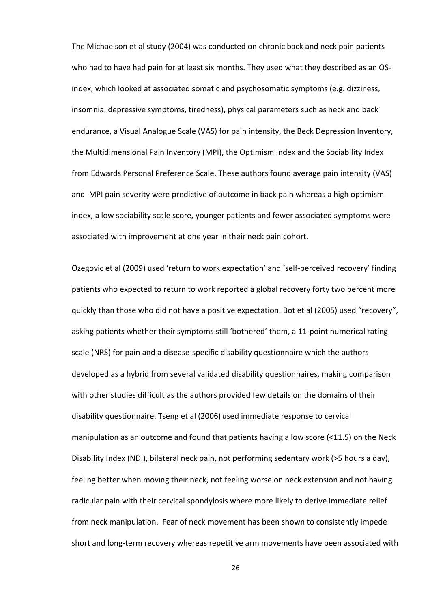The Michaelson et al study (2004) was conducted on chronic back and neck pain patients who had to have had pain for at least six months. They used what they described as an OSindex, which looked at associated somatic and psychosomatic symptoms (e.g. dizziness, insomnia, depressive symptoms, tiredness), physical parameters such as neck and back endurance, a Visual Analogue Scale (VAS) for pain intensity, the Beck Depression Inventory, the Multidimensional Pain Inventory (MPI), the Optimism Index and the Sociability Index from Edwards Personal Preference Scale. These authors found average pain intensity (VAS) and MPI pain severity were predictive of outcome in back pain whereas a high optimism index, a low sociability scale score, younger patients and fewer associated symptoms were associated with improvement at one year in their neck pain cohort.

Ozegovic et al (2009) used 'return to work expectation' and 'self-perceived recovery' finding patients who expected to return to work reported a global recovery forty two percent more quickly than those who did not have a positive expectation. Bot et al (2005) used "recovery", asking patients whether their symptoms still 'bothered' them, a 11-point numerical rating scale (NRS) for pain and a disease-specific disability questionnaire which the authors developed as a hybrid from several validated disability questionnaires, making comparison with other studies difficult as the authors provided few details on the domains of their disability questionnaire. Tseng et al (2006) used immediate response to cervical manipulation as an outcome and found that patients having a low score  $\leq 11.5$ ) on the Neck Disability Index (NDI), bilateral neck pain, not performing sedentary work (>5 hours a day), feeling better when moving their neck, not feeling worse on neck extension and not having radicular pain with their cervical spondylosis where more likely to derive immediate relief from neck manipulation. Fear of neck movement has been shown to consistently impede short and long-term recovery whereas repetitive arm movements have been associated with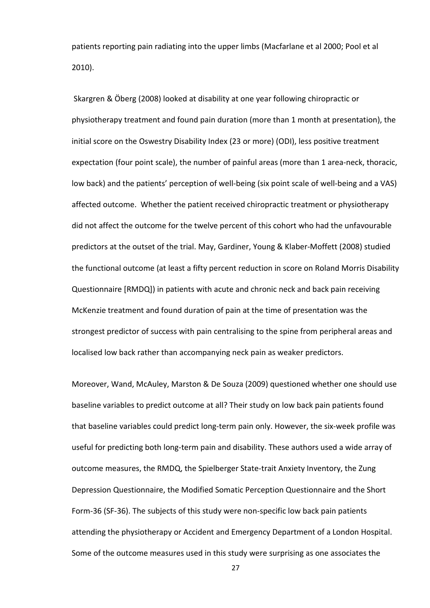patients reporting pain radiating into the upper limbs (Macfarlane et al 2000; Pool et al 2010).

 Skargren & Öberg (2008) looked at disability at one year following chiropractic or physiotherapy treatment and found pain duration (more than 1 month at presentation), the initial score on the Oswestry Disability Index (23 or more) (ODI), less positive treatment expectation (four point scale), the number of painful areas (more than 1 area-neck, thoracic, low back) and the patients' perception of well-being (six point scale of well-being and a VAS) affected outcome. Whether the patient received chiropractic treatment or physiotherapy did not affect the outcome for the twelve percent of this cohort who had the unfavourable predictors at the outset of the trial. May, Gardiner, Young & Klaber-Moffett (2008) studied the functional outcome (at least a fifty percent reduction in score on Roland Morris Disability Questionnaire [RMDQ]) in patients with acute and chronic neck and back pain receiving McKenzie treatment and found duration of pain at the time of presentation was the strongest predictor of success with pain centralising to the spine from peripheral areas and localised low back rather than accompanying neck pain as weaker predictors.

Moreover, Wand, McAuley, Marston & De Souza (2009) questioned whether one should use baseline variables to predict outcome at all? Their study on low back pain patients found that baseline variables could predict long-term pain only. However, the six-week profile was useful for predicting both long-term pain and disability. These authors used a wide array of outcome measures, the RMDQ, the Spielberger State-trait Anxiety Inventory, the Zung Depression Questionnaire, the Modified Somatic Perception Questionnaire and the Short Form-36 (SF-36). The subjects of this study were non-specific low back pain patients attending the physiotherapy or Accident and Emergency Department of a London Hospital. Some of the outcome measures used in this study were surprising as one associates the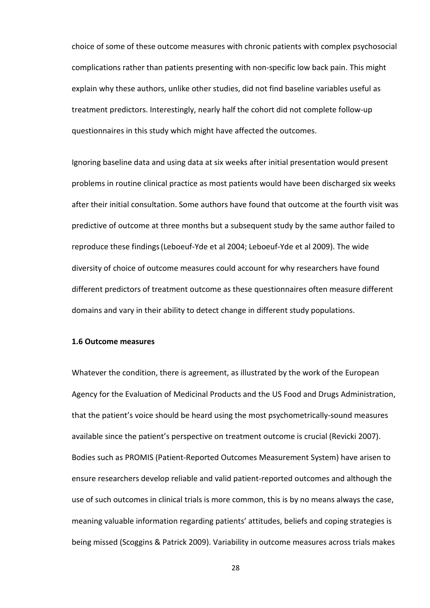choice of some of these outcome measures with chronic patients with complex psychosocial complications rather than patients presenting with non-specific low back pain. This might explain why these authors, unlike other studies, did not find baseline variables useful as treatment predictors. Interestingly, nearly half the cohort did not complete follow-up questionnaires in this study which might have affected the outcomes.

Ignoring baseline data and using data at six weeks after initial presentation would present problems in routine clinical practice as most patients would have been discharged six weeks after their initial consultation. Some authors have found that outcome at the fourth visit was predictive of outcome at three months but a subsequent study by the same author failed to reproduce these findings(Leboeuf-Yde et al 2004; Leboeuf-Yde et al 2009). The wide diversity of choice of outcome measures could account for why researchers have found different predictors of treatment outcome as these questionnaires often measure different domains and vary in their ability to detect change in different study populations.

#### 1.6 Outcome measures

Whatever the condition, there is agreement, as illustrated by the work of the European Agency for the Evaluation of Medicinal Products and the US Food and Drugs Administration, that the patient's voice should be heard using the most psychometrically-sound measures available since the patient's perspective on treatment outcome is crucial (Revicki 2007). Bodies such as PROMIS (Patient-Reported Outcomes Measurement System) have arisen to ensure researchers develop reliable and valid patient-reported outcomes and although the use of such outcomes in clinical trials is more common, this is by no means always the case, meaning valuable information regarding patients' attitudes, beliefs and coping strategies is being missed (Scoggins & Patrick 2009). Variability in outcome measures across trials makes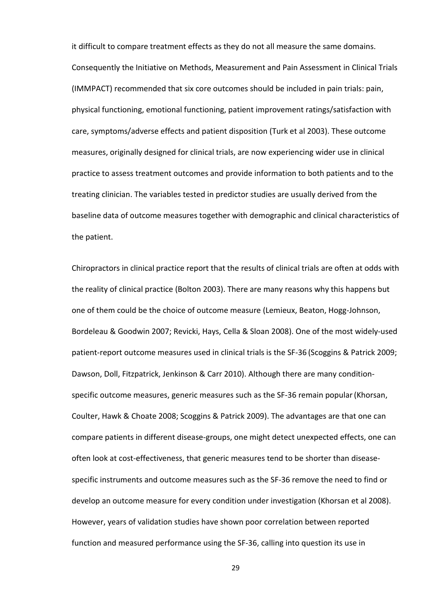it difficult to compare treatment effects as they do not all measure the same domains. Consequently the Initiative on Methods, Measurement and Pain Assessment in Clinical Trials (IMMPACT) recommended that six core outcomes should be included in pain trials: pain, physical functioning, emotional functioning, patient improvement ratings/satisfaction with care, symptoms/adverse effects and patient disposition (Turk et al 2003). These outcome measures, originally designed for clinical trials, are now experiencing wider use in clinical practice to assess treatment outcomes and provide information to both patients and to the treating clinician. The variables tested in predictor studies are usually derived from the baseline data of outcome measures together with demographic and clinical characteristics of the patient.

Chiropractors in clinical practice report that the results of clinical trials are often at odds with the reality of clinical practice (Bolton 2003). There are many reasons why this happens but one of them could be the choice of outcome measure (Lemieux, Beaton, Hogg-Johnson, Bordeleau & Goodwin 2007; Revicki, Hays, Cella & Sloan 2008). One of the most widely-used patient-report outcome measures used in clinical trials is the SF-36 (Scoggins & Patrick 2009; Dawson, Doll, Fitzpatrick, Jenkinson & Carr 2010). Although there are many conditionspecific outcome measures, generic measures such as the SF-36 remain popular(Khorsan, Coulter, Hawk & Choate 2008; Scoggins & Patrick 2009). The advantages are that one can compare patients in different disease-groups, one might detect unexpected effects, one can often look at cost-effectiveness, that generic measures tend to be shorter than diseasespecific instruments and outcome measures such as the SF-36 remove the need to find or develop an outcome measure for every condition under investigation (Khorsan et al 2008). However, years of validation studies have shown poor correlation between reported function and measured performance using the SF-36, calling into question its use in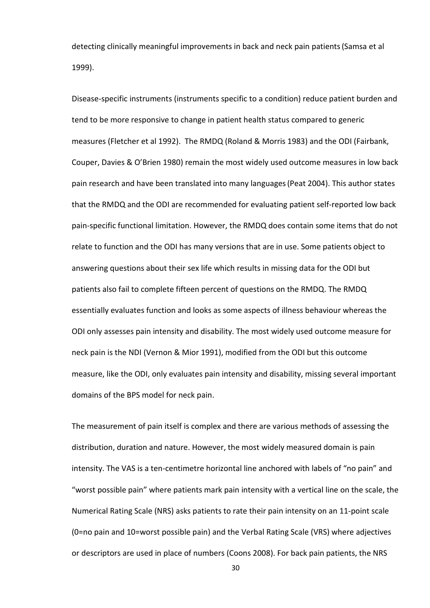detecting clinically meaningful improvements in back and neck pain patients(Samsa et al 1999).

Disease-specific instruments (instruments specific to a condition) reduce patient burden and tend to be more responsive to change in patient health status compared to generic measures (Fletcher et al 1992). The RMDQ (Roland & Morris 1983) and the ODI (Fairbank, Couper, Davies & O'Brien 1980) remain the most widely used outcome measures in low back pain research and have been translated into many languages(Peat 2004). This author states that the RMDQ and the ODI are recommended for evaluating patient self-reported low back pain-specific functional limitation. However, the RMDQ does contain some items that do not relate to function and the ODI has many versions that are in use. Some patients object to answering questions about their sex life which results in missing data for the ODI but patients also fail to complete fifteen percent of questions on the RMDQ. The RMDQ essentially evaluates function and looks as some aspects of illness behaviour whereas the ODI only assesses pain intensity and disability. The most widely used outcome measure for neck pain is the NDI (Vernon & Mior 1991), modified from the ODI but this outcome measure, like the ODI, only evaluates pain intensity and disability, missing several important domains of the BPS model for neck pain.

The measurement of pain itself is complex and there are various methods of assessing the distribution, duration and nature. However, the most widely measured domain is pain intensity. The VAS is a ten-centimetre horizontal line anchored with labels of "no pain" and "worst possible pain" where patients mark pain intensity with a vertical line on the scale, the Numerical Rating Scale (NRS) asks patients to rate their pain intensity on an 11-point scale (0=no pain and 10=worst possible pain) and the Verbal Rating Scale (VRS) where adjectives or descriptors are used in place of numbers (Coons 2008). For back pain patients, the NRS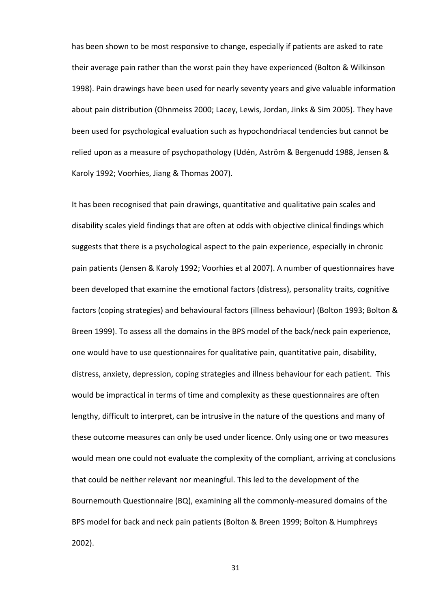has been shown to be most responsive to change, especially if patients are asked to rate their average pain rather than the worst pain they have experienced (Bolton & Wilkinson 1998). Pain drawings have been used for nearly seventy years and give valuable information about pain distribution (Ohnmeiss 2000; Lacey, Lewis, Jordan, Jinks & Sim 2005). They have been used for psychological evaluation such as hypochondriacal tendencies but cannot be relied upon as a measure of psychopathology (Udén, Aström & Bergenudd 1988, Jensen & Karoly 1992; Voorhies, Jiang & Thomas 2007).

It has been recognised that pain drawings, quantitative and qualitative pain scales and disability scales yield findings that are often at odds with objective clinical findings which suggests that there is a psychological aspect to the pain experience, especially in chronic pain patients (Jensen & Karoly 1992; Voorhies et al 2007). A number of questionnaires have been developed that examine the emotional factors (distress), personality traits, cognitive factors (coping strategies) and behavioural factors (illness behaviour) (Bolton 1993; Bolton & Breen 1999). To assess all the domains in the BPS model of the back/neck pain experience, one would have to use questionnaires for qualitative pain, quantitative pain, disability, distress, anxiety, depression, coping strategies and illness behaviour for each patient. This would be impractical in terms of time and complexity as these questionnaires are often lengthy, difficult to interpret, can be intrusive in the nature of the questions and many of these outcome measures can only be used under licence. Only using one or two measures would mean one could not evaluate the complexity of the compliant, arriving at conclusions that could be neither relevant nor meaningful. This led to the development of the Bournemouth Questionnaire (BQ), examining all the commonly-measured domains of the BPS model for back and neck pain patients (Bolton & Breen 1999; Bolton & Humphreys 2002).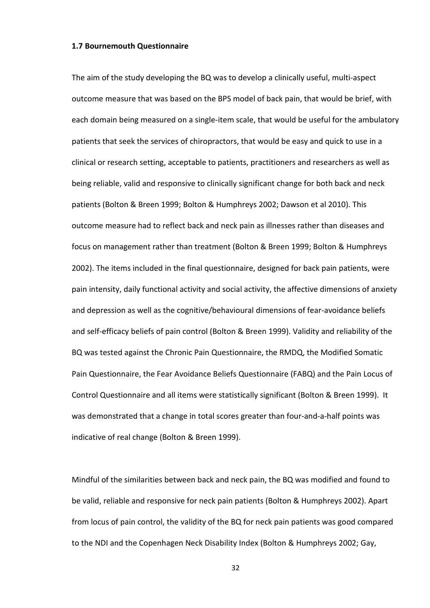#### 1.7 Bournemouth Questionnaire

The aim of the study developing the BQ was to develop a clinically useful, multi-aspect outcome measure that was based on the BPS model of back pain, that would be brief, with each domain being measured on a single-item scale, that would be useful for the ambulatory patients that seek the services of chiropractors, that would be easy and quick to use in a clinical or research setting, acceptable to patients, practitioners and researchers as well as being reliable, valid and responsive to clinically significant change for both back and neck patients (Bolton & Breen 1999; Bolton & Humphreys 2002; Dawson et al 2010). This outcome measure had to reflect back and neck pain as illnesses rather than diseases and focus on management rather than treatment (Bolton & Breen 1999; Bolton & Humphreys 2002). The items included in the final questionnaire, designed for back pain patients, were pain intensity, daily functional activity and social activity, the affective dimensions of anxiety and depression as well as the cognitive/behavioural dimensions of fear-avoidance beliefs and self-efficacy beliefs of pain control (Bolton & Breen 1999). Validity and reliability of the BQ was tested against the Chronic Pain Questionnaire, the RMDQ, the Modified Somatic Pain Questionnaire, the Fear Avoidance Beliefs Questionnaire (FABQ) and the Pain Locus of Control Questionnaire and all items were statistically significant (Bolton & Breen 1999). It was demonstrated that a change in total scores greater than four-and-a-half points was indicative of real change (Bolton & Breen 1999).

Mindful of the similarities between back and neck pain, the BQ was modified and found to be valid, reliable and responsive for neck pain patients (Bolton & Humphreys 2002). Apart from locus of pain control, the validity of the BQ for neck pain patients was good compared to the NDI and the Copenhagen Neck Disability Index (Bolton & Humphreys 2002; Gay,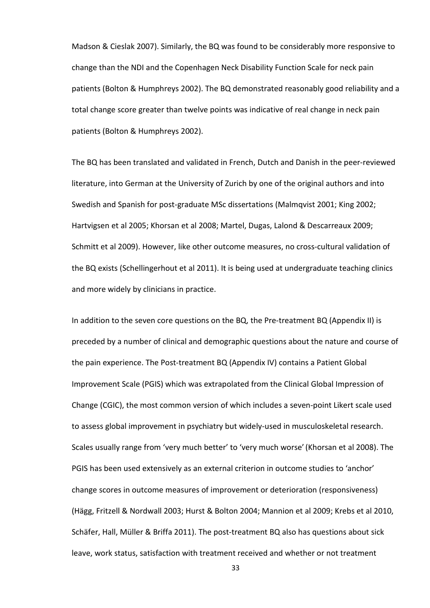Madson & Cieslak 2007). Similarly, the BQ was found to be considerably more responsive to change than the NDI and the Copenhagen Neck Disability Function Scale for neck pain patients (Bolton & Humphreys 2002). The BQ demonstrated reasonably good reliability and a total change score greater than twelve points was indicative of real change in neck pain patients (Bolton & Humphreys 2002).

The BQ has been translated and validated in French, Dutch and Danish in the peer-reviewed literature, into German at the University of Zurich by one of the original authors and into Swedish and Spanish for post-graduate MSc dissertations (Malmqvist 2001; King 2002; Hartvigsen et al 2005; Khorsan et al 2008; Martel, Dugas, Lalond & Descarreaux 2009; Schmitt et al 2009). However, like other outcome measures, no cross-cultural validation of the BQ exists (Schellingerhout et al 2011). It is being used at undergraduate teaching clinics and more widely by clinicians in practice.

In addition to the seven core questions on the BQ, the Pre-treatment BQ (Appendix II) is preceded by a number of clinical and demographic questions about the nature and course of the pain experience. The Post-treatment BQ (Appendix IV) contains a Patient Global Improvement Scale (PGIS) which was extrapolated from the Clinical Global Impression of Change (CGIC), the most common version of which includes a seven-point Likert scale used to assess global improvement in psychiatry but widely-used in musculoskeletal research. Scales usually range from 'very much better' to 'very much worse'(Khorsan et al 2008). The PGIS has been used extensively as an external criterion in outcome studies to 'anchor' change scores in outcome measures of improvement or deterioration (responsiveness) (Hägg, Fritzell & Nordwall 2003; Hurst & Bolton 2004; Mannion et al 2009; Krebs et al 2010, Schäfer, Hall, Müller & Briffa 2011). The post-treatment BQ also has questions about sick leave, work status, satisfaction with treatment received and whether or not treatment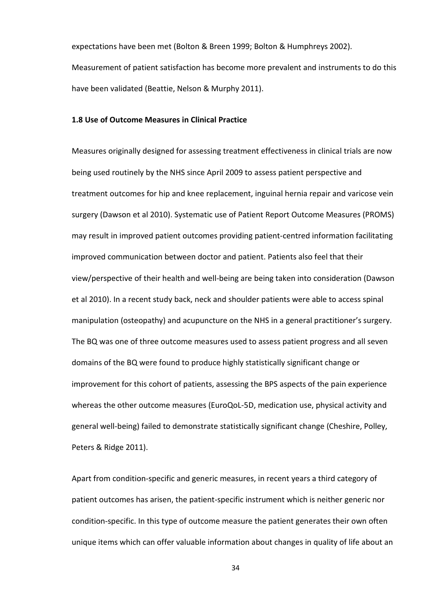expectations have been met (Bolton & Breen 1999; Bolton & Humphreys 2002). Measurement of patient satisfaction has become more prevalent and instruments to do this have been validated (Beattie, Nelson & Murphy 2011).

## 1.8 Use of Outcome Measures in Clinical Practice

Measures originally designed for assessing treatment effectiveness in clinical trials are now being used routinely by the NHS since April 2009 to assess patient perspective and treatment outcomes for hip and knee replacement, inguinal hernia repair and varicose vein surgery (Dawson et al 2010). Systematic use of Patient Report Outcome Measures (PROMS) may result in improved patient outcomes providing patient-centred information facilitating improved communication between doctor and patient. Patients also feel that their view/perspective of their health and well-being are being taken into consideration (Dawson et al 2010). In a recent study back, neck and shoulder patients were able to access spinal manipulation (osteopathy) and acupuncture on the NHS in a general practitioner's surgery. The BQ was one of three outcome measures used to assess patient progress and all seven domains of the BQ were found to produce highly statistically significant change or improvement for this cohort of patients, assessing the BPS aspects of the pain experience whereas the other outcome measures (EuroQoL-5D, medication use, physical activity and general well-being) failed to demonstrate statistically significant change (Cheshire, Polley, Peters & Ridge 2011).

Apart from condition-specific and generic measures, in recent years a third category of patient outcomes has arisen, the patient-specific instrument which is neither generic nor condition-specific. In this type of outcome measure the patient generates their own often unique items which can offer valuable information about changes in quality of life about an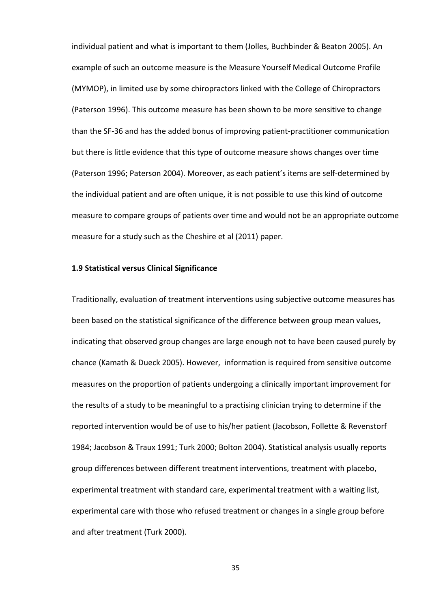individual patient and what is important to them (Jolles, Buchbinder & Beaton 2005). An example of such an outcome measure is the Measure Yourself Medical Outcome Profile (MYMOP), in limited use by some chiropractors linked with the College of Chiropractors (Paterson 1996). This outcome measure has been shown to be more sensitive to change than the SF-36 and has the added bonus of improving patient-practitioner communication but there is little evidence that this type of outcome measure shows changes over time (Paterson 1996; Paterson 2004). Moreover, as each patient's items are self-determined by the individual patient and are often unique, it is not possible to use this kind of outcome measure to compare groups of patients over time and would not be an appropriate outcome measure for a study such as the Cheshire et al (2011) paper.

### 1.9 Statistical versus Clinical Significance

Traditionally, evaluation of treatment interventions using subjective outcome measures has been based on the statistical significance of the difference between group mean values, indicating that observed group changes are large enough not to have been caused purely by chance (Kamath & Dueck 2005). However, information is required from sensitive outcome measures on the proportion of patients undergoing a clinically important improvement for the results of a study to be meaningful to a practising clinician trying to determine if the reported intervention would be of use to his/her patient (Jacobson, Follette & Revenstorf 1984; Jacobson & Traux 1991; Turk 2000; Bolton 2004). Statistical analysis usually reports group differences between different treatment interventions, treatment with placebo, experimental treatment with standard care, experimental treatment with a waiting list, experimental care with those who refused treatment or changes in a single group before and after treatment (Turk 2000).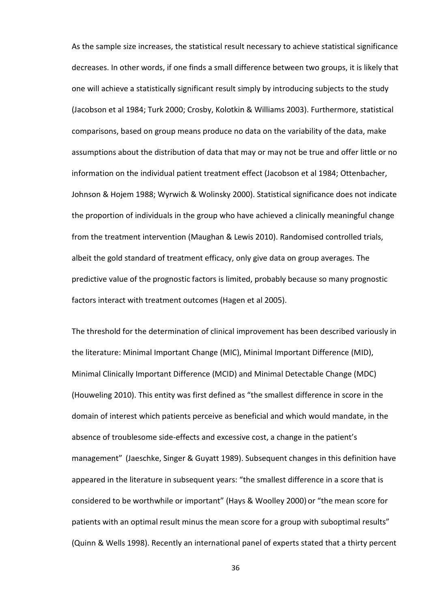As the sample size increases, the statistical result necessary to achieve statistical significance decreases. In other words, if one finds a small difference between two groups, it is likely that one will achieve a statistically significant result simply by introducing subjects to the study (Jacobson et al 1984; Turk 2000; Crosby, Kolotkin & Williams 2003). Furthermore, statistical comparisons, based on group means produce no data on the variability of the data, make assumptions about the distribution of data that may or may not be true and offer little or no information on the individual patient treatment effect (Jacobson et al 1984; Ottenbacher, Johnson & Hojem 1988; Wyrwich & Wolinsky 2000). Statistical significance does not indicate the proportion of individuals in the group who have achieved a clinically meaningful change from the treatment intervention (Maughan & Lewis 2010). Randomised controlled trials, albeit the gold standard of treatment efficacy, only give data on group averages. The predictive value of the prognostic factors is limited, probably because so many prognostic factors interact with treatment outcomes (Hagen et al 2005).

The threshold for the determination of clinical improvement has been described variously in the literature: Minimal Important Change (MIC), Minimal Important Difference (MID), Minimal Clinically Important Difference (MCID) and Minimal Detectable Change (MDC) (Houweling 2010). This entity was first defined as "the smallest difference in score in the domain of interest which patients perceive as beneficial and which would mandate, in the absence of troublesome side-effects and excessive cost, a change in the patient's management" (Jaeschke, Singer & Guyatt 1989). Subsequent changes in this definition have appeared in the literature in subsequent years: "the smallest difference in a score that is considered to be worthwhile or important" (Hays & Woolley 2000) or "the mean score for patients with an optimal result minus the mean score for a group with suboptimal results" (Quinn & Wells 1998). Recently an international panel of experts stated that a thirty percent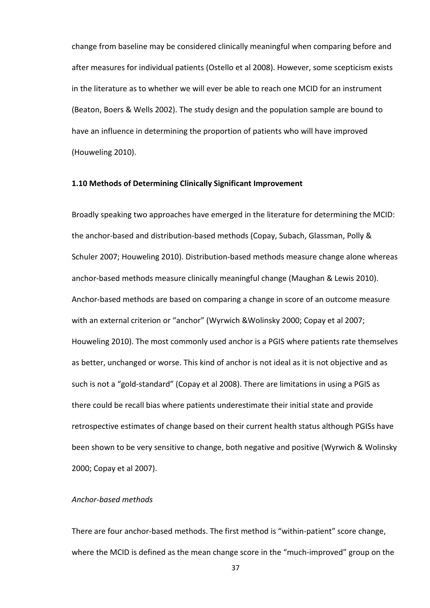change from baseline may be considered clinically meaningful when comparing before and after measures for individual patients (Ostello et al 2008). However, some scepticism exists in the literature as to whether we will ever be able to reach one MCID for an instrument (Beaton, Boers & Wells 2002). The study design and the population sample are bound to have an influence in determining the proportion of patients who will have improved (Houweling 2010).

#### 1.10 Methods of Determining Clinically Significant Improvement

Broadly speaking two approaches have emerged in the literature for determining the MCID: the anchor-based and distribution-based methods (Copay, Subach, Glassman, Polly & Schuler 2007; Houweling 2010). Distribution-based methods measure change alone whereas anchor-based methods measure clinically meaningful change (Maughan & Lewis 2010). Anchor-based methods are based on comparing a change in score of an outcome measure with an external criterion or "anchor" (Wyrwich &Wolinsky 2000; Copay et al 2007; Houweling 2010). The most commonly used anchor is a PGIS where patients rate themselves as better, unchanged or worse. This kind of anchor is not ideal as it is not objective and as such is not a "gold-standard" (Copay et al 2008). There are limitations in using a PGIS as there could be recall bias where patients underestimate their initial state and provide retrospective estimates of change based on their current health status although PGISs have been shown to be very sensitive to change, both negative and positive (Wyrwich & Wolinsky 2000; Copay et al 2007).

#### Anchor-based methods

There are four anchor-based methods. The first method is "within-patient" score change, where the MCID is defined as the mean change score in the "much-improved" group on the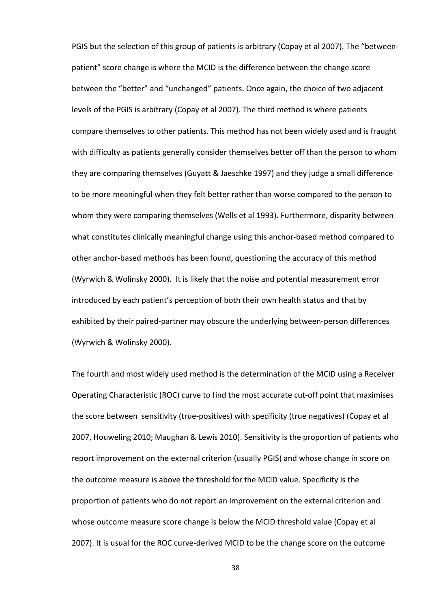PGIS but the selection of this group of patients is arbitrary (Copay et al 2007). The "betweenpatient" score change is where the MCID is the difference between the change score between the "better" and "unchanged" patients. Once again, the choice of two adjacent levels of the PGIS is arbitrary (Copay et al 2007). The third method is where patients compare themselves to other patients. This method has not been widely used and is fraught with difficulty as patients generally consider themselves better off than the person to whom they are comparing themselves (Guyatt & Jaeschke 1997) and they judge a small difference to be more meaningful when they felt better rather than worse compared to the person to whom they were comparing themselves (Wells et al 1993). Furthermore, disparity between what constitutes clinically meaningful change using this anchor-based method compared to other anchor-based methods has been found, questioning the accuracy of this method (Wyrwich & Wolinsky 2000). It is likely that the noise and potential measurement error introduced by each patient's perception of both their own health status and that by exhibited by their paired-partner may obscure the underlying between-person differences (Wyrwich & Wolinsky 2000).

The fourth and most widely used method is the determination of the MCID using a Receiver Operating Characteristic (ROC) curve to find the most accurate cut-off point that maximises the score between sensitivity (true-positives) with specificity (true negatives) (Copay et al 2007, Houweling 2010; Maughan & Lewis 2010). Sensitivity is the proportion of patients who report improvement on the external criterion (usually PGIS) and whose change in score on the outcome measure is above the threshold for the MCID value. Specificity is the proportion of patients who do not report an improvement on the external criterion and whose outcome measure score change is below the MCID threshold value (Copay et al 2007). It is usual for the ROC curve-derived MCID to be the change score on the outcome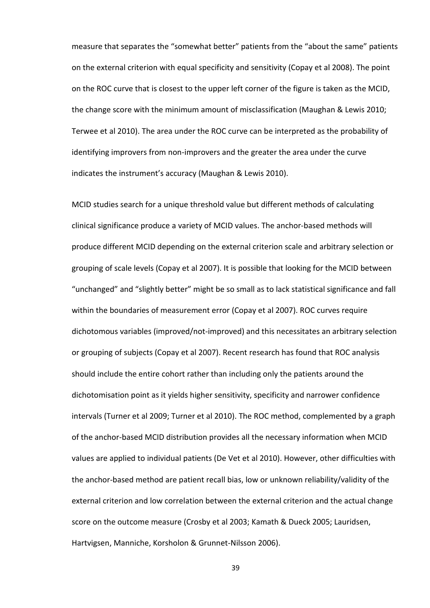measure that separates the "somewhat better" patients from the "about the same" patients on the external criterion with equal specificity and sensitivity (Copay et al 2008). The point on the ROC curve that is closest to the upper left corner of the figure is taken as the MCID, the change score with the minimum amount of misclassification (Maughan & Lewis 2010; Terwee et al 2010). The area under the ROC curve can be interpreted as the probability of identifying improvers from non-improvers and the greater the area under the curve indicates the instrument's accuracy (Maughan & Lewis 2010).

MCID studies search for a unique threshold value but different methods of calculating clinical significance produce a variety of MCID values. The anchor-based methods will produce different MCID depending on the external criterion scale and arbitrary selection or grouping of scale levels (Copay et al 2007). It is possible that looking for the MCID between "unchanged" and "slightly better" might be so small as to lack statistical significance and fall within the boundaries of measurement error (Copay et al 2007). ROC curves require dichotomous variables (improved/not-improved) and this necessitates an arbitrary selection or grouping of subjects (Copay et al 2007). Recent research has found that ROC analysis should include the entire cohort rather than including only the patients around the dichotomisation point as it yields higher sensitivity, specificity and narrower confidence intervals (Turner et al 2009; Turner et al 2010). The ROC method, complemented by a graph of the anchor-based MCID distribution provides all the necessary information when MCID values are applied to individual patients (De Vet et al 2010). However, other difficulties with the anchor-based method are patient recall bias, low or unknown reliability/validity of the external criterion and low correlation between the external criterion and the actual change score on the outcome measure (Crosby et al 2003; Kamath & Dueck 2005; Lauridsen, Hartvigsen, Manniche, Korsholon & Grunnet-Nilsson 2006).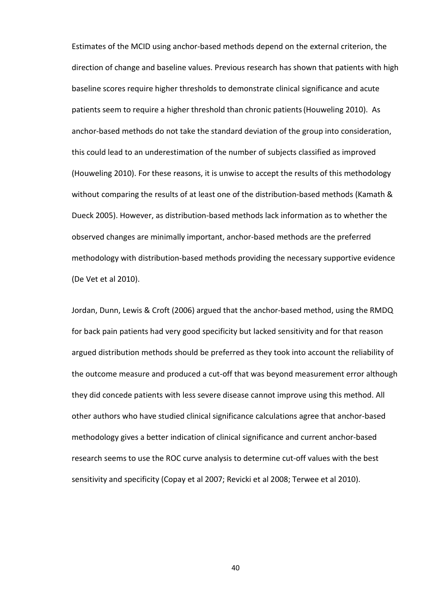Estimates of the MCID using anchor-based methods depend on the external criterion, the direction of change and baseline values. Previous research has shown that patients with high baseline scores require higher thresholds to demonstrate clinical significance and acute patients seem to require a higher threshold than chronic patients(Houweling 2010). As anchor-based methods do not take the standard deviation of the group into consideration, this could lead to an underestimation of the number of subjects classified as improved (Houweling 2010). For these reasons, it is unwise to accept the results of this methodology without comparing the results of at least one of the distribution-based methods (Kamath & Dueck 2005). However, as distribution-based methods lack information as to whether the observed changes are minimally important, anchor-based methods are the preferred methodology with distribution-based methods providing the necessary supportive evidence (De Vet et al 2010).

Jordan, Dunn, Lewis & Croft (2006) argued that the anchor-based method, using the RMDQ for back pain patients had very good specificity but lacked sensitivity and for that reason argued distribution methods should be preferred as they took into account the reliability of the outcome measure and produced a cut-off that was beyond measurement error although they did concede patients with less severe disease cannot improve using this method. All other authors who have studied clinical significance calculations agree that anchor-based methodology gives a better indication of clinical significance and current anchor-based research seems to use the ROC curve analysis to determine cut-off values with the best sensitivity and specificity (Copay et al 2007; Revicki et al 2008; Terwee et al 2010).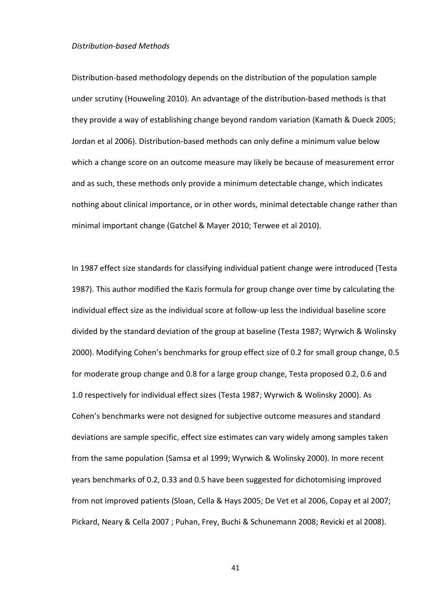#### Distribution-based Methods

Distribution-based methodology depends on the distribution of the population sample under scrutiny (Houweling 2010). An advantage of the distribution-based methods is that they provide a way of establishing change beyond random variation (Kamath & Dueck 2005; Jordan et al 2006). Distribution-based methods can only define a minimum value below which a change score on an outcome measure may likely be because of measurement error and as such, these methods only provide a minimum detectable change, which indicates nothing about clinical importance, or in other words, minimal detectable change rather than minimal important change (Gatchel & Mayer 2010; Terwee et al 2010).

In 1987 effect size standards for classifying individual patient change were introduced (Testa 1987). This author modified the Kazis formula for group change over time by calculating the individual effect size as the individual score at follow-up less the individual baseline score divided by the standard deviation of the group at baseline (Testa 1987; Wyrwich & Wolinsky 2000). Modifying Cohen's benchmarks for group effect size of 0.2 for small group change, 0.5 for moderate group change and 0.8 for a large group change, Testa proposed 0.2, 0.6 and 1.0 respectively for individual effect sizes (Testa 1987; Wyrwich & Wolinsky 2000). As Cohen's benchmarks were not designed for subjective outcome measures and standard deviations are sample specific, effect size estimates can vary widely among samples taken from the same population (Samsa et al 1999; Wyrwich & Wolinsky 2000). In more recent years benchmarks of 0.2, 0.33 and 0.5 have been suggested for dichotomising improved from not improved patients (Sloan, Cella & Hays 2005; De Vet et al 2006, Copay et al 2007; Pickard, Neary & Cella 2007 ; Puhan, Frey, Buchi & Schunemann 2008; Revicki et al 2008).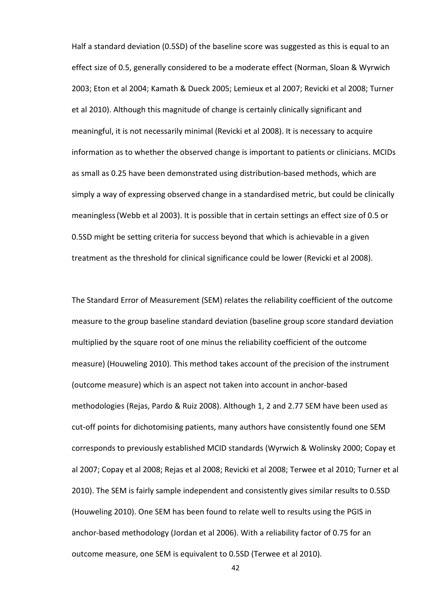Half a standard deviation (0.5SD) of the baseline score was suggested as this is equal to an effect size of 0.5, generally considered to be a moderate effect (Norman, Sloan & Wyrwich 2003; Eton et al 2004; Kamath & Dueck 2005; Lemieux et al 2007; Revicki et al 2008; Turner et al 2010). Although this magnitude of change is certainly clinically significant and meaningful, it is not necessarily minimal (Revicki et al 2008). It is necessary to acquire information as to whether the observed change is important to patients or clinicians. MCIDs as small as 0.25 have been demonstrated using distribution-based methods, which are simply a way of expressing observed change in a standardised metric, but could be clinically meaningless(Webb et al 2003). It is possible that in certain settings an effect size of 0.5 or 0.5SD might be setting criteria for success beyond that which is achievable in a given treatment as the threshold for clinical significance could be lower (Revicki et al 2008).

The Standard Error of Measurement (SEM) relates the reliability coefficient of the outcome measure to the group baseline standard deviation (baseline group score standard deviation multiplied by the square root of one minus the reliability coefficient of the outcome measure) (Houweling 2010). This method takes account of the precision of the instrument (outcome measure) which is an aspect not taken into account in anchor-based methodologies (Rejas, Pardo & Ruiz 2008). Although 1, 2 and 2.77 SEM have been used as cut-off points for dichotomising patients, many authors have consistently found one SEM corresponds to previously established MCID standards (Wyrwich & Wolinsky 2000; Copay et al 2007; Copay et al 2008; Rejas et al 2008; Revicki et al 2008; Terwee et al 2010; Turner et al 2010). The SEM is fairly sample independent and consistently gives similar results to 0.5SD (Houweling 2010). One SEM has been found to relate well to results using the PGIS in anchor-based methodology (Jordan et al 2006). With a reliability factor of 0.75 for an outcome measure, one SEM is equivalent to 0.5SD (Terwee et al 2010).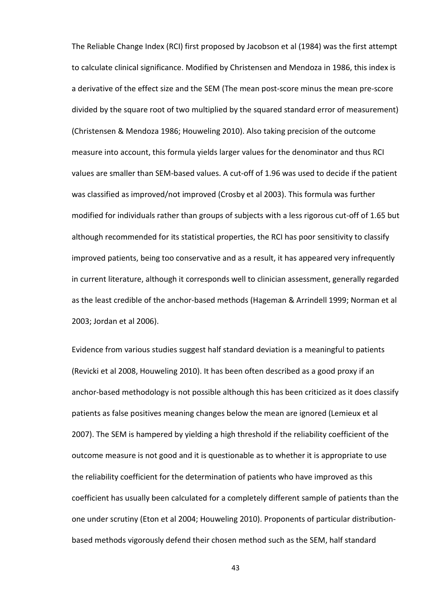The Reliable Change Index (RCI) first proposed by Jacobson et al (1984) was the first attempt to calculate clinical significance. Modified by Christensen and Mendoza in 1986, this index is a derivative of the effect size and the SEM (The mean post-score minus the mean pre-score divided by the square root of two multiplied by the squared standard error of measurement) (Christensen & Mendoza 1986; Houweling 2010). Also taking precision of the outcome measure into account, this formula yields larger values for the denominator and thus RCI values are smaller than SEM-based values. A cut-off of 1.96 was used to decide if the patient was classified as improved/not improved (Crosby et al 2003). This formula was further modified for individuals rather than groups of subjects with a less rigorous cut-off of 1.65 but although recommended for its statistical properties, the RCI has poor sensitivity to classify improved patients, being too conservative and as a result, it has appeared very infrequently in current literature, although it corresponds well to clinician assessment, generally regarded as the least credible of the anchor-based methods (Hageman & Arrindell 1999; Norman et al 2003; Jordan et al 2006).

Evidence from various studies suggest half standard deviation is a meaningful to patients (Revicki et al 2008, Houweling 2010). It has been often described as a good proxy if an anchor-based methodology is not possible although this has been criticized as it does classify patients as false positives meaning changes below the mean are ignored (Lemieux et al 2007). The SEM is hampered by yielding a high threshold if the reliability coefficient of the outcome measure is not good and it is questionable as to whether it is appropriate to use the reliability coefficient for the determination of patients who have improved as this coefficient has usually been calculated for a completely different sample of patients than the one under scrutiny (Eton et al 2004; Houweling 2010). Proponents of particular distributionbased methods vigorously defend their chosen method such as the SEM, half standard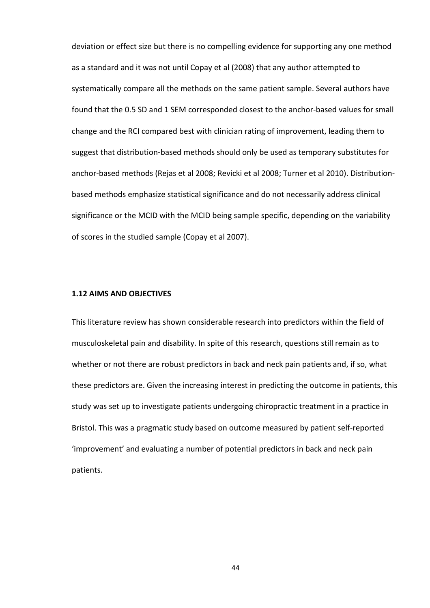deviation or effect size but there is no compelling evidence for supporting any one method as a standard and it was not until Copay et al (2008) that any author attempted to systematically compare all the methods on the same patient sample. Several authors have found that the 0.5 SD and 1 SEM corresponded closest to the anchor-based values for small change and the RCI compared best with clinician rating of improvement, leading them to suggest that distribution-based methods should only be used as temporary substitutes for anchor-based methods (Rejas et al 2008; Revicki et al 2008; Turner et al 2010). Distributionbased methods emphasize statistical significance and do not necessarily address clinical significance or the MCID with the MCID being sample specific, depending on the variability of scores in the studied sample (Copay et al 2007).

#### 1.12 AIMS AND OBJECTIVES

This literature review has shown considerable research into predictors within the field of musculoskeletal pain and disability. In spite of this research, questions still remain as to whether or not there are robust predictors in back and neck pain patients and, if so, what these predictors are. Given the increasing interest in predicting the outcome in patients, this study was set up to investigate patients undergoing chiropractic treatment in a practice in Bristol. This was a pragmatic study based on outcome measured by patient self-reported 'improvement' and evaluating a number of potential predictors in back and neck pain patients.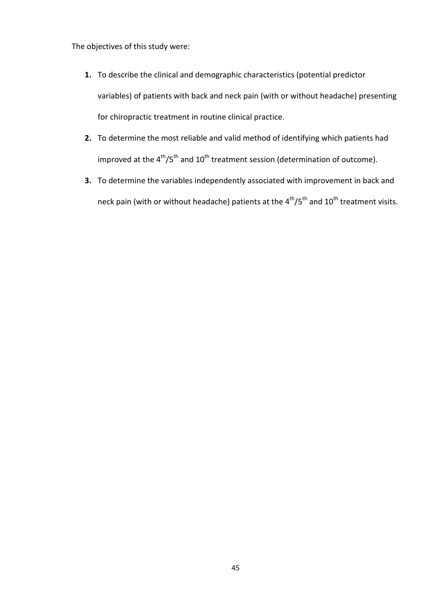The objectives of this study were:

- 1. To describe the clinical and demographic characteristics (potential predictor variables) of patients with back and neck pain (with or without headache) presenting for chiropractic treatment in routine clinical practice.
- 2. To determine the most reliable and valid method of identifying which patients had improved at the  $4^{th}/5^{th}$  and  $10^{th}$  treatment session (determination of outcome).
- 3. To determine the variables independently associated with improvement in back and neck pain (with or without headache) patients at the  $4^{\text{th}}/5^{\text{th}}$  and  $10^{\text{th}}$  treatment visits.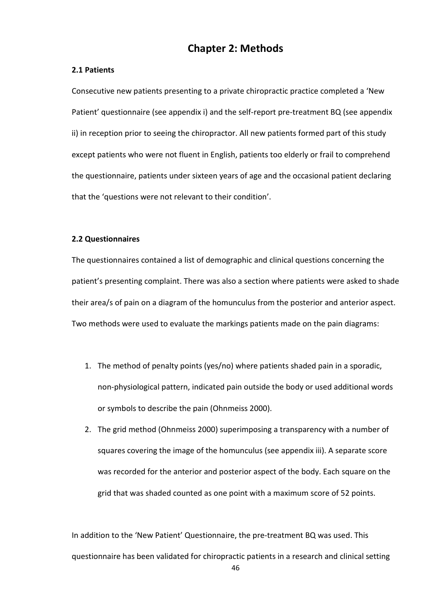## Chapter 2: Methods

### 2.1 Patients

Consecutive new patients presenting to a private chiropractic practice completed a 'New Patient' questionnaire (see appendix i) and the self-report pre-treatment BQ (see appendix ii) in reception prior to seeing the chiropractor. All new patients formed part of this study except patients who were not fluent in English, patients too elderly or frail to comprehend the questionnaire, patients under sixteen years of age and the occasional patient declaring that the 'questions were not relevant to their condition'.

### 2.2 Questionnaires

The questionnaires contained a list of demographic and clinical questions concerning the patient's presenting complaint. There was also a section where patients were asked to shade their area/s of pain on a diagram of the homunculus from the posterior and anterior aspect. Two methods were used to evaluate the markings patients made on the pain diagrams:

- 1. The method of penalty points (yes/no) where patients shaded pain in a sporadic, non-physiological pattern, indicated pain outside the body or used additional words or symbols to describe the pain (Ohnmeiss 2000).
- 2. The grid method (Ohnmeiss 2000) superimposing a transparency with a number of squares covering the image of the homunculus (see appendix iii). A separate score was recorded for the anterior and posterior aspect of the body. Each square on the grid that was shaded counted as one point with a maximum score of 52 points.

In addition to the 'New Patient' Questionnaire, the pre-treatment BQ was used. This questionnaire has been validated for chiropractic patients in a research and clinical setting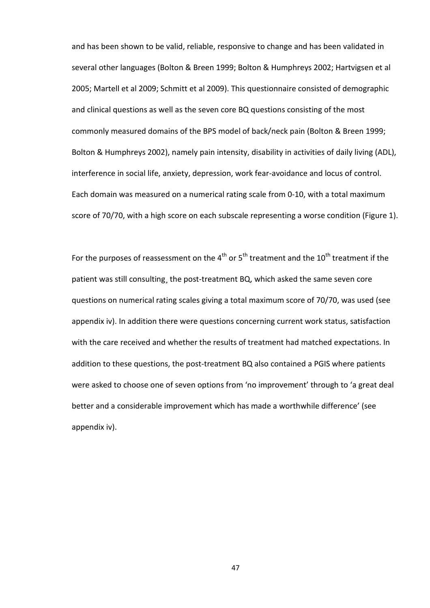and has been shown to be valid, reliable, responsive to change and has been validated in several other languages (Bolton & Breen 1999; Bolton & Humphreys 2002; Hartvigsen et al 2005; Martell et al 2009; Schmitt et al 2009). This questionnaire consisted of demographic and clinical questions as well as the seven core BQ questions consisting of the most commonly measured domains of the BPS model of back/neck pain (Bolton & Breen 1999; Bolton & Humphreys 2002), namely pain intensity, disability in activities of daily living (ADL), interference in social life, anxiety, depression, work fear-avoidance and locus of control. Each domain was measured on a numerical rating scale from 0-10, with a total maximum score of 70/70, with a high score on each subscale representing a worse condition (Figure 1).

For the purposes of reassessment on the  $4<sup>th</sup>$  or 5<sup>th</sup> treatment and the 10<sup>th</sup> treatment if the patient was still consulting¸ the post-treatment BQ, which asked the same seven core questions on numerical rating scales giving a total maximum score of 70/70, was used (see appendix iv). In addition there were questions concerning current work status, satisfaction with the care received and whether the results of treatment had matched expectations. In addition to these questions, the post-treatment BQ also contained a PGIS where patients were asked to choose one of seven options from 'no improvement' through to 'a great deal better and a considerable improvement which has made a worthwhile difference' (see appendix iv).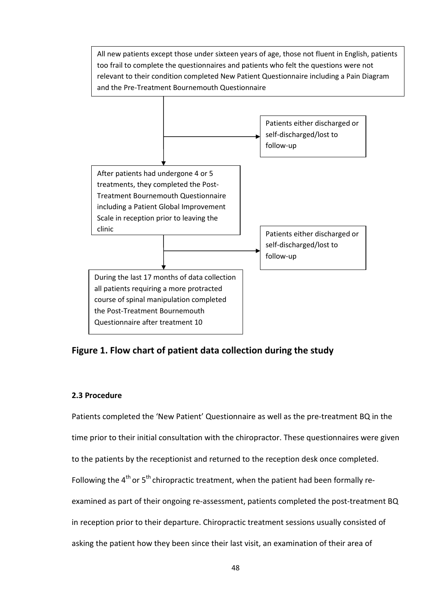

Figure 1. Flow chart of patient data collection during the study

### 2.3 Procedure

Patients completed the 'New Patient' Questionnaire as well as the pre-treatment BQ in the time prior to their initial consultation with the chiropractor. These questionnaires were given to the patients by the receptionist and returned to the reception desk once completed. Following the  $4<sup>th</sup>$  or  $5<sup>th</sup>$  chiropractic treatment, when the patient had been formally reexamined as part of their ongoing re-assessment, patients completed the post-treatment BQ in reception prior to their departure. Chiropractic treatment sessions usually consisted of asking the patient how they been since their last visit, an examination of their area of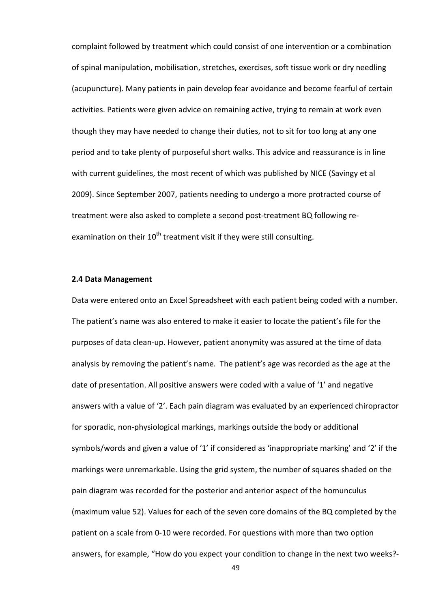complaint followed by treatment which could consist of one intervention or a combination of spinal manipulation, mobilisation, stretches, exercises, soft tissue work or dry needling (acupuncture). Many patients in pain develop fear avoidance and become fearful of certain activities. Patients were given advice on remaining active, trying to remain at work even though they may have needed to change their duties, not to sit for too long at any one period and to take plenty of purposeful short walks. This advice and reassurance is in line with current guidelines, the most recent of which was published by NICE (Savingy et al 2009). Since September 2007, patients needing to undergo a more protracted course of treatment were also asked to complete a second post-treatment BQ following reexamination on their  $10^{th}$  treatment visit if they were still consulting.

#### 2.4 Data Management

Data were entered onto an Excel Spreadsheet with each patient being coded with a number. The patient's name was also entered to make it easier to locate the patient's file for the purposes of data clean-up. However, patient anonymity was assured at the time of data analysis by removing the patient's name. The patient's age was recorded as the age at the date of presentation. All positive answers were coded with a value of '1' and negative answers with a value of '2'. Each pain diagram was evaluated by an experienced chiropractor for sporadic, non-physiological markings, markings outside the body or additional symbols/words and given a value of '1' if considered as 'inappropriate marking' and '2' if the markings were unremarkable. Using the grid system, the number of squares shaded on the pain diagram was recorded for the posterior and anterior aspect of the homunculus (maximum value 52). Values for each of the seven core domains of the BQ completed by the patient on a scale from 0-10 were recorded. For questions with more than two option answers, for example, "How do you expect your condition to change in the next two weeks?-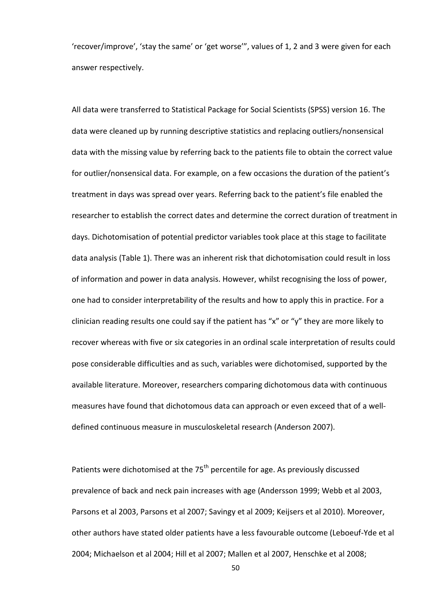'recover/improve', 'stay the same' or 'get worse'", values of 1, 2 and 3 were given for each answer respectively.

All data were transferred to Statistical Package for Social Scientists (SPSS) version 16. The data were cleaned up by running descriptive statistics and replacing outliers/nonsensical data with the missing value by referring back to the patients file to obtain the correct value for outlier/nonsensical data. For example, on a few occasions the duration of the patient's treatment in days was spread over years. Referring back to the patient's file enabled the researcher to establish the correct dates and determine the correct duration of treatment in days. Dichotomisation of potential predictor variables took place at this stage to facilitate data analysis (Table 1). There was an inherent risk that dichotomisation could result in loss of information and power in data analysis. However, whilst recognising the loss of power, one had to consider interpretability of the results and how to apply this in practice. For a clinician reading results one could say if the patient has "x" or "y" they are more likely to recover whereas with five or six categories in an ordinal scale interpretation of results could pose considerable difficulties and as such, variables were dichotomised, supported by the available literature. Moreover, researchers comparing dichotomous data with continuous measures have found that dichotomous data can approach or even exceed that of a welldefined continuous measure in musculoskeletal research (Anderson 2007).

Patients were dichotomised at the  $75<sup>th</sup>$  percentile for age. As previously discussed prevalence of back and neck pain increases with age (Andersson 1999; Webb et al 2003, Parsons et al 2003, Parsons et al 2007; Savingy et al 2009; Keijsers et al 2010). Moreover, other authors have stated older patients have a less favourable outcome (Leboeuf-Yde et al 2004; Michaelson et al 2004; Hill et al 2007; Mallen et al 2007, Henschke et al 2008;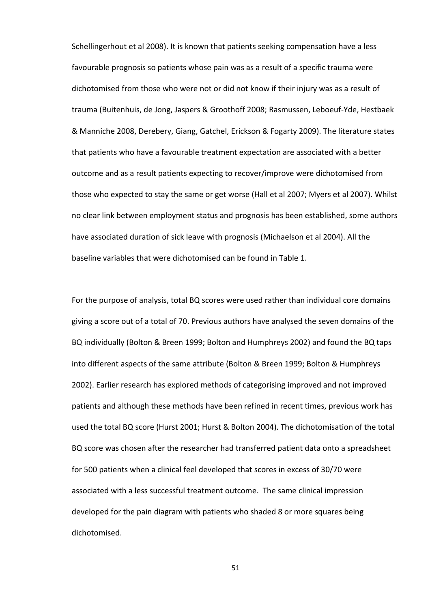Schellingerhout et al 2008). It is known that patients seeking compensation have a less favourable prognosis so patients whose pain was as a result of a specific trauma were dichotomised from those who were not or did not know if their injury was as a result of trauma (Buitenhuis, de Jong, Jaspers & Groothoff 2008; Rasmussen, Leboeuf-Yde, Hestbaek & Manniche 2008, Derebery, Giang, Gatchel, Erickson & Fogarty 2009). The literature states that patients who have a favourable treatment expectation are associated with a better outcome and as a result patients expecting to recover/improve were dichotomised from those who expected to stay the same or get worse (Hall et al 2007; Myers et al 2007). Whilst no clear link between employment status and prognosis has been established, some authors have associated duration of sick leave with prognosis (Michaelson et al 2004). All the baseline variables that were dichotomised can be found in Table 1.

For the purpose of analysis, total BQ scores were used rather than individual core domains giving a score out of a total of 70. Previous authors have analysed the seven domains of the BQ individually (Bolton & Breen 1999; Bolton and Humphreys 2002) and found the BQ taps into different aspects of the same attribute (Bolton & Breen 1999; Bolton & Humphreys 2002). Earlier research has explored methods of categorising improved and not improved patients and although these methods have been refined in recent times, previous work has used the total BQ score (Hurst 2001; Hurst & Bolton 2004). The dichotomisation of the total BQ score was chosen after the researcher had transferred patient data onto a spreadsheet for 500 patients when a clinical feel developed that scores in excess of 30/70 were associated with a less successful treatment outcome. The same clinical impression developed for the pain diagram with patients who shaded 8 or more squares being dichotomised.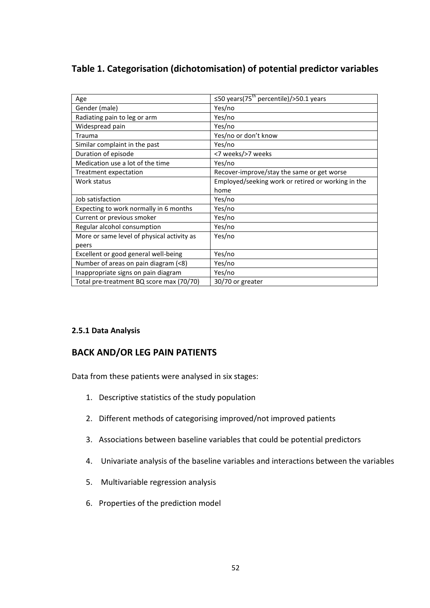## Table 1. Categorisation (dichotomisation) of potential predictor variables

| Age                                        | $\leq$ 50 years(75 <sup>th</sup> percentile)/>50.1 years |
|--------------------------------------------|----------------------------------------------------------|
| Gender (male)                              | Yes/no                                                   |
| Radiating pain to leg or arm               | Yes/no                                                   |
| Widespread pain                            | Yes/no                                                   |
| Trauma                                     | Yes/no or don't know                                     |
| Similar complaint in the past              | Yes/no                                                   |
| Duration of episode                        | <7 weeks/>7 weeks                                        |
| Medication use a lot of the time           | Yes/no                                                   |
| Treatment expectation                      | Recover-improve/stay the same or get worse               |
| Work status                                | Employed/seeking work or retired or working in the       |
|                                            | home                                                     |
| Job satisfaction                           | Yes/no                                                   |
| Expecting to work normally in 6 months     | Yes/no                                                   |
| Current or previous smoker                 | Yes/no                                                   |
| Regular alcohol consumption                | Yes/no                                                   |
| More or same level of physical activity as | Yes/no                                                   |
| peers                                      |                                                          |
| Excellent or good general well-being       | Yes/no                                                   |
| Number of areas on pain diagram (<8)       | Yes/no                                                   |
| Inappropriate signs on pain diagram        | Yes/no                                                   |
| Total pre-treatment BQ score max (70/70)   | 30/70 or greater                                         |

### 2.5.1 Data Analysis

## BACK AND/OR LEG PAIN PATIENTS

Data from these patients were analysed in six stages:

- 1. Descriptive statistics of the study population
- 2. Different methods of categorising improved/not improved patients
- 3. Associations between baseline variables that could be potential predictors
- 4. Univariate analysis of the baseline variables and interactions between the variables
- 5. Multivariable regression analysis
- 6. Properties of the prediction model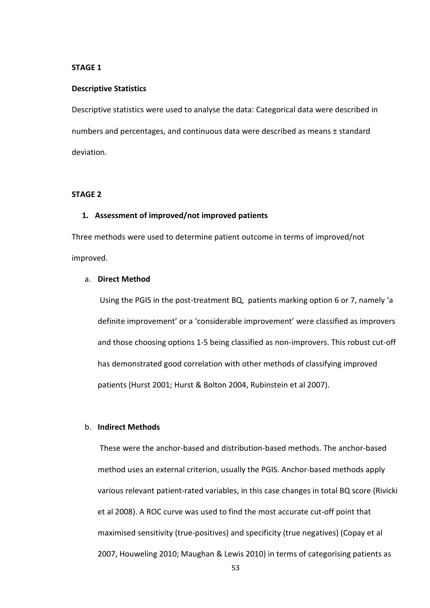### STAGE 1

#### Descriptive Statistics

Descriptive statistics were used to analyse the data: Categorical data were described in numbers and percentages, and continuous data were described as means ± standard deviation.

#### STAGE 2

#### 1. Assessment of improved/not improved patients

Three methods were used to determine patient outcome in terms of improved/not improved.

#### a. Direct Method

 Using the PGIS in the post-treatment BQ, patients marking option 6 or 7, namely 'a definite improvement' or a 'considerable improvement' were classified as improvers and those choosing options 1-5 being classified as non-improvers. This robust cut-off has demonstrated good correlation with other methods of classifying improved patients (Hurst 2001; Hurst & Bolton 2004, Rubinstein et al 2007).

#### b. Indirect Methods

 These were the anchor-based and distribution-based methods. The anchor-based method uses an external criterion, usually the PGIS. Anchor-based methods apply various relevant patient-rated variables, in this case changes in total BQ score (Rivicki et al 2008). A ROC curve was used to find the most accurate cut-off point that maximised sensitivity (true-positives) and specificity (true negatives) (Copay et al 2007, Houweling 2010; Maughan & Lewis 2010) in terms of categorising patients as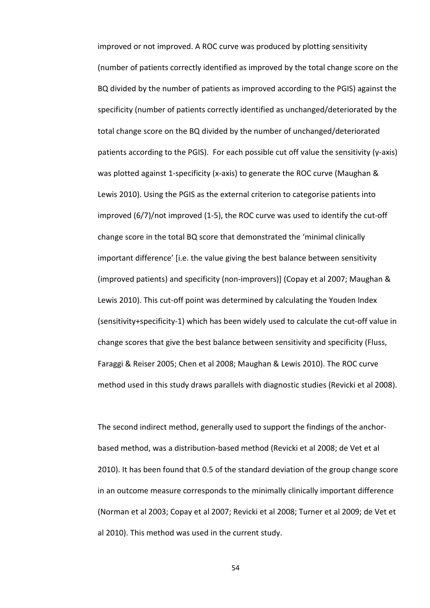improved or not improved. A ROC curve was produced by plotting sensitivity (number of patients correctly identified as improved by the total change score on the BQ divided by the number of patients as improved according to the PGIS) against the specificity (number of patients correctly identified as unchanged/deteriorated by the total change score on the BQ divided by the number of unchanged/deteriorated patients according to the PGIS). For each possible cut off value the sensitivity (y-axis) was plotted against 1-specificity (x-axis) to generate the ROC curve (Maughan & Lewis 2010). Using the PGIS as the external criterion to categorise patients into improved (6/7)/not improved (1-5), the ROC curve was used to identify the cut-off change score in the total BQ score that demonstrated the 'minimal clinically important difference' [i.e. the value giving the best balance between sensitivity (improved patients) and specificity (non-improvers)] (Copay et al 2007; Maughan & Lewis 2010). This cut-off point was determined by calculating the Youden Index (sensitivity+specificity-1) which has been widely used to calculate the cut-off value in change scores that give the best balance between sensitivity and specificity (Fluss, Faraggi & Reiser 2005; Chen et al 2008; Maughan & Lewis 2010). The ROC curve method used in this study draws parallels with diagnostic studies (Revicki et al 2008).

The second indirect method, generally used to support the findings of the anchorbased method, was a distribution-based method (Revicki et al 2008; de Vet et al 2010). It has been found that 0.5 of the standard deviation of the group change score in an outcome measure corresponds to the minimally clinically important difference (Norman et al 2003; Copay et al 2007; Revicki et al 2008; Turner et al 2009; de Vet et al 2010). This method was used in the current study.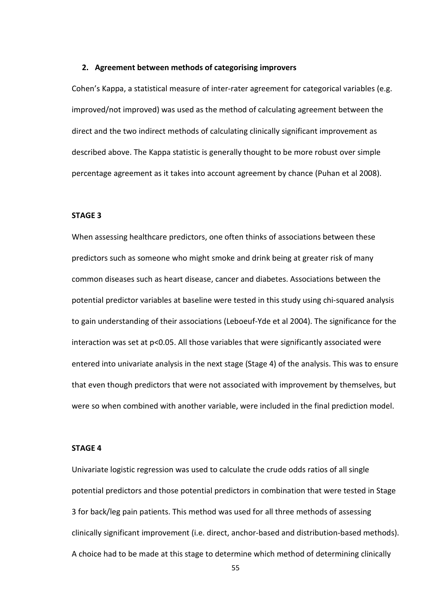#### 2. Agreement between methods of categorising improvers

Cohen's Kappa, a statistical measure of inter-rater agreement for categorical variables (e.g. improved/not improved) was used as the method of calculating agreement between the direct and the two indirect methods of calculating clinically significant improvement as described above. The Kappa statistic is generally thought to be more robust over simple percentage agreement as it takes into account agreement by chance (Puhan et al 2008).

#### STAGE 3

When assessing healthcare predictors, one often thinks of associations between these predictors such as someone who might smoke and drink being at greater risk of many common diseases such as heart disease, cancer and diabetes. Associations between the potential predictor variables at baseline were tested in this study using chi-squared analysis to gain understanding of their associations (Leboeuf-Yde et al 2004). The significance for the interaction was set at p<0.05. All those variables that were significantly associated were entered into univariate analysis in the next stage (Stage 4) of the analysis. This was to ensure that even though predictors that were not associated with improvement by themselves, but were so when combined with another variable, were included in the final prediction model.

#### STAGE 4

Univariate logistic regression was used to calculate the crude odds ratios of all single potential predictors and those potential predictors in combination that were tested in Stage 3 for back/leg pain patients. This method was used for all three methods of assessing clinically significant improvement (i.e. direct, anchor-based and distribution-based methods). A choice had to be made at this stage to determine which method of determining clinically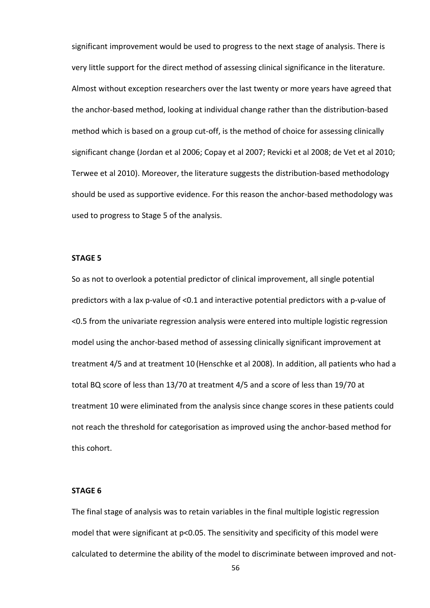significant improvement would be used to progress to the next stage of analysis. There is very little support for the direct method of assessing clinical significance in the literature. Almost without exception researchers over the last twenty or more years have agreed that the anchor-based method, looking at individual change rather than the distribution-based method which is based on a group cut-off, is the method of choice for assessing clinically significant change (Jordan et al 2006; Copay et al 2007; Revicki et al 2008; de Vet et al 2010; Terwee et al 2010). Moreover, the literature suggests the distribution-based methodology should be used as supportive evidence. For this reason the anchor-based methodology was used to progress to Stage 5 of the analysis.

#### STAGE 5

So as not to overlook a potential predictor of clinical improvement, all single potential predictors with a lax p-value of <0.1 and interactive potential predictors with a p-value of <0.5 from the univariate regression analysis were entered into multiple logistic regression model using the anchor-based method of assessing clinically significant improvement at treatment 4/5 and at treatment 10 (Henschke et al 2008). In addition, all patients who had a total BQ score of less than 13/70 at treatment 4/5 and a score of less than 19/70 at treatment 10 were eliminated from the analysis since change scores in these patients could not reach the threshold for categorisation as improved using the anchor-based method for this cohort.

#### STAGE 6

The final stage of analysis was to retain variables in the final multiple logistic regression model that were significant at p<0.05. The sensitivity and specificity of this model were calculated to determine the ability of the model to discriminate between improved and not-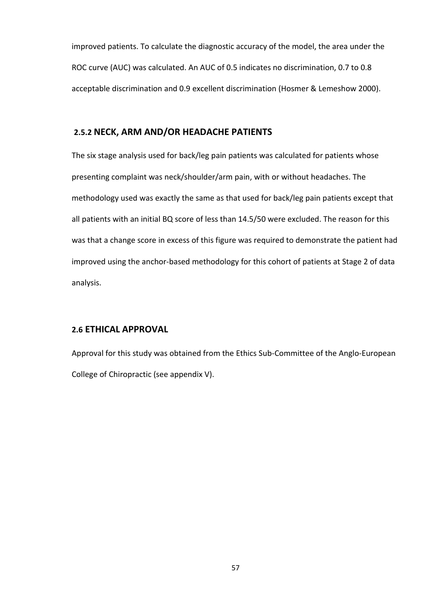improved patients. To calculate the diagnostic accuracy of the model, the area under the ROC curve (AUC) was calculated. An AUC of 0.5 indicates no discrimination, 0.7 to 0.8 acceptable discrimination and 0.9 excellent discrimination (Hosmer & Lemeshow 2000).

### 2.5.2 NECK, ARM AND/OR HEADACHE PATIENTS

The six stage analysis used for back/leg pain patients was calculated for patients whose presenting complaint was neck/shoulder/arm pain, with or without headaches. The methodology used was exactly the same as that used for back/leg pain patients except that all patients with an initial BQ score of less than 14.5/50 were excluded. The reason for this was that a change score in excess of this figure was required to demonstrate the patient had improved using the anchor-based methodology for this cohort of patients at Stage 2 of data analysis.

### 2.6 ETHICAL APPROVAL

Approval for this study was obtained from the Ethics Sub-Committee of the Anglo-European College of Chiropractic (see appendix V).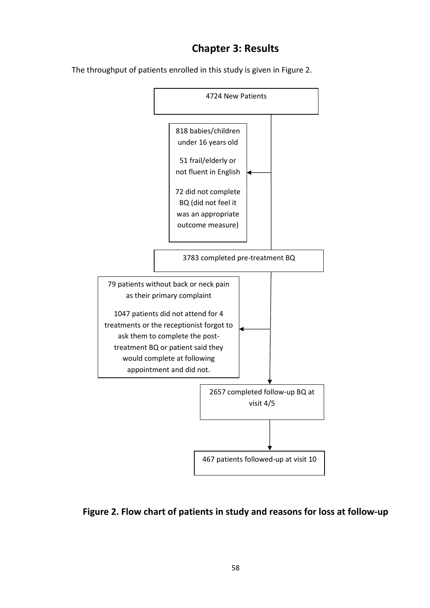# Chapter 3: Results

The throughput of patients enrolled in this study is given in Figure 2.



## Figure 2. Flow chart of patients in study and reasons for loss at follow-up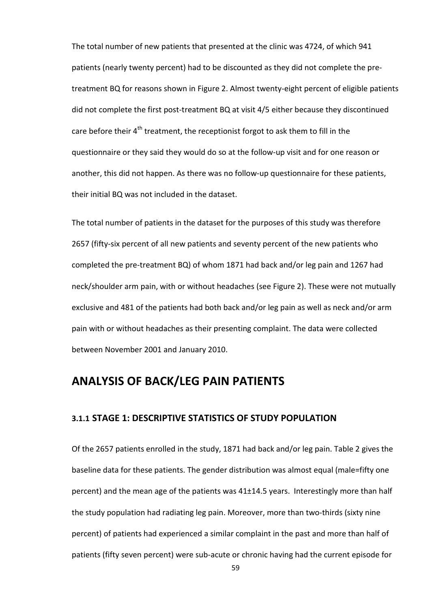The total number of new patients that presented at the clinic was 4724, of which 941 patients (nearly twenty percent) had to be discounted as they did not complete the pretreatment BQ for reasons shown in Figure 2. Almost twenty-eight percent of eligible patients did not complete the first post-treatment BQ at visit 4/5 either because they discontinued care before their 4<sup>th</sup> treatment, the receptionist forgot to ask them to fill in the questionnaire or they said they would do so at the follow-up visit and for one reason or another, this did not happen. As there was no follow-up questionnaire for these patients, their initial BQ was not included in the dataset.

The total number of patients in the dataset for the purposes of this study was therefore 2657 (fifty-six percent of all new patients and seventy percent of the new patients who completed the pre-treatment BQ) of whom 1871 had back and/or leg pain and 1267 had neck/shoulder arm pain, with or without headaches (see Figure 2). These were not mutually exclusive and 481 of the patients had both back and/or leg pain as well as neck and/or arm pain with or without headaches as their presenting complaint. The data were collected between November 2001 and January 2010.

# ANALYSIS OF BACK/LEG PAIN PATIENTS

### 3.1.1 STAGE 1: DESCRIPTIVE STATISTICS OF STUDY POPULATION

Of the 2657 patients enrolled in the study, 1871 had back and/or leg pain. Table 2 gives the baseline data for these patients. The gender distribution was almost equal (male=fifty one percent) and the mean age of the patients was 41±14.5 years. Interestingly more than half the study population had radiating leg pain. Moreover, more than two-thirds (sixty nine percent) of patients had experienced a similar complaint in the past and more than half of patients (fifty seven percent) were sub-acute or chronic having had the current episode for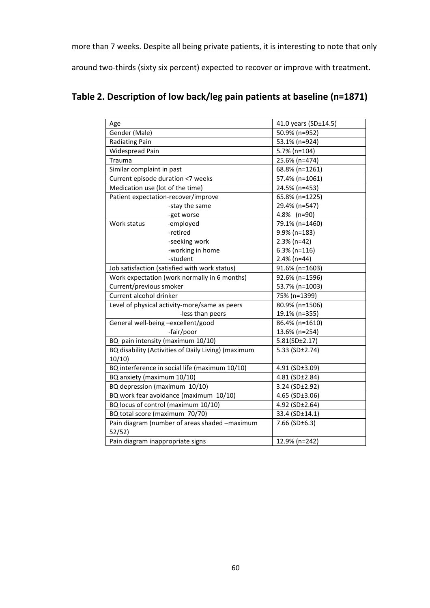more than 7 weeks. Despite all being private patients, it is interesting to note that only

around two-thirds (sixty six percent) expected to recover or improve with treatment.

# Table 2. Description of low back/leg pain patients at baseline (n=1871)

| Age                                |                                                     | 41.0 years (SD±14.5)    |  |  |
|------------------------------------|-----------------------------------------------------|-------------------------|--|--|
| Gender (Male)                      |                                                     | 50.9% (n=952)           |  |  |
| Radiating Pain                     |                                                     | 53.1% (n=924)           |  |  |
| Widespread Pain                    |                                                     | 5.7% (n=104)            |  |  |
| Trauma                             |                                                     | 25.6% (n=474)           |  |  |
| Similar complaint in past          |                                                     | 68.8% (n=1261)          |  |  |
| Current episode duration <7 weeks  |                                                     | 57.4% (n=1061)          |  |  |
| Medication use (lot of the time)   |                                                     | 24.5% (n=453)           |  |  |
|                                    | Patient expectation-recover/improve                 | 65.8% (n=1225)          |  |  |
|                                    | -stay the same                                      | 29.4% (n=547)           |  |  |
|                                    | -get worse                                          | 4.8% (n=90)             |  |  |
| Work status                        | -employed                                           | 79.1% (n=1460)          |  |  |
|                                    | -retired                                            | 9.9% (n=183)            |  |  |
|                                    | -seeking work                                       | $2.3%$ (n=42)           |  |  |
|                                    | -working in home                                    | $6.3\%$ (n=116)         |  |  |
|                                    | -student                                            | $2.4\%$ (n=44)          |  |  |
|                                    | Job satisfaction (satisfied with work status)       | 91.6% (n=1603)          |  |  |
|                                    | Work expectation (work normally in 6 months)        | 92.6% (n=1596)          |  |  |
| Current/previous smoker            |                                                     | 53.7% (n=1003)          |  |  |
| Current alcohol drinker            |                                                     | 75% (n=1399)            |  |  |
|                                    | Level of physical activity-more/same as peers       | 80.9% (n=1506)          |  |  |
|                                    | -less than peers                                    | 19.1% (n=355)           |  |  |
| General well-being -excellent/good |                                                     | 86.4% (n=1610)          |  |  |
|                                    | -fair/poor                                          | 13.6% (n=254)           |  |  |
|                                    | BQ pain intensity (maximum 10/10)                   | 5.81(SD±2.17)           |  |  |
|                                    | BQ disability (Activities of Daily Living) (maximum | 5.33 (SD±2.74)          |  |  |
| 10/10                              |                                                     |                         |  |  |
|                                    | BQ interference in social life (maximum 10/10)      | 4.91 (SD±3.09)          |  |  |
| BQ anxiety (maximum 10/10)         |                                                     | $4.81$ (SD $\pm 2.84$ ) |  |  |
| BQ depression (maximum 10/10)      |                                                     | 3.24 (SD±2.92)          |  |  |
|                                    | BQ work fear avoidance (maximum 10/10)              | 4.65 (SD $\pm$ 3.06)    |  |  |
|                                    | BQ locus of control (maximum 10/10)                 | 4.92 (SD±2.64)          |  |  |
| BQ total score (maximum 70/70)     |                                                     | 33.4 (SD±14.1)          |  |  |
|                                    | Pain diagram (number of areas shaded -maximum       | 7.66 (SD $\pm$ 6.3)     |  |  |
| 52/52)                             |                                                     |                         |  |  |
| Pain diagram inappropriate signs   |                                                     | 12.9% (n=242)           |  |  |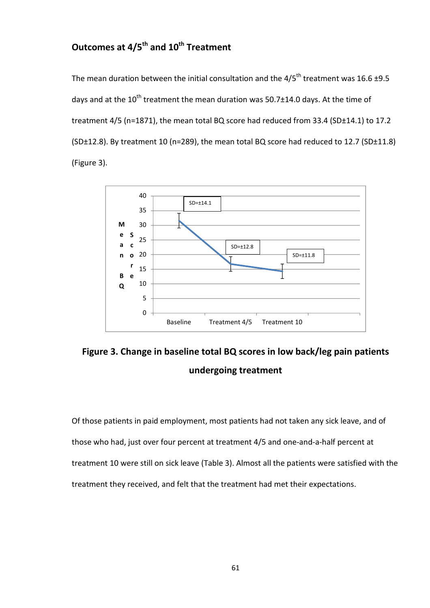# Outcomes at 4/5<sup>th</sup> and 10<sup>th</sup> Treatment

The mean duration between the initial consultation and the  $4/5^{th}$  treatment was 16.6 ±9.5 days and at the 10<sup>th</sup> treatment the mean duration was 50.7 $\pm$ 14.0 days. At the time of treatment 4/5 (n=1871), the mean total BQ score had reduced from 33.4 (SD±14.1) to 17.2 (SD±12.8). By treatment 10 (n=289), the mean total BQ score had reduced to 12.7 (SD±11.8) (Figure 3).



Figure 3. Change in baseline total BQ scores in low back/leg pain patients undergoing treatment

Of those patients in paid employment, most patients had not taken any sick leave, and of those who had, just over four percent at treatment 4/5 and one-and-a-half percent at treatment 10 were still on sick leave (Table 3). Almost all the patients were satisfied with the treatment they received, and felt that the treatment had met their expectations.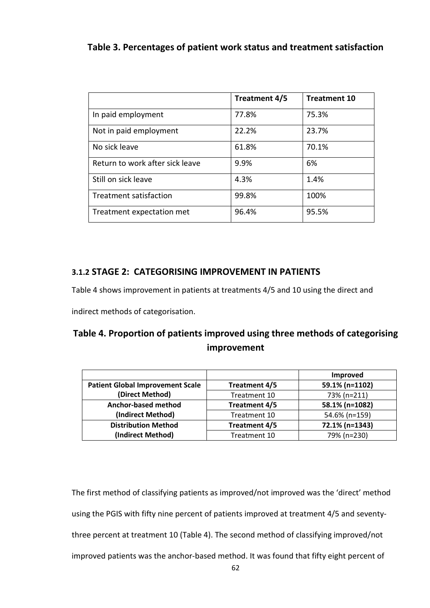## Table 3. Percentages of patient work status and treatment satisfaction

|                                 | Treatment 4/5 | <b>Treatment 10</b> |
|---------------------------------|---------------|---------------------|
| In paid employment              | 77.8%         | 75.3%               |
| Not in paid employment          | 22.2%         | 23.7%               |
| No sick leave                   | 61.8%         | 70.1%               |
| Return to work after sick leave | 9.9%          | 6%                  |
| Still on sick leave             | 4.3%          | 1.4%                |
| Treatment satisfaction          | 99.8%         | 100%                |
| Treatment expectation met       | 96.4%         | 95.5%               |

## 3.1.2 STAGE 2: CATEGORISING IMPROVEMENT IN PATIENTS

Table 4 shows improvement in patients at treatments 4/5 and 10 using the direct and

indirect methods of categorisation.

# Table 4. Proportion of patients improved using three methods of categorising improvement

|                                         |               | Improved       |
|-----------------------------------------|---------------|----------------|
| <b>Patient Global Improvement Scale</b> | Treatment 4/5 | 59.1% (n=1102) |
| (Direct Method)                         | Treatment 10  | 73% (n=211)    |
| Anchor-based method                     | Treatment 4/5 | 58.1% (n=1082) |
| (Indirect Method)                       | Treatment 10  | 54.6% (n=159)  |
| <b>Distribution Method</b>              | Treatment 4/5 | 72.1% (n=1343) |
| (Indirect Method)                       | Treatment 10  | 79% (n=230)    |

The first method of classifying patients as improved/not improved was the 'direct' method using the PGIS with fifty nine percent of patients improved at treatment 4/5 and seventythree percent at treatment 10 (Table 4). The second method of classifying improved/not improved patients was the anchor-based method. It was found that fifty eight percent of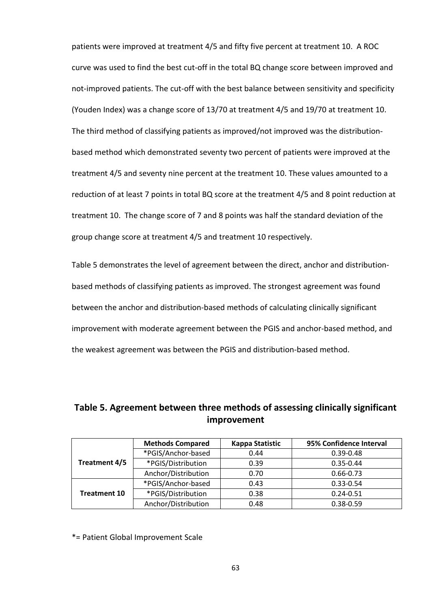patients were improved at treatment 4/5 and fifty five percent at treatment 10. A ROC curve was used to find the best cut-off in the total BQ change score between improved and not-improved patients. The cut-off with the best balance between sensitivity and specificity (Youden Index) was a change score of 13/70 at treatment 4/5 and 19/70 at treatment 10. The third method of classifying patients as improved/not improved was the distributionbased method which demonstrated seventy two percent of patients were improved at the treatment 4/5 and seventy nine percent at the treatment 10. These values amounted to a reduction of at least 7 points in total BQ score at the treatment 4/5 and 8 point reduction at treatment 10. The change score of 7 and 8 points was half the standard deviation of the group change score at treatment 4/5 and treatment 10 respectively.

Table 5 demonstrates the level of agreement between the direct, anchor and distributionbased methods of classifying patients as improved. The strongest agreement was found between the anchor and distribution-based methods of calculating clinically significant improvement with moderate agreement between the PGIS and anchor-based method, and the weakest agreement was between the PGIS and distribution-based method.

|                     | <b>Methods Compared</b> | Kappa Statistic | 95% Confidence Interval |
|---------------------|-------------------------|-----------------|-------------------------|
|                     | *PGIS/Anchor-based      | 0.44            | $0.39 - 0.48$           |
| Treatment 4/5       | *PGIS/Distribution      | 0.39            | $0.35 - 0.44$           |
|                     | Anchor/Distribution     | 0.70            | $0.66 - 0.73$           |
|                     | *PGIS/Anchor-based      | 0.43            | $0.33 - 0.54$           |
| <b>Treatment 10</b> | *PGIS/Distribution      | 0.38            | $0.24 - 0.51$           |
|                     | Anchor/Distribution     | 0.48            | $0.38 - 0.59$           |

Table 5. Agreement between three methods of assessing clinically significant improvement

\*= Patient Global Improvement Scale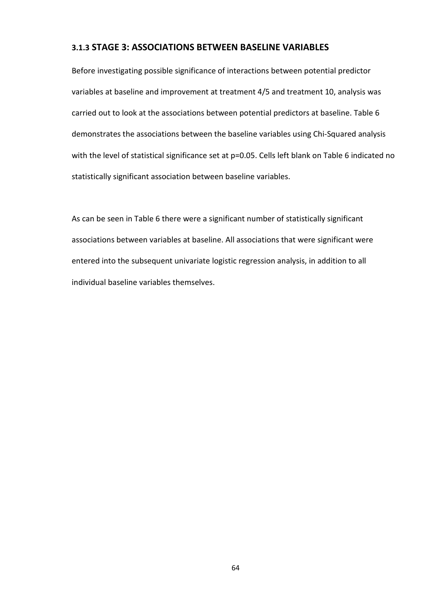### 3.1.3 STAGE 3: ASSOCIATIONS BETWEEN BASELINE VARIABLES

Before investigating possible significance of interactions between potential predictor variables at baseline and improvement at treatment 4/5 and treatment 10, analysis was carried out to look at the associations between potential predictors at baseline. Table 6 demonstrates the associations between the baseline variables using Chi-Squared analysis with the level of statistical significance set at p=0.05. Cells left blank on Table 6 indicated no statistically significant association between baseline variables.

As can be seen in Table 6 there were a significant number of statistically significant associations between variables at baseline. All associations that were significant were entered into the subsequent univariate logistic regression analysis, in addition to all individual baseline variables themselves.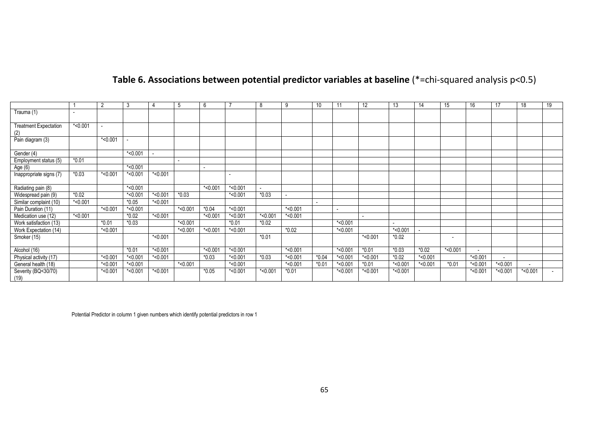## **Table 6. Associations between potential predictor variables at baseline** (\*=chi-squared analysis p<0.5)

|                                     |                          | $\overline{2}$ | 3          |            | 5          | 6              |            | 8          | 9          | 10      | 11                       | 12         | 13         | 14         | 15                       | 16         | 17         | 18                       | 19 |
|-------------------------------------|--------------------------|----------------|------------|------------|------------|----------------|------------|------------|------------|---------|--------------------------|------------|------------|------------|--------------------------|------------|------------|--------------------------|----|
| Trauma (1)                          | $\overline{\phantom{0}}$ |                |            |            |            |                |            |            |            |         |                          |            |            |            |                          |            |            |                          |    |
| <b>Treatment Expectation</b><br>(2) | $*$ <0.001               |                |            |            |            |                |            |            |            |         |                          |            |            |            |                          |            |            |                          |    |
| Pain diagram (3)                    |                          | $*<0.001$      |            |            |            |                |            |            |            |         |                          |            |            |            |                          |            |            |                          |    |
| Gender (4)                          |                          |                | $*$ <0.001 |            |            |                |            |            |            |         |                          |            |            |            |                          |            |            |                          |    |
| Employment status (5)               | $*0.01$                  |                |            |            | -          |                |            |            |            |         |                          |            |            |            |                          |            |            |                          |    |
| Age (6)                             |                          |                | $*$ <0.001 |            |            | $\blacksquare$ |            |            |            |         |                          |            |            |            |                          |            |            |                          |    |
| Inappropriate signs (7)             | $*0.03$                  | $*<0.001$      | $*$ <0.001 | $*$ <0.001 |            |                |            |            |            |         |                          |            |            |            |                          |            |            |                          |    |
| Radiating pain (8)                  |                          |                | $*$ <0.001 |            |            | $*$ <0.001     | $*$ <0.001 |            |            |         |                          |            |            |            |                          |            |            |                          |    |
| Widespread pain (9)                 | $*0.02$                  |                | $*$ <0.001 | $*$ <0.001 | $*0.03$    |                | $*$ <0.001 | $*0.03$    |            |         |                          |            |            |            |                          |            |            |                          |    |
| Similar complaint (10)              | $*$ <0.001               |                | $*0.05$    | $*$ <0.001 |            |                |            |            |            |         |                          |            |            |            |                          |            |            |                          |    |
| Pain Duration (11)                  |                          | $*$ <0.001     | $*$ <0.001 |            | $*$ <0.001 | $*0.04$        | $*$ <0.001 |            | $*$ <0.001 |         | $\overline{\phantom{a}}$ |            |            |            |                          |            |            |                          |    |
| Medication use (12)                 | $*$ <0.001               |                | $*0.02$    | $*$ <0.001 |            | $*$ <0.001     | $*$ <0.001 | $*$ <0.001 | $*$ <0.001 |         |                          |            |            |            |                          |            |            |                          |    |
| Work satisfaction (13)              |                          | $*0.01$        | $*0.03$    |            | $*$ <0.001 |                | $*0.01$    | $*0.02$    |            |         | $*<0.001$                |            |            |            |                          |            |            |                          |    |
| Work Expectation (14)               |                          | $*<0.001$      |            |            | $*$ <0.001 | $*$ <0.001     | $*$ <0.001 |            | $*0.02$    |         | $*<0.001$                |            | $*$ <0.001 |            |                          |            |            |                          |    |
| Smoker (15)                         |                          |                |            | $*$ <0.001 |            |                |            | $*0.01$    |            |         |                          | $*$ <0.001 | $*0.02$    |            | $\overline{\phantom{a}}$ |            |            |                          |    |
| Alcohol (16)                        |                          |                | $*0.01$    | $*$ <0.001 |            | $*$ <0.001     | $*$ <0.001 |            | $*$ <0.001 |         | $*$ <0.001               | $*0.01$    | $*0.03$    | $*0.02$    | $*$ <0.001               |            |            |                          |    |
| Physical activity (17)              |                          | $*$ <0.001     | $*$ <0.001 | $*$ <0.001 |            | $*0.03$        | $*$ <0.001 | $*0.03$    | $*$ <0.001 | $*0.04$ | $*$ <0.001               | $*$ <0.001 | $*0.02$    | $*$ <0.001 |                          | $*$ <0.001 |            |                          |    |
| General health (18)                 |                          | $*<0.001$      | $*$ <0.001 |            | $*$ <0.001 |                | $*$ <0.001 |            | $*$ <0.001 | $*0.01$ | $*0.001$                 | $*0.01$    | $*$ <0.001 | $*$ <0.001 | $*0.01$                  | $*$ <0.001 | $*$ <0.001 | $\overline{\phantom{a}}$ |    |
| Severity (BQ<30/70)<br>(19)         |                          | $*<0.001$      | $*$ <0.001 | $*$ <0.001 |            | $*0.05$        | $*$ <0.001 | $*$ <0.001 | $*0.01$    |         | $*$ <0.001               | $*$ <0.001 | $*$ <0.001 |            |                          | $*$ <0.001 | $*<0.001$  | $*$ <0.001               |    |

Potential Predictor in column 1 given numbers which identify potential predictors in row 1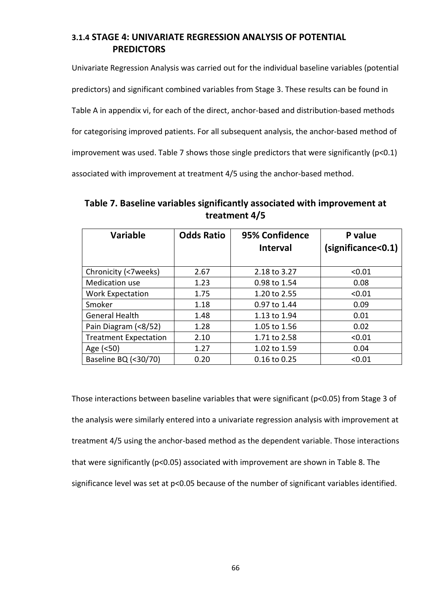## 3.1.4 STAGE 4: UNIVARIATE REGRESSION ANALYSIS OF POTENTIAL PREDICTORS

Univariate Regression Analysis was carried out for the individual baseline variables (potential predictors) and significant combined variables from Stage 3. These results can be found in Table A in appendix vi, for each of the direct, anchor-based and distribution-based methods for categorising improved patients. For all subsequent analysis, the anchor-based method of improvement was used. Table 7 shows those single predictors that were significantly (p<0.1) associated with improvement at treatment 4/5 using the anchor-based method.

Table 7. Baseline variables significantly associated with improvement at treatment 4/5

| <b>Variable</b>              | <b>Odds Ratio</b> | 95% Confidence<br><b>Interval</b> | P value<br>(significance<0.1) |
|------------------------------|-------------------|-----------------------------------|-------------------------------|
| Chronicity (<7weeks)         | 2.67              | 2.18 to 3.27                      | < 0.01                        |
| Medication use               | 1.23              | 0.98 to 1.54                      | 0.08                          |
| <b>Work Expectation</b>      | 1.75              | 1.20 to 2.55                      | < 0.01                        |
| Smoker                       | 1.18              | 0.97 to 1.44                      | 0.09                          |
| <b>General Health</b>        | 1.48              | 1.13 to 1.94                      | 0.01                          |
| Pain Diagram (<8/52)         | 1.28              | 1.05 to 1.56                      | 0.02                          |
| <b>Treatment Expectation</b> | 2.10              | 1.71 to 2.58                      | < 0.01                        |
| Age (<50)                    | 1.27              | 1.02 to 1.59                      | 0.04                          |
| Baseline BQ (<30/70)         | 0.20              | 0.16 to 0.25                      | < 0.01                        |

Those interactions between baseline variables that were significant (p<0.05) from Stage 3 of the analysis were similarly entered into a univariate regression analysis with improvement at treatment 4/5 using the anchor-based method as the dependent variable. Those interactions that were significantly (p<0.05) associated with improvement are shown in Table 8. The significance level was set at p<0.05 because of the number of significant variables identified.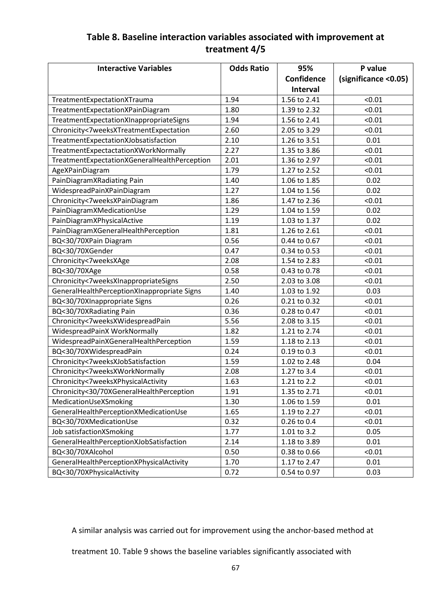# Table 8. Baseline interaction variables associated with improvement at treatment 4/5

| <b>Interactive Variables</b>                 | <b>Odds Ratio</b> | 95%             | P value              |
|----------------------------------------------|-------------------|-----------------|----------------------|
|                                              |                   | Confidence      | (significance <0.05) |
|                                              |                   | <b>Interval</b> |                      |
| TreatmentExpectationXTrauma                  | 1.94              | 1.56 to 2.41    | < 0.01               |
| TreatmentExpectationXPainDiagram             | 1.80              | 1.39 to 2.32    | < 0.01               |
| TreatmentExpectationXInappropriateSigns      | 1.94              | 1.56 to 2.41    | < 0.01               |
| Chronicity<7weeksXTreatmentExpectation       | 2.60              | 2.05 to 3.29    | < 0.01               |
| TreatmentExpectationXJobsatisfaction         | 2.10              | 1.26 to 3.51    | 0.01                 |
| TreatmentExpectactationXWorkNormally         | 2.27              | 1.35 to 3.86    | < 0.01               |
| TreatmentExpectationXGeneralHealthPerception | 2.01              | 1.36 to 2.97    | < 0.01               |
| AgeXPainDiagram                              | 1.79              | 1.27 to 2.52    | < 0.01               |
| PainDiagramXRadiating Pain                   | 1.40              | 1.06 to 1.85    | 0.02                 |
| WidespreadPainXPainDiagram                   | 1.27              | 1.04 to 1.56    | 0.02                 |
| Chronicity<7weeksXPainDiagram                | 1.86              | 1.47 to 2.36    | < 0.01               |
| PainDiagramXMedicationUse                    | 1.29              | 1.04 to 1.59    | 0.02                 |
| PainDiagramXPhysicalActive                   | 1.19              | 1.03 to 1.37    | 0.02                 |
| PainDiagramXGeneralHealthPerception          | 1.81              | 1.26 to 2.61    | < 0.01               |
| BQ<30/70XPain Diagram                        | 0.56              | 0.44 to 0.67    | < 0.01               |
| BQ<30/70XGender                              | 0.47              | 0.34 to 0.53    | < 0.01               |
| Chronicity<7weeksXAge                        | 2.08              | 1.54 to 2.83    | < 0.01               |
| BQ<30/70XAge                                 | 0.58              | 0.43 to 0.78    | < 0.01               |
| Chronicity<7weeksXInappropriateSigns         | 2.50              | 2.03 to 3.08    | < 0.01               |
| GeneralHealthPerceptionXInappropriate Signs  | 1.40              | 1.03 to 1.92    | 0.03                 |
| BQ<30/70XInappropriate Signs                 | 0.26              | 0.21 to 0.32    | < 0.01               |
| BQ<30/70XRadiating Pain                      | 0.36              | 0.28 to 0.47    | < 0.01               |
| Chronicity<7weeksXWidespreadPain             | 5.56              | 2.08 to 3.15    | < 0.01               |
| WidespreadPainX WorkNormally                 | 1.82              | 1.21 to 2.74    | < 0.01               |
| WidespreadPainXGeneralHealthPerception       | 1.59              | 1.18 to 2.13    | < 0.01               |
| BQ<30/70XWidespreadPain                      | 0.24              | 0.19 to 0.3     | < 0.01               |
| Chronicity<7weeksXJobSatisfaction            | 1.59              | 1.02 to 2.48    | 0.04                 |
| Chronicity<7weeksXWorkNormally               | 2.08              | 1.27 to 3.4     | < 0.01               |
| Chronicity<7weeksXPhysicalActivity           | 1.63              | 1.21 to 2.2     | < 0.01               |
| Chronicity<30/70XGeneralHealthPerception     | 1.91              | 1.35 to 2.71    | < 0.01               |
| MedicationUseXSmoking                        | 1.30              | 1.06 to 1.59    | 0.01                 |
| GeneralHealthPerceptionXMedicationUse        | 1.65              | 1.19 to 2.27    | < 0.01               |
| BQ<30/70XMedicationUse                       | 0.32              | 0.26 to 0.4     | < 0.01               |
| Job satisfactionXSmoking                     | 1.77              | 1.01 to 3.2     | 0.05                 |
| GeneralHealthPerceptionXJobSatisfaction      | 2.14              | 1.18 to 3.89    | 0.01                 |
| BQ<30/70XAlcohol                             | 0.50              | 0.38 to 0.66    | < 0.01               |
| GeneralHealthPerceptionXPhysicalActivity     | 1.70              | 1.17 to 2.47    | 0.01                 |
| BQ<30/70XPhysicalActivity                    | 0.72              | 0.54 to 0.97    | 0.03                 |

A similar analysis was carried out for improvement using the anchor-based method at

treatment 10. Table 9 shows the baseline variables significantly associated with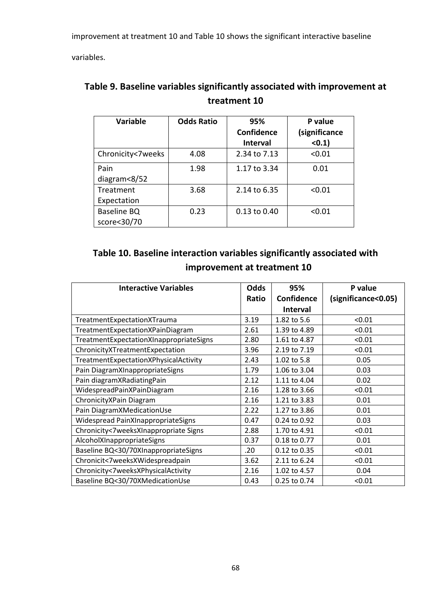improvement at treatment 10 and Table 10 shows the significant interactive baseline

variables.

| <b>Variable</b>   | <b>Odds Ratio</b> | 95%<br><b>Confidence</b> | P value<br>(significance |
|-------------------|-------------------|--------------------------|--------------------------|
|                   |                   | <b>Interval</b>          | (0.1)                    |
| Chronicity<7weeks | 4.08              | 2.34 to 7.13             | < 0.01                   |
| Pain              | 1.98              | 1.17 to 3.34             | 0.01                     |
| diagram<8/52      |                   |                          |                          |
| Treatment         | 3.68              | 2.14 to 6.35             | < 0.01                   |
| Expectation       |                   |                          |                          |
| Baseline BQ       | 0.23              | 0.13 to 0.40             | < 0.01                   |
| score<30/70       |                   |                          |                          |

| Table 9. Baseline variables significantly associated with improvement at |
|--------------------------------------------------------------------------|
| treatment 10                                                             |

| Table 10. Baseline interaction variables significantly associated with |  |
|------------------------------------------------------------------------|--|
| improvement at treatment 10                                            |  |

| <b>Interactive Variables</b>            | <b>Odds</b> | 95%               | P value             |
|-----------------------------------------|-------------|-------------------|---------------------|
|                                         | Ratio       | <b>Confidence</b> | (significance<0.05) |
|                                         |             | <b>Interval</b>   |                     |
| TreatmentExpectationXTrauma             | 3.19        | 1.82 to 5.6       | < 0.01              |
| TreatmentExpectationXPainDiagram        | 2.61        | 1.39 to 4.89      | < 0.01              |
| TreatmentExpectationXInappropriateSigns | 2.80        | 1.61 to 4.87      | < 0.01              |
| ChronicityXTreatmentExpectation         | 3.96        | 2.19 to 7.19      | < 0.01              |
| TreatmentExpectationXPhysicalActivity   | 2.43        | 1.02 to 5.8       | 0.05                |
| Pain DiagramXInappropriateSigns         | 1.79        | 1.06 to 3.04      | 0.03                |
| Pain diagramXRadiatingPain              | 2.12        | 1.11 to 4.04      | 0.02                |
| WidespreadPainXPainDiagram              | 2.16        | 1.28 to 3.66      | < 0.01              |
| Chronicity XPain Diagram                | 2.16        | 1.21 to 3.83      | 0.01                |
| Pain DiagramXMedicationUse              | 2.22        | 1.27 to 3.86      | 0.01                |
| Widespread PainXInappropriateSigns      | 0.47        | 0.24 to 0.92      | 0.03                |
| Chronicity<7weeksXInappropriate Signs   | 2.88        | 1.70 to 4.91      | < 0.01              |
| AlcoholXInappropriateSigns              | 0.37        | 0.18 to 0.77      | 0.01                |
| Baseline BQ<30/70XInappropriateSigns    | .20         | 0.12 to 0.35      | < 0.01              |
| Chronicit<7weeksXWidespreadpain         | 3.62        | 2.11 to 6.24      | < 0.01              |
| Chronicity<7weeksXPhysicalActivity      | 2.16        | 1.02 to 4.57      | 0.04                |
| Baseline BQ<30/70XMedicationUse         | 0.43        | 0.25 to 0.74      | < 0.01              |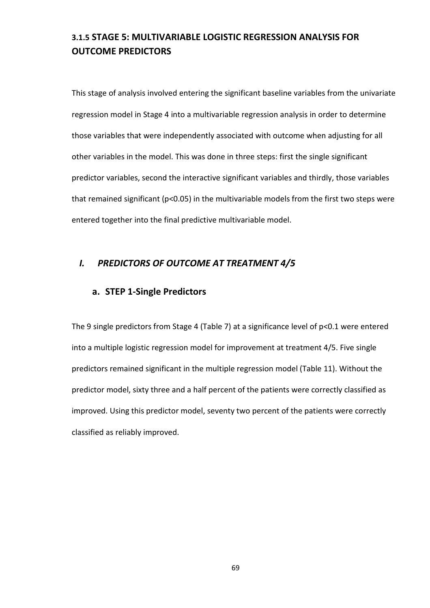# 3.1.5 STAGE 5: MULTIVARIABLE LOGISTIC REGRESSION ANALYSIS FOR OUTCOME PREDICTORS

This stage of analysis involved entering the significant baseline variables from the univariate regression model in Stage 4 into a multivariable regression analysis in order to determine those variables that were independently associated with outcome when adjusting for all other variables in the model. This was done in three steps: first the single significant predictor variables, second the interactive significant variables and thirdly, those variables that remained significant (p<0.05) in the multivariable models from the first two steps were entered together into the final predictive multivariable model.

## I. PREDICTORS OF OUTCOME AT TREATMENT 4/5

### a. STEP 1-Single Predictors

The 9 single predictors from Stage 4 (Table 7) at a significance level of p<0.1 were entered into a multiple logistic regression model for improvement at treatment 4/5. Five single predictors remained significant in the multiple regression model (Table 11). Without the predictor model, sixty three and a half percent of the patients were correctly classified as improved. Using this predictor model, seventy two percent of the patients were correctly classified as reliably improved.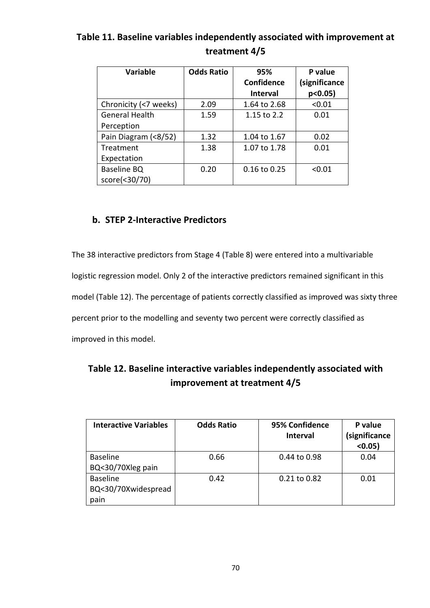| <b>Variable</b>       | <b>Odds Ratio</b> | 95%<br><b>Confidence</b><br><b>Interval</b> | P value<br>(significance<br>$p<0.05$ ) |
|-----------------------|-------------------|---------------------------------------------|----------------------------------------|
| Chronicity (<7 weeks) | 2.09              | 1.64 to 2.68                                | < 0.01                                 |
| <b>General Health</b> | 1.59              | 1.15 to 2.2                                 | 0.01                                   |
| Perception            |                   |                                             |                                        |
| Pain Diagram (<8/52)  | 1.32              | 1.04 to 1.67                                | 0.02                                   |
| Treatment             | 1.38              | 1.07 to 1.78                                | 0.01                                   |
| Expectation           |                   |                                             |                                        |
| Baseline BQ           | 0.20              | 0.16 to 0.25                                | < 0.01                                 |
| score(<30/70)         |                   |                                             |                                        |

# Table 11. Baseline variables independently associated with improvement at treatment 4/5

## b. STEP 2-Interactive Predictors

The 38 interactive predictors from Stage 4 (Table 8) were entered into a multivariable logistic regression model. Only 2 of the interactive predictors remained significant in this model (Table 12). The percentage of patients correctly classified as improved was sixty three percent prior to the modelling and seventy two percent were correctly classified as improved in this model.

| Table 12. Baseline interactive variables independently associated with |
|------------------------------------------------------------------------|
| improvement at treatment 4/5                                           |

| <b>Interactive Variables</b>                   | <b>Odds Ratio</b> | 95% Confidence<br><b>Interval</b> | P value<br>(significance<br>(0.05) |
|------------------------------------------------|-------------------|-----------------------------------|------------------------------------|
| <b>Baseline</b><br>BQ<30/70Xleg pain           | 0.66              | 0.44 to 0.98                      | 0.04                               |
| <b>Baseline</b><br>BQ<30/70Xwidespread<br>pain | 0.42              | $0.21$ to $0.82$                  | 0.01                               |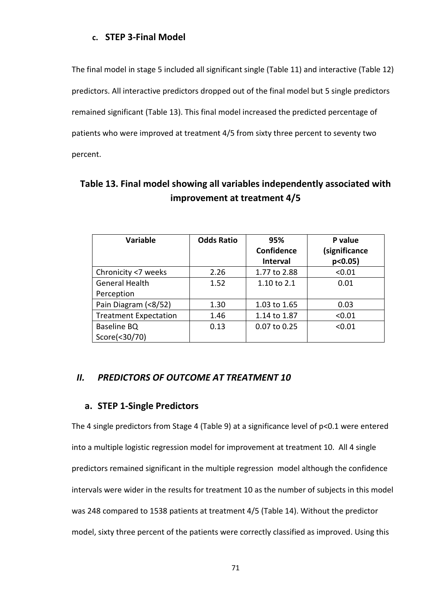## c. STEP 3-Final Model

The final model in stage 5 included all significant single (Table 11) and interactive (Table 12) predictors. All interactive predictors dropped out of the final model but 5 single predictors remained significant (Table 13). This final model increased the predicted percentage of patients who were improved at treatment 4/5 from sixty three percent to seventy two percent.

| <b>Variable</b>              | <b>Odds Ratio</b> | 95%<br><b>Confidence</b><br><b>Interval</b> | P value<br>(significance<br>$p<0.05$ ) |
|------------------------------|-------------------|---------------------------------------------|----------------------------------------|
| Chronicity <7 weeks          | 2.26              | 1.77 to 2.88                                | < 0.01                                 |
| <b>General Health</b>        | 1.52              | 1.10 to 2.1                                 | 0.01                                   |
| Perception                   |                   |                                             |                                        |
| Pain Diagram (<8/52)         | 1.30              | 1.03 to 1.65                                | 0.03                                   |
| <b>Treatment Expectation</b> | 1.46              | 1.14 to 1.87                                | < 0.01                                 |
| Baseline BQ<br>Score(<30/70) | 0.13              | 0.07 to 0.25                                | < 0.01                                 |

# Table 13. Final model showing all variables independently associated with improvement at treatment 4/5

## II. PREDICTORS OF OUTCOME AT TREATMENT 10

### a. STEP 1-Single Predictors

The 4 single predictors from Stage 4 (Table 9) at a significance level of p<0.1 were entered into a multiple logistic regression model for improvement at treatment 10. All 4 single predictors remained significant in the multiple regression model although the confidence intervals were wider in the results for treatment 10 as the number of subjects in this model was 248 compared to 1538 patients at treatment 4/5 (Table 14). Without the predictor model, sixty three percent of the patients were correctly classified as improved. Using this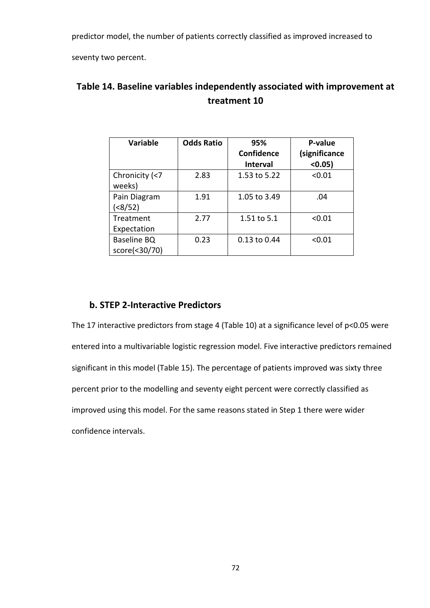predictor model, the number of patients correctly classified as improved increased to

seventy two percent.

| <b>Variable</b> | <b>Odds Ratio</b> | 95%             | P-value       |
|-----------------|-------------------|-----------------|---------------|
|                 |                   | Confidence      | (significance |
|                 |                   | <b>Interval</b> | (0.05)        |
| Chronicity (<7  | 2.83              | 1.53 to 5.22    | < 0.01        |
| weeks)          |                   |                 |               |
| Pain Diagram    | 1.91              | 1.05 to 3.49    | .04           |
| ( < 8/52)       |                   |                 |               |
| Treatment       | 2.77              | 1.51 to 5.1     | < 0.01        |
| Expectation     |                   |                 |               |
| Baseline BQ     | 0.23              | 0.13 to 0.44    | < 0.01        |
| score(<30/70)   |                   |                 |               |

# Table 14. Baseline variables independently associated with improvement at treatment 10

## b. STEP 2-Interactive Predictors

The 17 interactive predictors from stage 4 (Table 10) at a significance level of p<0.05 were entered into a multivariable logistic regression model. Five interactive predictors remained significant in this model (Table 15). The percentage of patients improved was sixty three percent prior to the modelling and seventy eight percent were correctly classified as improved using this model. For the same reasons stated in Step 1 there were wider confidence intervals.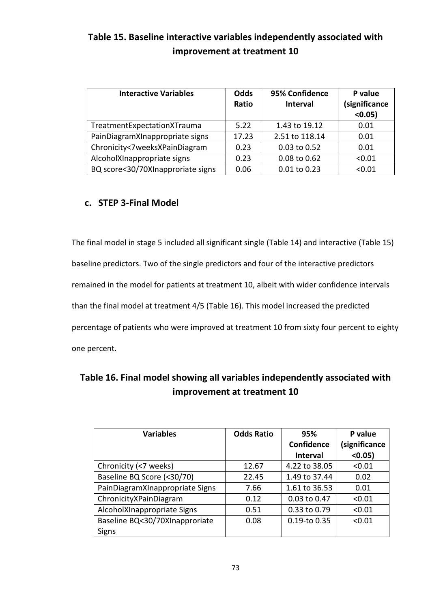# Table 15. Baseline interactive variables independently associated with improvement at treatment 10

| <b>Interactive Variables</b>      | <b>Odds</b><br>Ratio | 95% Confidence<br><b>Interval</b> | P value<br>(significance<br>(0.05) |
|-----------------------------------|----------------------|-----------------------------------|------------------------------------|
| TreatmentExpectationXTrauma       | 5.22                 | 1.43 to 19.12                     | 0.01                               |
| PainDiagramXInappropriate signs   | 17.23                | 2.51 to 118.14                    | 0.01                               |
| Chronicity<7weeksXPainDiagram     | 0.23                 | 0.03 to 0.52                      | 0.01                               |
| AlcoholXInappropriate signs       | 0.23                 | 0.08 to 0.62                      | < 0.01                             |
| BQ score<30/70XInapproriate signs | 0.06                 | 0.01 to 0.23                      | < 0.01                             |

## c. STEP 3-Final Model

The final model in stage 5 included all significant single (Table 14) and interactive (Table 15) baseline predictors. Two of the single predictors and four of the interactive predictors remained in the model for patients at treatment 10, albeit with wider confidence intervals than the final model at treatment 4/5 (Table 16). This model increased the predicted percentage of patients who were improved at treatment 10 from sixty four percent to eighty one percent.

| Table 16. Final model showing all variables independently associated with |
|---------------------------------------------------------------------------|
| improvement at treatment 10                                               |

| <b>Variables</b>                | <b>Odds Ratio</b> | 95%               | P value       |
|---------------------------------|-------------------|-------------------|---------------|
|                                 |                   | <b>Confidence</b> | (significance |
|                                 |                   | <b>Interval</b>   | $< 0.05$ )    |
| Chronicity (<7 weeks)           | 12.67             | 4.22 to 38.05     | < 0.01        |
| Baseline BQ Score (<30/70)      | 22.45             | 1.49 to 37.44     | 0.02          |
| PainDiagramXInappropriate Signs | 7.66              | 1.61 to 36.53     | 0.01          |
| ChronicityXPainDiagram          | 0.12              | 0.03 to 0.47      | < 0.01        |
| AlcoholXInappropriate Signs     | 0.51              | 0.33 to 0.79      | < 0.01        |
| Baseline BQ<30/70XInapproriate  | 0.08              | $0.19$ -to $0.35$ | < 0.01        |
| Signs                           |                   |                   |               |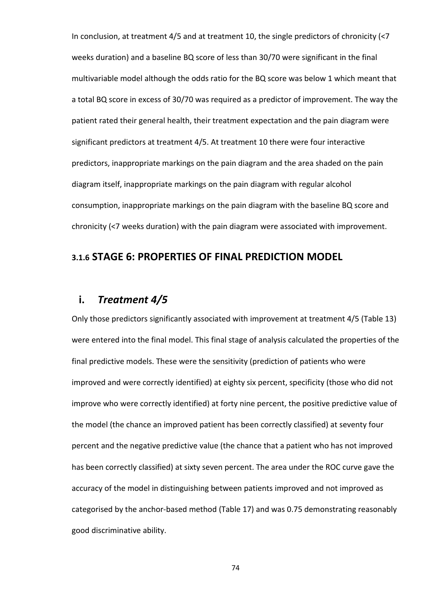In conclusion, at treatment 4/5 and at treatment 10, the single predictors of chronicity (<7 weeks duration) and a baseline BQ score of less than 30/70 were significant in the final multivariable model although the odds ratio for the BQ score was below 1 which meant that a total BQ score in excess of 30/70 was required as a predictor of improvement. The way the patient rated their general health, their treatment expectation and the pain diagram were significant predictors at treatment 4/5. At treatment 10 there were four interactive predictors, inappropriate markings on the pain diagram and the area shaded on the pain diagram itself, inappropriate markings on the pain diagram with regular alcohol consumption, inappropriate markings on the pain diagram with the baseline BQ score and chronicity (<7 weeks duration) with the pain diagram were associated with improvement.

## 3.1.6 STAGE 6: PROPERTIES OF FINAL PREDICTION MODEL

## i. Treatment 4/5

Only those predictors significantly associated with improvement at treatment 4/5 (Table 13) were entered into the final model. This final stage of analysis calculated the properties of the final predictive models. These were the sensitivity (prediction of patients who were improved and were correctly identified) at eighty six percent, specificity (those who did not improve who were correctly identified) at forty nine percent, the positive predictive value of the model (the chance an improved patient has been correctly classified) at seventy four percent and the negative predictive value (the chance that a patient who has not improved has been correctly classified) at sixty seven percent. The area under the ROC curve gave the accuracy of the model in distinguishing between patients improved and not improved as categorised by the anchor-based method (Table 17) and was 0.75 demonstrating reasonably good discriminative ability.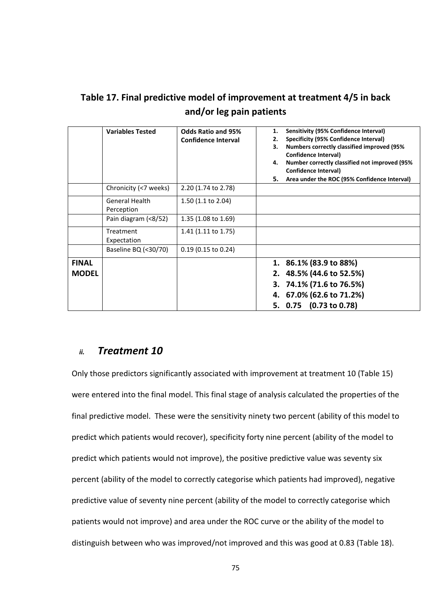|              | <b>Variables Tested</b>             | <b>Odds Ratio and 95%</b><br><b>Confidence Interval</b> | <b>Sensitivity (95% Confidence Interval)</b><br>1.<br>Specificity (95% Confidence Interval)<br>2.<br><b>Numbers correctly classified improved (95%)</b><br>з.<br>Confidence Interval)<br>Number correctly classified not improved (95%)<br>4.<br>Confidence Interval) |
|--------------|-------------------------------------|---------------------------------------------------------|-----------------------------------------------------------------------------------------------------------------------------------------------------------------------------------------------------------------------------------------------------------------------|
|              |                                     |                                                         | Area under the ROC (95% Confidence Interval)<br>5.                                                                                                                                                                                                                    |
|              | Chronicity (<7 weeks)               | 2.20 (1.74 to 2.78)                                     |                                                                                                                                                                                                                                                                       |
|              | <b>General Health</b><br>Perception | $1.50$ (1.1 to 2.04)                                    |                                                                                                                                                                                                                                                                       |
|              | Pain diagram (<8/52)                | 1.35 $(1.08 \text{ to } 1.69)$                          |                                                                                                                                                                                                                                                                       |
|              | Treatment<br>Expectation            | 1.41 (1.11 to 1.75)                                     |                                                                                                                                                                                                                                                                       |
|              | Baseline BQ (<30/70)                | $0.19$ (0.15 to 0.24)                                   |                                                                                                                                                                                                                                                                       |
| <b>FINAL</b> |                                     |                                                         | 1. 86.1% (83.9 to 88%)                                                                                                                                                                                                                                                |
| <b>MODEL</b> |                                     |                                                         | 2. 48.5% (44.6 to 52.5%)                                                                                                                                                                                                                                              |
|              |                                     |                                                         | 3. 74.1% (71.6 to 76.5%)                                                                                                                                                                                                                                              |
|              |                                     |                                                         | 4. 67.0% (62.6 to 71.2%)                                                                                                                                                                                                                                              |
|              |                                     |                                                         | 5. 0.75 (0.73 to 0.78)                                                                                                                                                                                                                                                |

Table 17. Final predictive model of improvement at treatment 4/5 in back and/or leg pain patients

## ii. Treatment 10

Only those predictors significantly associated with improvement at treatment 10 (Table 15) were entered into the final model. This final stage of analysis calculated the properties of the final predictive model. These were the sensitivity ninety two percent (ability of this model to predict which patients would recover), specificity forty nine percent (ability of the model to predict which patients would not improve), the positive predictive value was seventy six percent (ability of the model to correctly categorise which patients had improved), negative predictive value of seventy nine percent (ability of the model to correctly categorise which patients would not improve) and area under the ROC curve or the ability of the model to distinguish between who was improved/not improved and this was good at 0.83 (Table 18).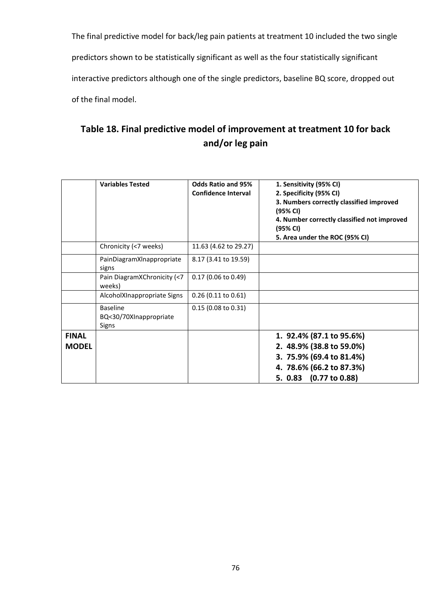The final predictive model for back/leg pain patients at treatment 10 included the two single predictors shown to be statistically significant as well as the four statistically significant interactive predictors although one of the single predictors, baseline BQ score, dropped out of the final model.

# Table 18. Final predictive model of improvement at treatment 10 for back and/or leg pain

|              | <b>Variables Tested</b>                            | <b>Odds Ratio and 95%</b><br><b>Confidence Interval</b> | 1. Sensitivity (95% CI)<br>2. Specificity (95% CI)<br>3. Numbers correctly classified improved<br>(95% CI)<br>4. Number correctly classified not improved<br>(95% CI)<br>5. Area under the ROC (95% CI) |
|--------------|----------------------------------------------------|---------------------------------------------------------|---------------------------------------------------------------------------------------------------------------------------------------------------------------------------------------------------------|
|              | Chronicity (<7 weeks)                              | 11.63 (4.62 to 29.27)                                   |                                                                                                                                                                                                         |
|              | PainDiagramXInappropriate<br>signs                 | 8.17 (3.41 to 19.59)                                    |                                                                                                                                                                                                         |
|              | Pain DiagramXChronicity (<7<br>weeks)              | $0.17$ (0.06 to 0.49)                                   |                                                                                                                                                                                                         |
|              | AlcoholXInappropriate Signs                        | $0.26$ (0.11 to 0.61)                                   |                                                                                                                                                                                                         |
|              | <b>Baseline</b><br>BQ<30/70XInappropriate<br>Signs | 0.15 (0.08 to 0.31)                                     |                                                                                                                                                                                                         |
| <b>FINAL</b> |                                                    |                                                         | 1. 92.4% (87.1 to 95.6%)                                                                                                                                                                                |
| <b>MODEL</b> |                                                    |                                                         | 2. 48.9% (38.8 to 59.0%)                                                                                                                                                                                |
|              |                                                    |                                                         | 3. 75.9% (69.4 to 81.4%)                                                                                                                                                                                |
|              |                                                    |                                                         | 4. 78.6% (66.2 to 87.3%)                                                                                                                                                                                |
|              |                                                    |                                                         | 5. 0.83 (0.77 to 0.88)                                                                                                                                                                                  |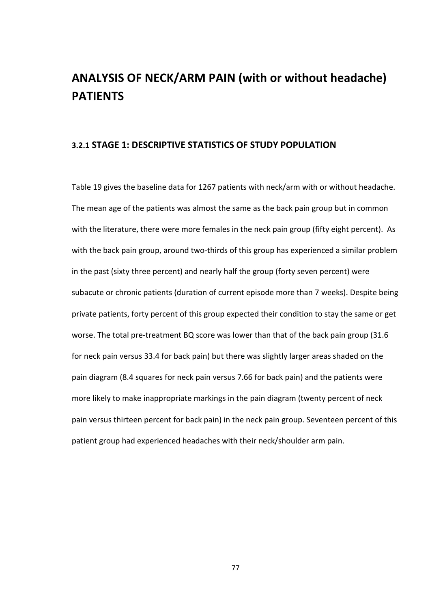# ANALYSIS OF NECK/ARM PAIN (with or without headache) PATIENTS

### 3.2.1 STAGE 1: DESCRIPTIVE STATISTICS OF STUDY POPULATION

Table 19 gives the baseline data for 1267 patients with neck/arm with or without headache. The mean age of the patients was almost the same as the back pain group but in common with the literature, there were more females in the neck pain group (fifty eight percent). As with the back pain group, around two-thirds of this group has experienced a similar problem in the past (sixty three percent) and nearly half the group (forty seven percent) were subacute or chronic patients (duration of current episode more than 7 weeks). Despite being private patients, forty percent of this group expected their condition to stay the same or get worse. The total pre-treatment BQ score was lower than that of the back pain group (31.6 for neck pain versus 33.4 for back pain) but there was slightly larger areas shaded on the pain diagram (8.4 squares for neck pain versus 7.66 for back pain) and the patients were more likely to make inappropriate markings in the pain diagram (twenty percent of neck pain versus thirteen percent for back pain) in the neck pain group. Seventeen percent of this patient group had experienced headaches with their neck/shoulder arm pain.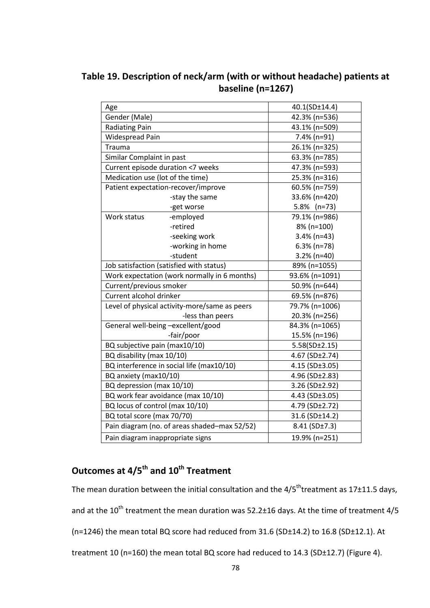Table 19. Description of neck/arm (with or without headache) patients at baseline (n=1267)

| Age                              |                                               | 40.1(SD±14.4)  |
|----------------------------------|-----------------------------------------------|----------------|
| Gender (Male)                    |                                               | 42.3% (n=536)  |
| <b>Radiating Pain</b>            |                                               | 43.1% (n=509)  |
| <b>Widespread Pain</b>           |                                               | 7.4% (n=91)    |
| <b>Trauma</b>                    |                                               | 26.1% (n=325)  |
| Similar Complaint in past        |                                               | 63.3% (n=785)  |
|                                  | Current episode duration <7 weeks             | 47.3% (n=593)  |
| Medication use (lot of the time) |                                               | 25.3% (n=316)  |
|                                  | Patient expectation-recover/improve           | 60.5% (n=759)  |
|                                  | 33.6% (n=420)                                 |                |
|                                  | -get worse                                    | 5.8% (n=73)    |
| Work status                      | -employed                                     | 79.1% (n=986)  |
|                                  | -retired                                      | 8% (n=100)     |
|                                  | -seeking work                                 | $3.4\%$ (n=43) |
|                                  | -working in home                              | $6.3\%$ (n=78) |
|                                  | -student                                      | $3.2\%$ (n=40) |
|                                  | Job satisfaction (satisfied with status)      | 89% (n=1055)   |
|                                  | Work expectation (work normally in 6 months)  | 93.6% (n=1091) |
| Current/previous smoker          |                                               | 50.9% (n=644)  |
| Current alcohol drinker          |                                               | 69.5% (n=876)  |
|                                  | Level of physical activity-more/same as peers | 79.7% (n=1006) |
|                                  | -less than peers                              | 20.3% (n=256)  |
|                                  | General well-being -excellent/good            | 84.3% (n=1065) |
|                                  | -fair/poor                                    | 15.5% (n=196)  |
| BQ subjective pain (max10/10)    |                                               | 5.58(SD±2.15)  |
| BQ disability (max 10/10)        |                                               | 4.67 (SD±2.74) |
|                                  | BQ interference in social life (max10/10)     | 4.15 (SD±3.05) |
| BQ anxiety (max10/10)            |                                               | 4.96 (SD±2.83) |
| BQ depression (max 10/10)        |                                               | 3.26 (SD±2.92) |
|                                  | BQ work fear avoidance (max 10/10)            | 4.43 (SD±3.05) |
| BQ locus of control (max 10/10)  |                                               | 4.79 (SD±2.72) |
| BQ total score (max 70/70)       |                                               | 31.6 (SD±14.2) |
|                                  | Pain diagram (no. of areas shaded-max 52/52)  | 8.41(SD±7.3)   |
| Pain diagram inappropriate signs |                                               | 19.9% (n=251)  |

# Outcomes at 4/5<sup>th</sup> and 10<sup>th</sup> Treatment

The mean duration between the initial consultation and the  $4/5^{\text{th}}$ treatment as 17 $\pm$ 11.5 days, and at the  $10^{th}$  treatment the mean duration was 52.2±16 days. At the time of treatment 4/5 (n=1246) the mean total BQ score had reduced from 31.6 (SD±14.2) to 16.8 (SD±12.1). At treatment 10 (n=160) the mean total BQ score had reduced to 14.3 (SD±12.7) (Figure 4).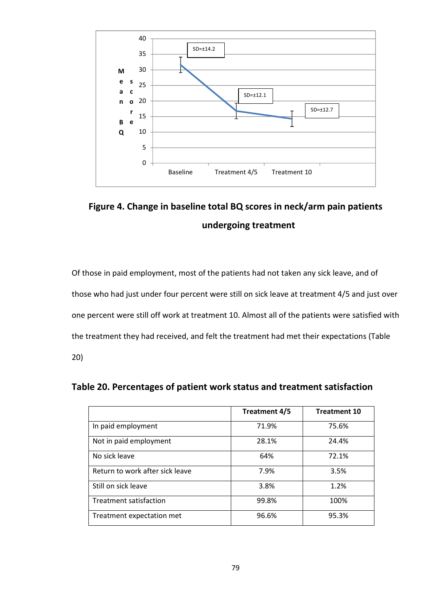

Figure 4. Change in baseline total BQ scores in neck/arm pain patients undergoing treatment

Of those in paid employment, most of the patients had not taken any sick leave, and of those who had just under four percent were still on sick leave at treatment 4/5 and just over one percent were still off work at treatment 10. Almost all of the patients were satisfied with the treatment they had received, and felt the treatment had met their expectations (Table 20)

|                                 | Treatment 4/5 | <b>Treatment 10</b> |
|---------------------------------|---------------|---------------------|
| In paid employment              | 71.9%         | 75.6%               |
| Not in paid employment          | 28.1%         | 24.4%               |
| No sick leave                   | 64%           | 72.1%               |
| Return to work after sick leave | 7.9%          | 3.5%                |
| Still on sick leave             | 3.8%          | 1.2%                |
| Treatment satisfaction          | 99.8%         | 100%                |
| Treatment expectation met       | 96.6%         | 95.3%               |

Table 20. Percentages of patient work status and treatment satisfaction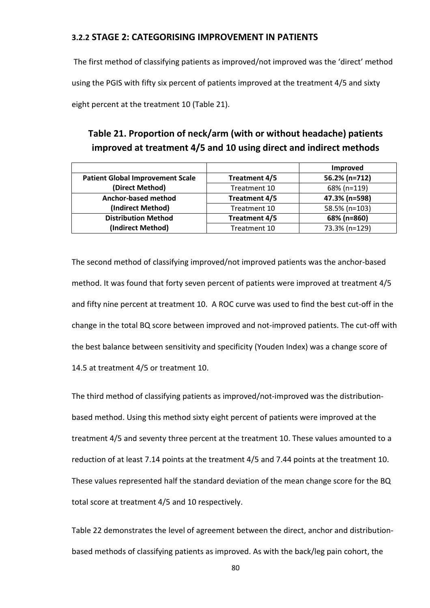### 3.2.2 STAGE 2: CATEGORISING IMPROVEMENT IN PATIENTS

 The first method of classifying patients as improved/not improved was the 'direct' method using the PGIS with fifty six percent of patients improved at the treatment 4/5 and sixty eight percent at the treatment 10 (Table 21).

# Table 21. Proportion of neck/arm (with or without headache) patients improved at treatment 4/5 and 10 using direct and indirect methods

|                                         |               | Improved      |
|-----------------------------------------|---------------|---------------|
| <b>Patient Global Improvement Scale</b> | Treatment 4/5 | 56.2% (n=712) |
| (Direct Method)                         | Treatment 10  | 68% (n=119)   |
| Anchor-based method                     | Treatment 4/5 | 47.3% (n=598) |
| (Indirect Method)                       | Treatment 10  | 58.5% (n=103) |
| <b>Distribution Method</b>              | Treatment 4/5 | 68% (n=860)   |
| (Indirect Method)                       | Treatment 10  | 73.3% (n=129) |

The second method of classifying improved/not improved patients was the anchor-based method. It was found that forty seven percent of patients were improved at treatment 4/5 and fifty nine percent at treatment 10. A ROC curve was used to find the best cut-off in the change in the total BQ score between improved and not-improved patients. The cut-off with the best balance between sensitivity and specificity (Youden Index) was a change score of 14.5 at treatment 4/5 or treatment 10.

The third method of classifying patients as improved/not-improved was the distributionbased method. Using this method sixty eight percent of patients were improved at the treatment 4/5 and seventy three percent at the treatment 10. These values amounted to a reduction of at least 7.14 points at the treatment 4/5 and 7.44 points at the treatment 10. These values represented half the standard deviation of the mean change score for the BQ total score at treatment 4/5 and 10 respectively.

Table 22 demonstrates the level of agreement between the direct, anchor and distributionbased methods of classifying patients as improved. As with the back/leg pain cohort, the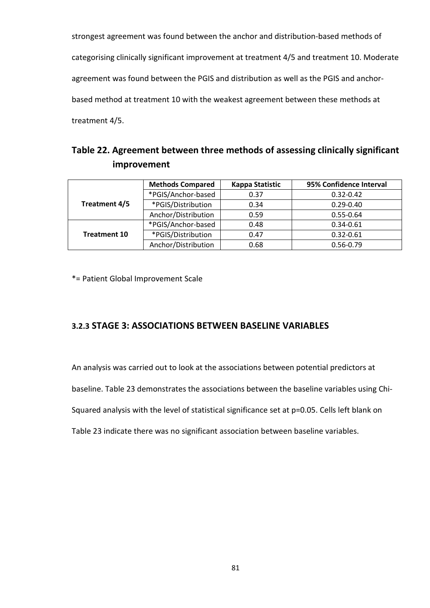strongest agreement was found between the anchor and distribution-based methods of categorising clinically significant improvement at treatment 4/5 and treatment 10. Moderate agreement was found between the PGIS and distribution as well as the PGIS and anchorbased method at treatment 10 with the weakest agreement between these methods at treatment 4/5.

|             | Table 22. Agreement between three methods of assessing clinically significant |
|-------------|-------------------------------------------------------------------------------|
| improvement |                                                                               |

|                     | <b>Methods Compared</b> | Kappa Statistic | 95% Confidence Interval |  |
|---------------------|-------------------------|-----------------|-------------------------|--|
|                     | *PGIS/Anchor-based      | 0.37            | $0.32 - 0.42$           |  |
| Treatment 4/5       | *PGIS/Distribution      | 0.34            | $0.29 - 0.40$           |  |
|                     | Anchor/Distribution     | 0.59            | $0.55 - 0.64$           |  |
|                     | *PGIS/Anchor-based      | 0.48            | $0.34 - 0.61$           |  |
| <b>Treatment 10</b> | *PGIS/Distribution      | 0.47            | $0.32 - 0.61$           |  |
|                     | Anchor/Distribution     | 0.68            | $0.56 - 0.79$           |  |

\*= Patient Global Improvement Scale

### 3.2.3 STAGE 3: ASSOCIATIONS BETWEEN BASELINE VARIABLES

An analysis was carried out to look at the associations between potential predictors at

baseline. Table 23 demonstrates the associations between the baseline variables using Chi-

Squared analysis with the level of statistical significance set at p=0.05. Cells left blank on

Table 23 indicate there was no significant association between baseline variables.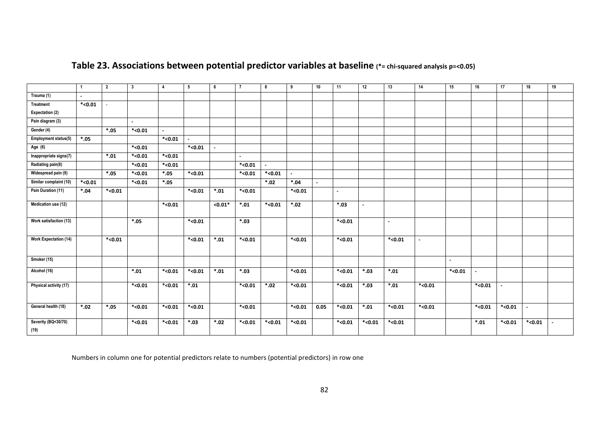|                              | $\mathbf{1}$ | $\overline{2}$ | $\mathbf{3}$ | $\overline{4}$ | 5         | 6         | $\overline{7}$ | 8              | 9         | 10     | 11        | 12      | 13      | 14        | 15      | 16        | 17      | 18        | 19 |
|------------------------------|--------------|----------------|--------------|----------------|-----------|-----------|----------------|----------------|-----------|--------|-----------|---------|---------|-----------|---------|-----------|---------|-----------|----|
| Trauma (1)                   | $\sim$       |                |              |                |           |           |                |                |           |        |           |         |         |           |         |           |         |           |    |
| Treatment                    | $*0.01$      | $\equiv$       |              |                |           |           |                |                |           |        |           |         |         |           |         |           |         |           |    |
| Expectation (2)              |              |                |              |                |           |           |                |                |           |        |           |         |         |           |         |           |         |           |    |
| Pain diagram (3)             |              |                | $\sim$       |                |           |           |                |                |           |        |           |         |         |           |         |           |         |           |    |
| Gender (4)                   |              | $*05$          | $*0.01$      | $\sim$         |           |           |                |                |           |        |           |         |         |           |         |           |         |           |    |
| Employment status(5)         | $*05$        |                |              | $*$ <0.01      | $\sim$    |           |                |                |           |        |           |         |         |           |         |           |         |           |    |
| Age $(6)$                    |              |                | $*0.01$      |                | $*$ <0.01 |           |                |                |           |        |           |         |         |           |         |           |         |           |    |
| Inappropriate signs(7)       |              | $*.01$         | $*0.01$      | $*$ <0.01      |           |           | $\sim$         |                |           |        |           |         |         |           |         |           |         |           |    |
| Radiating pain(8)            |              |                | $*<$ 0.01    | $*$ <0.01      |           |           | $*$ <0.01      | $\blacksquare$ |           |        |           |         |         |           |         |           |         |           |    |
| Widespread pain (9)          |              | $*05$          | $*0.01$      | $*05$          | $*0.01$   |           | $*0.01$        | $*<0.01$       | $\sim$    |        |           |         |         |           |         |           |         |           |    |
| Similar complaint (10)       | $*0.01$      |                | $*0.01$      | $*05$          |           |           |                | $*.02$         | $*.04$    | $\sim$ |           |         |         |           |         |           |         |           |    |
| Pain Duration (11)           | $*04$        | $*$ <0.01      |              |                | $*0.01$   | $*.01$    | $*$ <0.01      |                | $*$ <0.01 |        | $\sim$    |         |         |           |         |           |         |           |    |
| Medication use (12)          |              |                |              | $*$ <0.01      |           | $< 0.01*$ | $*.01$         | $*0.01$        | $*02$     |        | $*03.$    | $\sim$  |         |           |         |           |         |           |    |
| Work satisfaction (13)       |              |                | $*05$        |                | $*$ <0.01 |           | $*03.$         |                |           |        | $*0.01$   |         | $\sim$  |           |         |           |         |           |    |
| <b>Work Expectation (14)</b> |              | $*0.01$        |              |                | $*$ <0.01 | $*.01$    | $*0.01$        |                | $*$ <0.01 |        | $*$ <0.01 |         | $*0.01$ | $\sim$    |         |           |         |           |    |
| Smoker (15)                  |              |                |              |                |           |           |                |                |           |        |           |         |         |           | $\sim$  |           |         |           |    |
| Alcohol (16)                 |              |                | $*.01$       | $*0.01$        | $*$ <0.01 | $*.01$    | $*03$          |                | $*0.01$   |        | $*$ <0.01 | $*03.$  | $*.01$  |           | $*0.01$ | $\sim$    |         |           |    |
| Physical activity (17)       |              |                | $*<$ 0.01    | $*$ <0.01      | $*.01$    |           | $*$ <0.01      | $*.02$         | $*$ <0.01 |        | $*0.01$   | $*03.$  | $*.01$  | $*0.01$   |         | $*0.01$   |         |           |    |
| General health (18)          | $*.02$       | $*05$          | $*0.01$      | $*$ <0.01      | $*$ <0.01 |           | $*0.01$        |                | $*$ <0.01 | 0.05   | $*$ <0.01 | $*.01$  | $*0.01$ | $*$ <0.01 |         | $*$ <0.01 | $*0.01$ | $\sim$    |    |
| Severity (BQ<30/70)<br>(19)  |              |                | $*0.01$      | $*$ <0.01      | $*.03$    | $*02.$    | $*0.01$        | $*0.01$        | $*$ <0.01 |        | $*$ <0.01 | $*0.01$ | $*0.01$ |           |         | $*.01$    | $*0.01$ | $*$ <0.01 |    |

## Table 23. Associations between potential predictor variables at baseline (\*= chi-squared analysis p=<0.05)

Numbers in column one for potential predictors relate to numbers (potential predictors) in row one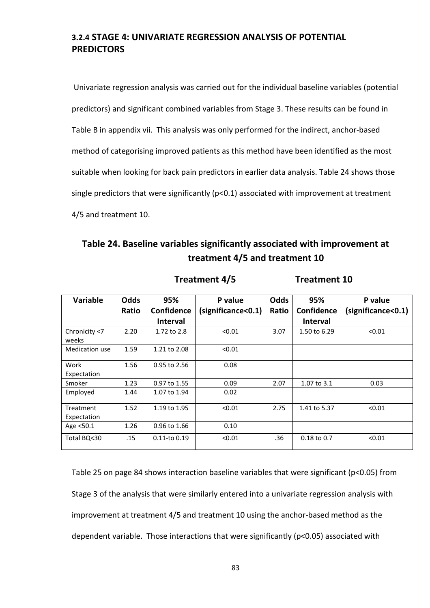## 3.2.4 STAGE 4: UNIVARIATE REGRESSION ANALYSIS OF POTENTIAL **PREDICTORS**

 Univariate regression analysis was carried out for the individual baseline variables (potential predictors) and significant combined variables from Stage 3. These results can be found in Table B in appendix vii. This analysis was only performed for the indirect, anchor-based method of categorising improved patients as this method have been identified as the most suitable when looking for back pain predictors in earlier data analysis. Table 24 shows those single predictors that were significantly ( $p<0.1$ ) associated with improvement at treatment 4/5 and treatment 10.

## Table 24. Baseline variables significantly associated with improvement at treatment 4/5 and treatment 10

Treatment 4/5 Treatment 10

| <b>Variable</b>          | <b>Odds</b> | 95%               | P value           | <b>Odds</b> | 95%             | P value            |
|--------------------------|-------------|-------------------|-------------------|-------------|-----------------|--------------------|
|                          | Ratio       | <b>Confidence</b> | significance<0.1) | Ratio       | Confidence      | (significance<0.1) |
|                          |             | <b>Interval</b>   |                   |             | <b>Interval</b> |                    |
| Chronicity <7<br>weeks   | 2.20        | 1.72 to 2.8       | < 0.01            | 3.07        | 1.50 to 6.29    | < 0.01             |
| Medication use           | 1.59        | 1.21 to 2.08      | < 0.01            |             |                 |                    |
| Work<br>Expectation      | 1.56        | 0.95 to 2.56      | 0.08              |             |                 |                    |
| Smoker                   | 1.23        | 0.97 to 1.55      | 0.09              | 2.07        | 1.07 to 3.1     | 0.03               |
| Employed                 | 1.44        | 1.07 to 1.94      | 0.02              |             |                 |                    |
| Treatment<br>Expectation | 1.52        | 1.19 to 1.95      | < 0.01            | 2.75        | 1.41 to 5.37    | < 0.01             |
| Age <50.1                | 1.26        | 0.96 to 1.66      | 0.10              |             |                 |                    |
| Total BQ<30              | .15         | $0.11$ -to $0.19$ | < 0.01            | .36         | $0.18$ to $0.7$ | < 0.01             |

Table 25 on page 84 shows interaction baseline variables that were significant (p<0.05) from Stage 3 of the analysis that were similarly entered into a univariate regression analysis with improvement at treatment 4/5 and treatment 10 using the anchor-based method as the dependent variable. Those interactions that were significantly (p<0.05) associated with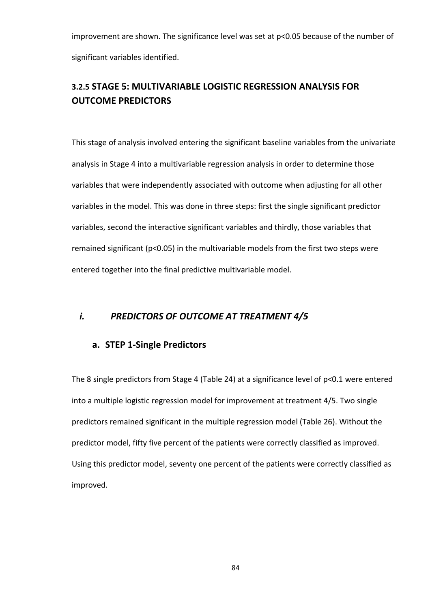improvement are shown. The significance level was set at p<0.05 because of the number of significant variables identified.

## 3.2.5 STAGE 5: MULTIVARIABLE LOGISTIC REGRESSION ANALYSIS FOR OUTCOME PREDICTORS

This stage of analysis involved entering the significant baseline variables from the univariate analysis in Stage 4 into a multivariable regression analysis in order to determine those variables that were independently associated with outcome when adjusting for all other variables in the model. This was done in three steps: first the single significant predictor variables, second the interactive significant variables and thirdly, those variables that remained significant (p<0.05) in the multivariable models from the first two steps were entered together into the final predictive multivariable model.

### i. PREDICTORS OF OUTCOME AT TREATMENT 4/5

### a. STEP 1-Single Predictors

The 8 single predictors from Stage 4 (Table 24) at a significance level of p<0.1 were entered into a multiple logistic regression model for improvement at treatment 4/5. Two single predictors remained significant in the multiple regression model (Table 26). Without the predictor model, fifty five percent of the patients were correctly classified as improved. Using this predictor model, seventy one percent of the patients were correctly classified as improved.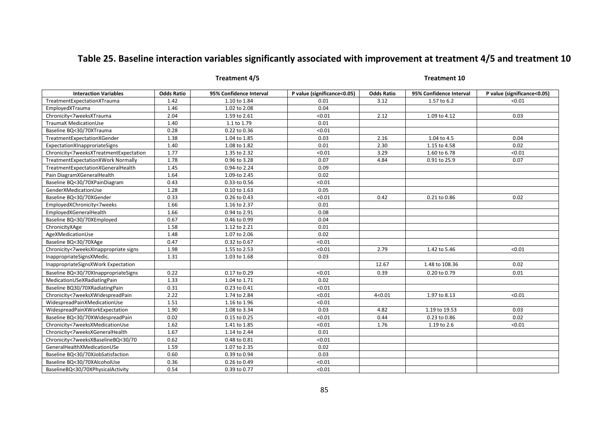## Table 25. Baseline interaction variables significantly associated with improvement at treatment 4/5 and treatment 10

### Treatment 4/5 Treatment 10

| <b>Interaction Variables</b>           | <b>Odds Ratio</b> | 95% Confidence Interval | P value (significance<0.05) | <b>Odds Ratio</b> | 95% Confidence Interval | P value (significance<0.05) |
|----------------------------------------|-------------------|-------------------------|-----------------------------|-------------------|-------------------------|-----------------------------|
| TreatmentExpectationXTrauma            | 1.42              | 1.10 to 1.84            | 0.01                        | 3.12              | 1.57 to 6.2             | < 0.01                      |
| EmployedXTrauma                        | 1.46              | 1.02 to 2.08            | 0.04                        |                   |                         |                             |
| Chronicity<7weeksXTrauma               | 2.04              | 1.59 to 2.61            | < 0.01                      | 2.12              | 1.09 to 4.12            | 0.03                        |
| TraumaX MedicationUse                  | 1.40              | 1.1 to 1.79             | 0.01                        |                   |                         |                             |
| Baseline BQ<30/70XTrauma               | 0.28              | 0.22 to 0.36            | < 0.01                      |                   |                         |                             |
| TreatmentExpectationXGender            | 1.38              | 1.04 to 1.85            | 0.03                        | 2.16              | 1.04 to 4.5             | 0.04                        |
| ExpectationXInapproriateSigns          | 1.40              | 1.08 to 1.82            | 0.01                        | 2.30              | 1.15 to 4.58            | 0.02                        |
| Chronicity<7weeksXTreatmentExpectation | 1.77              | 1.35 to 2.32            | < 0.01                      | 3.29              | 1.60 to 6.78            | < 0.01                      |
| TreatmentExpectationXWork Normally     | 1.78              | 0.96 to 3.28            | 0.07                        | 4.84              | 0.91 to 25.9            | 0.07                        |
| TreatmentExpectationXGeneralHealth     | 1.45              | 0.94-to 2.24            | 0.09                        |                   |                         |                             |
| Pain DiagramXGeneralHealth             | 1.64              | 1.09-to 2.45            | 0.02                        |                   |                         |                             |
| Baseline BQ<30/70XPainDiagram          | 0.43              | 0.33-to 0.56            | < 0.01                      |                   |                         |                             |
| GenderXMedicationUse                   | 1.28              | 0.10 to 1.63            | 0.05                        |                   |                         |                             |
| Baseline BQ<30/70XGender               | 0.33              | 0.26 to 0.43            | < 0.01                      | 0.42              | 0.21 to 0.86            | 0.02                        |
| EmployedXChronicity<7weeks             | 1.66              | 1.16 to 2.37            | 0.01                        |                   |                         |                             |
| EmployedXGeneralHealth                 | 1.66              | 0.94 to 2.91            | 0.08                        |                   |                         |                             |
| Baseline BQ<30/70XEmployed             | 0.67              | 0.46 to 0.99            | 0.04                        |                   |                         |                             |
| ChronicityXAge                         | 1.58              | 1.12 to 2.21            | 0.01                        |                   |                         |                             |
| AgeXMedicationUse                      | 1.48              | 1.07 to 2.06            | 0.02                        |                   |                         |                             |
| Baseline BQ<30/70XAge                  | 0.47              | 0.32 to 0.67            | < 0.01                      |                   |                         |                             |
| Chronicity<7weeksXInappropriate signs  | 1.98              | 1.55 to 2.53            | < 0.01                      | 2.79              | 1.42 to 5.46            | < 0.01                      |
| InappropriateSignsXMedic.              | 1.31              | 1.03 to 1.68            | 0.03                        |                   |                         |                             |
| InappropriateSignsXWork Expectation    |                   |                         |                             | 12.67             | 1.48 to 108.36          | 0.02                        |
| Baseline BQ<30/70XInappropriateSigns   | 0.22              | 0.17 to 0.29            | < 0.01                      | 0.39              | 0.20 to 0.79            | 0.01                        |
| MedicationUSeXRadiatingPain            | 1.33              | 1.04 to 1.71            | 0.02                        |                   |                         |                             |
| Baseline BQ30/70XRadiatingPain         | 0.31              | 0.23 to 0.41            | < 0.01                      |                   |                         |                             |
| Chronicity<7weeksXWidespreadPain       | 2.22              | 1.74 to 2.84            | < 0.01                      | 4 < 0.01          | 1.97 to 8.13            | < 0.01                      |
| WidespreadPainXMedicationUse           | 1.51              | 1.16 to 1.96            | < 0.01                      |                   |                         |                             |
| WidespreadPainXWorkExpectation         | 1.90              | 1.08 to 3.34            | 0.03                        | 4.82              | 1.19 to 19.53           | 0.03                        |
| Baseline BQ<30/70XWidespreadPain       | 0.02              | 0.15 to 0.25            | < 0.01                      | 0.44              | 0.23 to 0.86            | 0.02                        |
| Chronicity<7weeksXMedicationUse        | 1.62              | 1.41 to 1.85            | < 0.01                      | 1.76              | 1.19 to 2.6             | < 0.01                      |
| Chronicity<7weeksXGeneralHealth        | 1.67              | 1.14 to 2.44            | 0.01                        |                   |                         |                             |
| Chronicity<7weeksXBaselineBQ<30/70     | 0.62              | 0.48 to 0.81            | < 0.01                      |                   |                         |                             |
| GeneralHealthXMedicationUSe            | 1.59              | 1.07 to 2.35            | 0.02                        |                   |                         |                             |
| Baseline BQ<30/70XJobSatisfaction      | 0.60              | 0.39 to 0.94            | 0.03                        |                   |                         |                             |
| Baseline BQ<30/70XAlcoholUse           | 0.36              | 0.26 to 0.49            | < 0.01                      |                   |                         |                             |
| BaselineBQ<30/70XPhysicalActivity      | 0.54              | 0.39 to 0.77            | < 0.01                      |                   |                         |                             |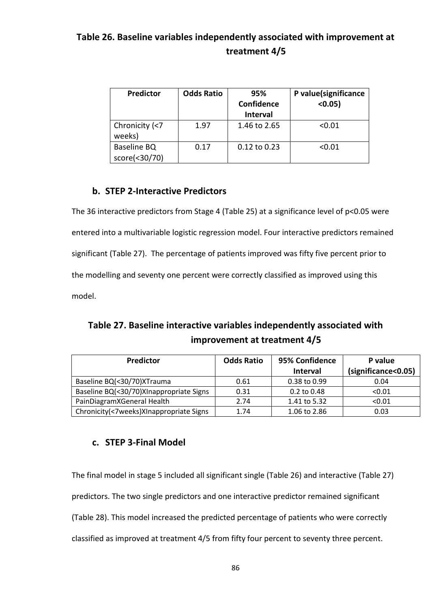## Table 26. Baseline variables independently associated with improvement at treatment 4/5

| Predictor                    | <b>Odds Ratio</b> | 95%<br>Confidence<br><b>Interval</b> | P value(significance<br>$< 0.05$ ) |
|------------------------------|-------------------|--------------------------------------|------------------------------------|
| Chronicity (<7<br>weeks)     | 1.97              | 1.46 to 2.65                         | < 0.01                             |
| Baseline BQ<br>score(<30/70) | 0.17              | $0.12$ to $0.23$                     | < 0.01                             |

## b. STEP 2-Interactive Predictors

The 36 interactive predictors from Stage 4 (Table 25) at a significance level of p<0.05 were entered into a multivariable logistic regression model. Four interactive predictors remained significant (Table 27). The percentage of patients improved was fifty five percent prior to the modelling and seventy one percent were correctly classified as improved using this model.

# Table 27. Baseline interactive variables independently associated with improvement at treatment 4/5

| <b>Predictor</b>                        | <b>Odds Ratio</b> | 95% Confidence  | P value             |
|-----------------------------------------|-------------------|-----------------|---------------------|
|                                         |                   | <b>Interval</b> | (significance<0.05) |
| Baseline BQ(<30/70)XTrauma              | 0.61              | 0.38 to 0.99    | 0.04                |
| Baseline BQ(<30/70)XInappropriate Signs | 0.31              | $0.2$ to $0.48$ | < 0.01              |
| PainDiagramXGeneral Health              | 2.74              | 1.41 to 5.32    | < 0.01              |
| Chronicity(<7weeks)XInappropriate Signs | 1.74              | 1.06 to 2.86    | 0.03                |

## c. STEP 3-Final Model

The final model in stage 5 included all significant single (Table 26) and interactive (Table 27) predictors. The two single predictors and one interactive predictor remained significant (Table 28). This model increased the predicted percentage of patients who were correctly classified as improved at treatment 4/5 from fifty four percent to seventy three percent.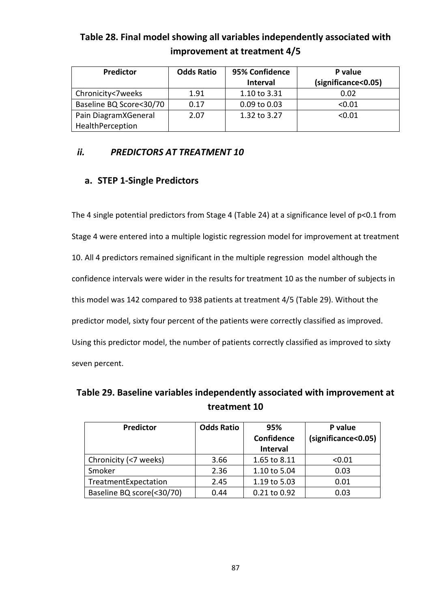| <b>Predictor</b>        | <b>Odds Ratio</b> | 95% Confidence   | P value             |
|-------------------------|-------------------|------------------|---------------------|
|                         |                   | <b>Interval</b>  | (significance<0.05) |
| Chronicity<7weeks       | 1.91              | 1.10 to 3.31     | 0.02                |
| Baseline BQ Score<30/70 | 0.17              | $0.09$ to $0.03$ | < 0.01              |
| Pain DiagramXGeneral    | 2.07              | 1.32 to 3.27     | < 0.01              |
| HealthPerception        |                   |                  |                     |

Table 28. Final model showing all variables independently associated with improvement at treatment 4/5

### ii. PREDICTORS AT TREATMENT 10

### a. STEP 1-Single Predictors

The 4 single potential predictors from Stage 4 (Table 24) at a significance level of p<0.1 from Stage 4 were entered into a multiple logistic regression model for improvement at treatment 10. All 4 predictors remained significant in the multiple regression model although the confidence intervals were wider in the results for treatment 10 as the number of subjects in this model was 142 compared to 938 patients at treatment 4/5 (Table 29). Without the predictor model, sixty four percent of the patients were correctly classified as improved. Using this predictor model, the number of patients correctly classified as improved to sixty seven percent.

Table 29. Baseline variables independently associated with improvement at treatment 10

| Predictor                 | <b>Odds Ratio</b> | 95%               | P value             |
|---------------------------|-------------------|-------------------|---------------------|
|                           |                   | <b>Confidence</b> | (significance<0.05) |
|                           |                   | Interval          |                     |
| Chronicity (<7 weeks)     | 3.66              | 1.65 to 8.11      | < 0.01              |
| Smoker                    | 2.36              | 1.10 to 5.04      | 0.03                |
| TreatmentExpectation      | 2.45              | 1.19 to 5.03      | 0.01                |
| Baseline BQ score(<30/70) | 0.44              | 0.21 to 0.92      | 0.03                |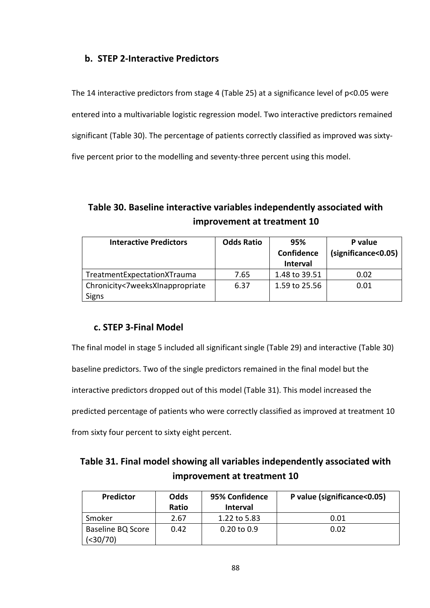### b. STEP 2-Interactive Predictors

The 14 interactive predictors from stage 4 (Table 25) at a significance level of p<0.05 were entered into a multivariable logistic regression model. Two interactive predictors remained significant (Table 30). The percentage of patients correctly classified as improved was sixtyfive percent prior to the modelling and seventy-three percent using this model.

# Table 30. Baseline interactive variables independently associated with improvement at treatment 10

| <b>Interactive Predictors</b>   | <b>Odds Ratio</b> | 95%<br><b>Confidence</b><br><b>Interval</b> | P value<br>(significance<0.05) |
|---------------------------------|-------------------|---------------------------------------------|--------------------------------|
| TreatmentExpectationXTrauma     | 7.65              | 1.48 to 39.51                               | 0.02                           |
| Chronicity<7weeksXInappropriate | 6.37              | 1.59 to 25.56                               | 0.01                           |
| <b>Signs</b>                    |                   |                                             |                                |

### c. STEP 3-Final Model

The final model in stage 5 included all significant single (Table 29) and interactive (Table 30)

baseline predictors. Two of the single predictors remained in the final model but the

interactive predictors dropped out of this model (Table 31). This model increased the

predicted percentage of patients who were correctly classified as improved at treatment 10

from sixty four percent to sixty eight percent.

| Table 31. Final model showing all variables independently associated with |
|---------------------------------------------------------------------------|
| improvement at treatment 10                                               |

| <b>Predictor</b>               | Odds<br>Ratio | 95% Confidence<br><b>Interval</b> | P value (significance<0.05) |
|--------------------------------|---------------|-----------------------------------|-----------------------------|
| Smoker                         | 2.67          | 1.22 to 5.83                      | 0.01                        |
| Baseline BQ Score<br>$(30/70)$ | 0.42          | $0.20$ to $0.9$                   | 0.02                        |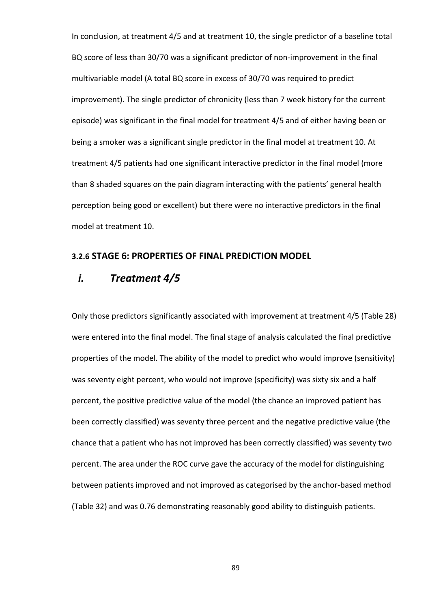In conclusion, at treatment 4/5 and at treatment 10, the single predictor of a baseline total BQ score of less than 30/70 was a significant predictor of non-improvement in the final multivariable model (A total BQ score in excess of 30/70 was required to predict improvement). The single predictor of chronicity (less than 7 week history for the current episode) was significant in the final model for treatment 4/5 and of either having been or being a smoker was a significant single predictor in the final model at treatment 10. At treatment 4/5 patients had one significant interactive predictor in the final model (more than 8 shaded squares on the pain diagram interacting with the patients' general health perception being good or excellent) but there were no interactive predictors in the final model at treatment 10.

### 3.2.6 STAGE 6: PROPERTIES OF FINAL PREDICTION MODEL

### i. Treatment 4/5

Only those predictors significantly associated with improvement at treatment 4/5 (Table 28) were entered into the final model. The final stage of analysis calculated the final predictive properties of the model. The ability of the model to predict who would improve (sensitivity) was seventy eight percent, who would not improve (specificity) was sixty six and a half percent, the positive predictive value of the model (the chance an improved patient has been correctly classified) was seventy three percent and the negative predictive value (the chance that a patient who has not improved has been correctly classified) was seventy two percent. The area under the ROC curve gave the accuracy of the model for distinguishing between patients improved and not improved as categorised by the anchor-based method (Table 32) and was 0.76 demonstrating reasonably good ability to distinguish patients.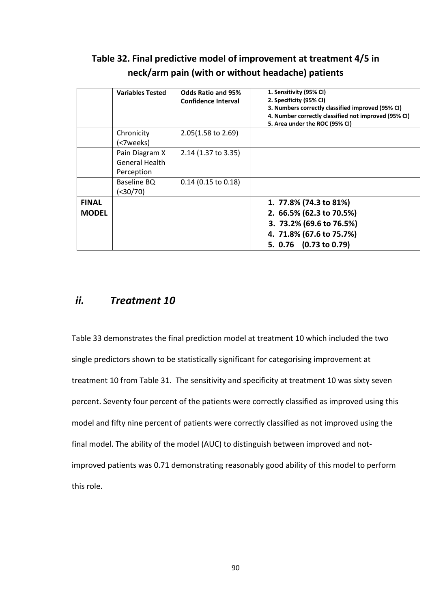# Table 32. Final predictive model of improvement at treatment 4/5 in neck/arm pain (with or without headache) patients

|              | <b>Variables Tested</b>                               | <b>Odds Ratio and 95%</b><br><b>Confidence Interval</b> | 1. Sensitivity (95% CI)<br>2. Specificity (95% CI)<br>3. Numbers correctly classified improved (95% CI)<br>4. Number correctly classified not improved (95% CI)<br>5. Area under the ROC (95% CI) |
|--------------|-------------------------------------------------------|---------------------------------------------------------|---------------------------------------------------------------------------------------------------------------------------------------------------------------------------------------------------|
|              | Chronicity<br>(<7weeks)                               | 2.05(1.58 to 2.69)                                      |                                                                                                                                                                                                   |
|              | Pain Diagram X<br><b>General Health</b><br>Perception | 2.14 (1.37 to 3.35)                                     |                                                                                                                                                                                                   |
|              | Baseline BQ<br>$(30/70)$                              | $0.14$ (0.15 to 0.18)                                   |                                                                                                                                                                                                   |
| <b>FINAL</b> |                                                       |                                                         | 1. 77.8% (74.3 to 81%)                                                                                                                                                                            |
| <b>MODEL</b> |                                                       |                                                         | 2. 66.5% (62.3 to 70.5%)                                                                                                                                                                          |
|              |                                                       |                                                         | 3. 73.2% (69.6 to 76.5%)                                                                                                                                                                          |
|              |                                                       |                                                         | 4. 71.8% (67.6 to 75.7%)                                                                                                                                                                          |
|              |                                                       |                                                         | 5. 0.76 (0.73 to 0.79)                                                                                                                                                                            |

## ii. Treatment 10

Table 33 demonstrates the final prediction model at treatment 10 which included the two single predictors shown to be statistically significant for categorising improvement at treatment 10 from Table 31. The sensitivity and specificity at treatment 10 was sixty seven percent. Seventy four percent of the patients were correctly classified as improved using this model and fifty nine percent of patients were correctly classified as not improved using the final model. The ability of the model (AUC) to distinguish between improved and notimproved patients was 0.71 demonstrating reasonably good ability of this model to perform this role.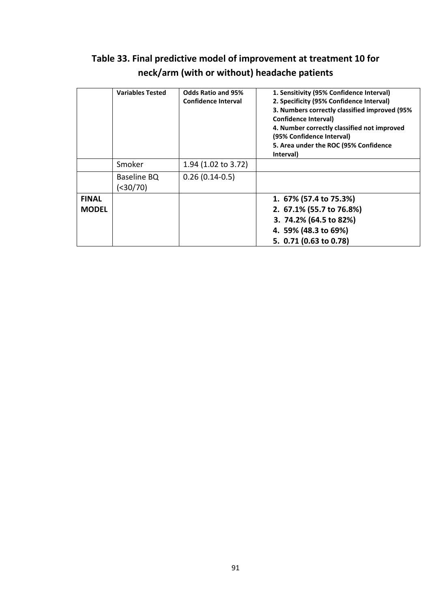# Table 33. Final predictive model of improvement at treatment 10 for neck/arm (with or without) headache patients

|              | <b>Variables Tested</b>   | <b>Odds Ratio and 95%</b><br><b>Confidence Interval</b> | 1. Sensitivity (95% Confidence Interval)<br>2. Specificity (95% Confidence Interval)<br>3. Numbers correctly classified improved (95%)<br>Confidence Interval)<br>4. Number correctly classified not improved<br>(95% Confidence Interval)<br>5. Area under the ROC (95% Confidence<br>Interval) |
|--------------|---------------------------|---------------------------------------------------------|--------------------------------------------------------------------------------------------------------------------------------------------------------------------------------------------------------------------------------------------------------------------------------------------------|
|              | Smoker                    | 1.94 (1.02 to 3.72)                                     |                                                                                                                                                                                                                                                                                                  |
|              | Baseline BQ<br>( < 30/70) | $0.26(0.14-0.5)$                                        |                                                                                                                                                                                                                                                                                                  |
| <b>FINAL</b> |                           |                                                         | 1. 67% (57.4 to 75.3%)                                                                                                                                                                                                                                                                           |
| <b>MODEL</b> |                           |                                                         | 2. 67.1% (55.7 to 76.8%)                                                                                                                                                                                                                                                                         |
|              |                           |                                                         | 3. 74.2% (64.5 to 82%)                                                                                                                                                                                                                                                                           |
|              |                           |                                                         | 4. 59% (48.3 to 69%)                                                                                                                                                                                                                                                                             |
|              |                           |                                                         | 5. 0.71 (0.63 to 0.78)                                                                                                                                                                                                                                                                           |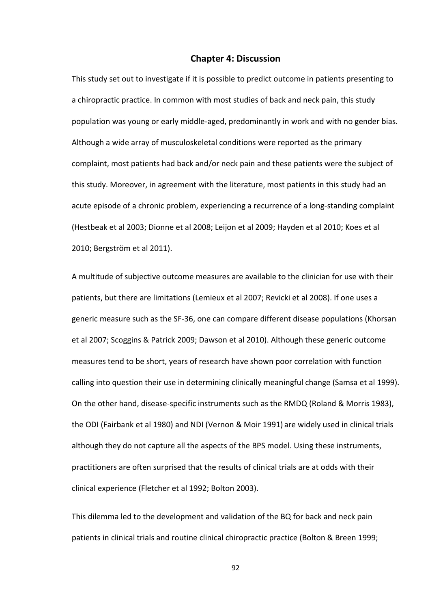### Chapter 4: Discussion

This study set out to investigate if it is possible to predict outcome in patients presenting to a chiropractic practice. In common with most studies of back and neck pain, this study population was young or early middle-aged, predominantly in work and with no gender bias. Although a wide array of musculoskeletal conditions were reported as the primary complaint, most patients had back and/or neck pain and these patients were the subject of this study. Moreover, in agreement with the literature, most patients in this study had an acute episode of a chronic problem, experiencing a recurrence of a long-standing complaint (Hestbeak et al 2003; Dionne et al 2008; Leijon et al 2009; Hayden et al 2010; Koes et al 2010; Bergström et al 2011).

A multitude of subjective outcome measures are available to the clinician for use with their patients, but there are limitations (Lemieux et al 2007; Revicki et al 2008). If one uses a generic measure such as the SF-36, one can compare different disease populations (Khorsan et al 2007; Scoggins & Patrick 2009; Dawson et al 2010). Although these generic outcome measures tend to be short, years of research have shown poor correlation with function calling into question their use in determining clinically meaningful change (Samsa et al 1999). On the other hand, disease-specific instruments such as the RMDQ (Roland & Morris 1983), the ODI (Fairbank et al 1980) and NDI (Vernon & Moir 1991) are widely used in clinical trials although they do not capture all the aspects of the BPS model. Using these instruments, practitioners are often surprised that the results of clinical trials are at odds with their clinical experience (Fletcher et al 1992; Bolton 2003).

This dilemma led to the development and validation of the BQ for back and neck pain patients in clinical trials and routine clinical chiropractic practice (Bolton & Breen 1999;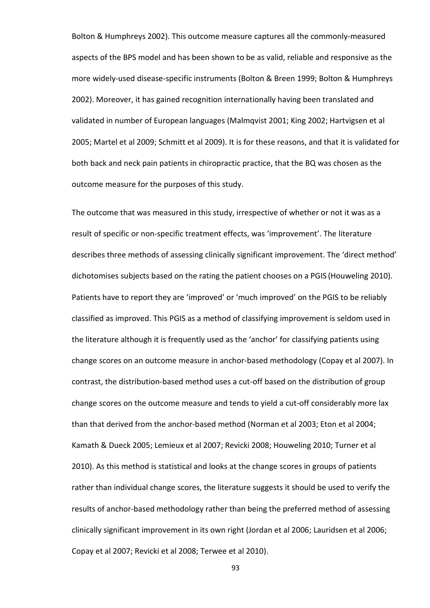Bolton & Humphreys 2002). This outcome measure captures all the commonly-measured aspects of the BPS model and has been shown to be as valid, reliable and responsive as the more widely-used disease-specific instruments (Bolton & Breen 1999; Bolton & Humphreys 2002). Moreover, it has gained recognition internationally having been translated and validated in number of European languages (Malmqvist 2001; King 2002; Hartvigsen et al 2005; Martel et al 2009; Schmitt et al 2009). It is for these reasons, and that it is validated for both back and neck pain patients in chiropractic practice, that the BQ was chosen as the outcome measure for the purposes of this study.

The outcome that was measured in this study, irrespective of whether or not it was as a result of specific or non-specific treatment effects, was 'improvement'. The literature describes three methods of assessing clinically significant improvement. The 'direct method' dichotomises subjects based on the rating the patient chooses on a PGIS (Houweling 2010). Patients have to report they are 'improved' or 'much improved' on the PGIS to be reliably classified as improved. This PGIS as a method of classifying improvement is seldom used in the literature although it is frequently used as the 'anchor' for classifying patients using change scores on an outcome measure in anchor-based methodology (Copay et al 2007). In contrast, the distribution-based method uses a cut-off based on the distribution of group change scores on the outcome measure and tends to yield a cut-off considerably more lax than that derived from the anchor-based method (Norman et al 2003; Eton et al 2004; Kamath & Dueck 2005; Lemieux et al 2007; Revicki 2008; Houweling 2010; Turner et al 2010). As this method is statistical and looks at the change scores in groups of patients rather than individual change scores, the literature suggests it should be used to verify the results of anchor-based methodology rather than being the preferred method of assessing clinically significant improvement in its own right (Jordan et al 2006; Lauridsen et al 2006; Copay et al 2007; Revicki et al 2008; Terwee et al 2010).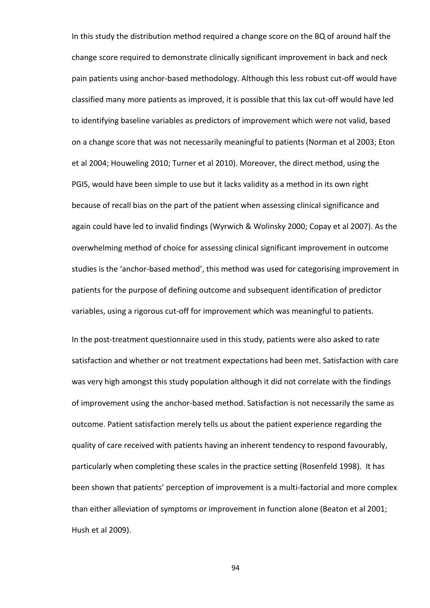In this study the distribution method required a change score on the BQ of around half the change score required to demonstrate clinically significant improvement in back and neck pain patients using anchor-based methodology. Although this less robust cut-off would have classified many more patients as improved, it is possible that this lax cut-off would have led to identifying baseline variables as predictors of improvement which were not valid, based on a change score that was not necessarily meaningful to patients (Norman et al 2003; Eton et al 2004; Houweling 2010; Turner et al 2010). Moreover, the direct method, using the PGIS, would have been simple to use but it lacks validity as a method in its own right because of recall bias on the part of the patient when assessing clinical significance and again could have led to invalid findings (Wyrwich & Wolinsky 2000; Copay et al 2007). As the overwhelming method of choice for assessing clinical significant improvement in outcome studies is the 'anchor-based method', this method was used for categorising improvement in patients for the purpose of defining outcome and subsequent identification of predictor variables, using a rigorous cut-off for improvement which was meaningful to patients.

In the post-treatment questionnaire used in this study, patients were also asked to rate satisfaction and whether or not treatment expectations had been met. Satisfaction with care was very high amongst this study population although it did not correlate with the findings of improvement using the anchor-based method. Satisfaction is not necessarily the same as outcome. Patient satisfaction merely tells us about the patient experience regarding the quality of care received with patients having an inherent tendency to respond favourably, particularly when completing these scales in the practice setting (Rosenfeld 1998). It has been shown that patients' perception of improvement is a multi-factorial and more complex than either alleviation of symptoms or improvement in function alone (Beaton et al 2001; Hush et al 2009).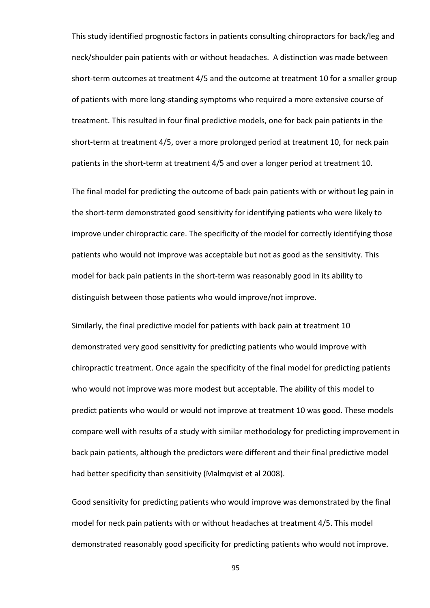This study identified prognostic factors in patients consulting chiropractors for back/leg and neck/shoulder pain patients with or without headaches. A distinction was made between short-term outcomes at treatment 4/5 and the outcome at treatment 10 for a smaller group of patients with more long-standing symptoms who required a more extensive course of treatment. This resulted in four final predictive models, one for back pain patients in the short-term at treatment 4/5, over a more prolonged period at treatment 10, for neck pain patients in the short-term at treatment 4/5 and over a longer period at treatment 10.

The final model for predicting the outcome of back pain patients with or without leg pain in the short-term demonstrated good sensitivity for identifying patients who were likely to improve under chiropractic care. The specificity of the model for correctly identifying those patients who would not improve was acceptable but not as good as the sensitivity. This model for back pain patients in the short-term was reasonably good in its ability to distinguish between those patients who would improve/not improve.

Similarly, the final predictive model for patients with back pain at treatment 10 demonstrated very good sensitivity for predicting patients who would improve with chiropractic treatment. Once again the specificity of the final model for predicting patients who would not improve was more modest but acceptable. The ability of this model to predict patients who would or would not improve at treatment 10 was good. These models compare well with results of a study with similar methodology for predicting improvement in back pain patients, although the predictors were different and their final predictive model had better specificity than sensitivity (Malmqvist et al 2008).

Good sensitivity for predicting patients who would improve was demonstrated by the final model for neck pain patients with or without headaches at treatment 4/5. This model demonstrated reasonably good specificity for predicting patients who would not improve.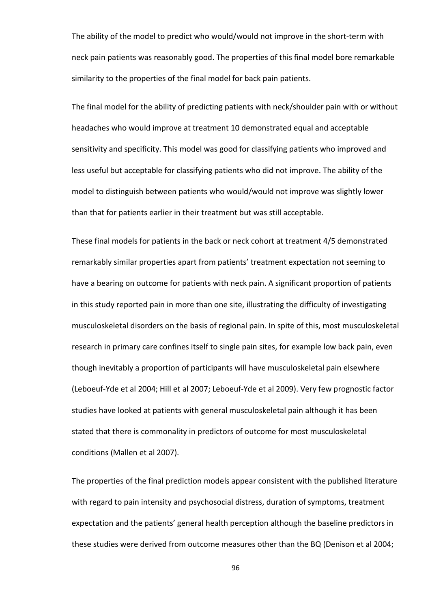The ability of the model to predict who would/would not improve in the short-term with neck pain patients was reasonably good. The properties of this final model bore remarkable similarity to the properties of the final model for back pain patients.

The final model for the ability of predicting patients with neck/shoulder pain with or without headaches who would improve at treatment 10 demonstrated equal and acceptable sensitivity and specificity. This model was good for classifying patients who improved and less useful but acceptable for classifying patients who did not improve. The ability of the model to distinguish between patients who would/would not improve was slightly lower than that for patients earlier in their treatment but was still acceptable.

These final models for patients in the back or neck cohort at treatment 4/5 demonstrated remarkably similar properties apart from patients' treatment expectation not seeming to have a bearing on outcome for patients with neck pain. A significant proportion of patients in this study reported pain in more than one site, illustrating the difficulty of investigating musculoskeletal disorders on the basis of regional pain. In spite of this, most musculoskeletal research in primary care confines itself to single pain sites, for example low back pain, even though inevitably a proportion of participants will have musculoskeletal pain elsewhere (Leboeuf-Yde et al 2004; Hill et al 2007; Leboeuf-Yde et al 2009). Very few prognostic factor studies have looked at patients with general musculoskeletal pain although it has been stated that there is commonality in predictors of outcome for most musculoskeletal conditions (Mallen et al 2007).

The properties of the final prediction models appear consistent with the published literature with regard to pain intensity and psychosocial distress, duration of symptoms, treatment expectation and the patients' general health perception although the baseline predictors in these studies were derived from outcome measures other than the BQ (Denison et al 2004;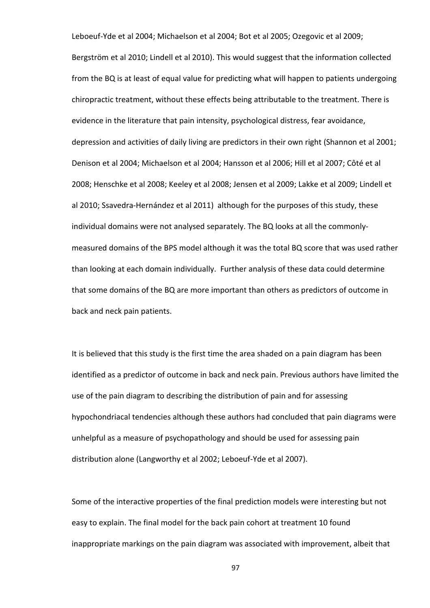Leboeuf-Yde et al 2004; Michaelson et al 2004; Bot et al 2005; Ozegovic et al 2009; Bergström et al 2010; Lindell et al 2010). This would suggest that the information collected from the BQ is at least of equal value for predicting what will happen to patients undergoing chiropractic treatment, without these effects being attributable to the treatment. There is evidence in the literature that pain intensity, psychological distress, fear avoidance, depression and activities of daily living are predictors in their own right (Shannon et al 2001; Denison et al 2004; Michaelson et al 2004; Hansson et al 2006; Hill et al 2007; Côté et al 2008; Henschke et al 2008; Keeley et al 2008; Jensen et al 2009; Lakke et al 2009; Lindell et al 2010; Ssavedra-Hernández et al 2011) although for the purposes of this study, these individual domains were not analysed separately. The BQ looks at all the commonlymeasured domains of the BPS model although it was the total BQ score that was used rather than looking at each domain individually. Further analysis of these data could determine that some domains of the BQ are more important than others as predictors of outcome in back and neck pain patients.

It is believed that this study is the first time the area shaded on a pain diagram has been identified as a predictor of outcome in back and neck pain. Previous authors have limited the use of the pain diagram to describing the distribution of pain and for assessing hypochondriacal tendencies although these authors had concluded that pain diagrams were unhelpful as a measure of psychopathology and should be used for assessing pain distribution alone (Langworthy et al 2002; Leboeuf-Yde et al 2007).

Some of the interactive properties of the final prediction models were interesting but not easy to explain. The final model for the back pain cohort at treatment 10 found inappropriate markings on the pain diagram was associated with improvement, albeit that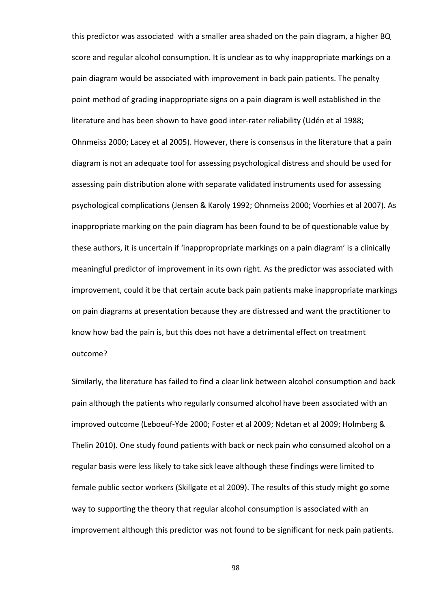this predictor was associated with a smaller area shaded on the pain diagram, a higher BQ score and regular alcohol consumption. It is unclear as to why inappropriate markings on a pain diagram would be associated with improvement in back pain patients. The penalty point method of grading inappropriate signs on a pain diagram is well established in the literature and has been shown to have good inter-rater reliability (Udén et al 1988; Ohnmeiss 2000; Lacey et al 2005). However, there is consensus in the literature that a pain diagram is not an adequate tool for assessing psychological distress and should be used for assessing pain distribution alone with separate validated instruments used for assessing psychological complications (Jensen & Karoly 1992; Ohnmeiss 2000; Voorhies et al 2007). As inappropriate marking on the pain diagram has been found to be of questionable value by these authors, it is uncertain if 'inappropropriate markings on a pain diagram' is a clinically meaningful predictor of improvement in its own right. As the predictor was associated with improvement, could it be that certain acute back pain patients make inappropriate markings on pain diagrams at presentation because they are distressed and want the practitioner to know how bad the pain is, but this does not have a detrimental effect on treatment outcome?

Similarly, the literature has failed to find a clear link between alcohol consumption and back pain although the patients who regularly consumed alcohol have been associated with an improved outcome (Leboeuf-Yde 2000; Foster et al 2009; Ndetan et al 2009; Holmberg & Thelin 2010). One study found patients with back or neck pain who consumed alcohol on a regular basis were less likely to take sick leave although these findings were limited to female public sector workers (Skillgate et al 2009). The results of this study might go some way to supporting the theory that regular alcohol consumption is associated with an improvement although this predictor was not found to be significant for neck pain patients.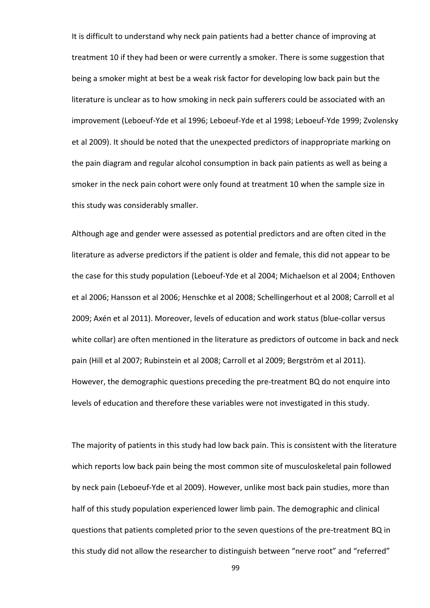It is difficult to understand why neck pain patients had a better chance of improving at treatment 10 if they had been or were currently a smoker. There is some suggestion that being a smoker might at best be a weak risk factor for developing low back pain but the literature is unclear as to how smoking in neck pain sufferers could be associated with an improvement (Leboeuf-Yde et al 1996; Leboeuf-Yde et al 1998; Leboeuf-Yde 1999; Zvolensky et al 2009). It should be noted that the unexpected predictors of inappropriate marking on the pain diagram and regular alcohol consumption in back pain patients as well as being a smoker in the neck pain cohort were only found at treatment 10 when the sample size in this study was considerably smaller.

Although age and gender were assessed as potential predictors and are often cited in the literature as adverse predictors if the patient is older and female, this did not appear to be the case for this study population (Leboeuf-Yde et al 2004; Michaelson et al 2004; Enthoven et al 2006; Hansson et al 2006; Henschke et al 2008; Schellingerhout et al 2008; Carroll et al 2009; Axén et al 2011). Moreover, levels of education and work status (blue-collar versus white collar) are often mentioned in the literature as predictors of outcome in back and neck pain (Hill et al 2007; Rubinstein et al 2008; Carroll et al 2009; Bergström et al 2011). However, the demographic questions preceding the pre-treatment BQ do not enquire into levels of education and therefore these variables were not investigated in this study.

The majority of patients in this study had low back pain. This is consistent with the literature which reports low back pain being the most common site of musculoskeletal pain followed by neck pain (Leboeuf-Yde et al 2009). However, unlike most back pain studies, more than half of this study population experienced lower limb pain. The demographic and clinical questions that patients completed prior to the seven questions of the pre-treatment BQ in this study did not allow the researcher to distinguish between "nerve root" and "referred"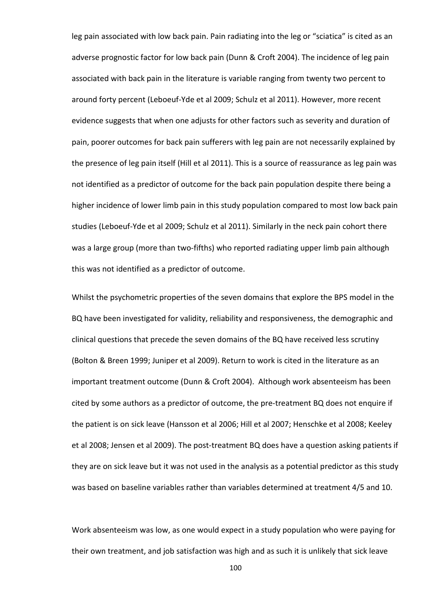leg pain associated with low back pain. Pain radiating into the leg or "sciatica" is cited as an adverse prognostic factor for low back pain (Dunn & Croft 2004). The incidence of leg pain associated with back pain in the literature is variable ranging from twenty two percent to around forty percent (Leboeuf-Yde et al 2009; Schulz et al 2011). However, more recent evidence suggests that when one adjusts for other factors such as severity and duration of pain, poorer outcomes for back pain sufferers with leg pain are not necessarily explained by the presence of leg pain itself (Hill et al 2011). This is a source of reassurance as leg pain was not identified as a predictor of outcome for the back pain population despite there being a higher incidence of lower limb pain in this study population compared to most low back pain studies (Leboeuf-Yde et al 2009; Schulz et al 2011). Similarly in the neck pain cohort there was a large group (more than two-fifths) who reported radiating upper limb pain although this was not identified as a predictor of outcome.

Whilst the psychometric properties of the seven domains that explore the BPS model in the BQ have been investigated for validity, reliability and responsiveness, the demographic and clinical questions that precede the seven domains of the BQ have received less scrutiny (Bolton & Breen 1999; Juniper et al 2009). Return to work is cited in the literature as an important treatment outcome (Dunn & Croft 2004). Although work absenteeism has been cited by some authors as a predictor of outcome, the pre-treatment BQ does not enquire if the patient is on sick leave (Hansson et al 2006; Hill et al 2007; Henschke et al 2008; Keeley et al 2008; Jensen et al 2009). The post-treatment BQ does have a question asking patients if they are on sick leave but it was not used in the analysis as a potential predictor as this study was based on baseline variables rather than variables determined at treatment 4/5 and 10.

Work absenteeism was low, as one would expect in a study population who were paying for their own treatment, and job satisfaction was high and as such it is unlikely that sick leave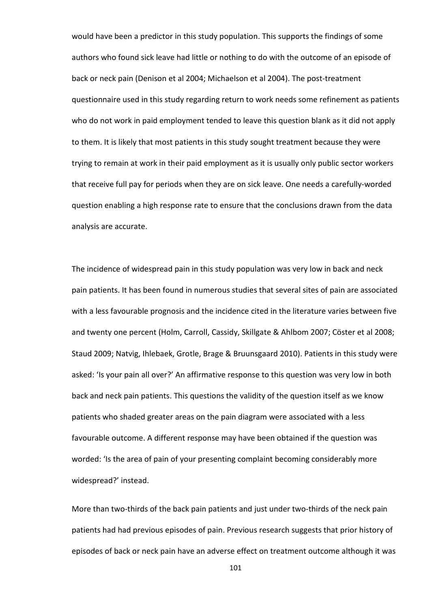would have been a predictor in this study population. This supports the findings of some authors who found sick leave had little or nothing to do with the outcome of an episode of back or neck pain (Denison et al 2004; Michaelson et al 2004). The post-treatment questionnaire used in this study regarding return to work needs some refinement as patients who do not work in paid employment tended to leave this question blank as it did not apply to them. It is likely that most patients in this study sought treatment because they were trying to remain at work in their paid employment as it is usually only public sector workers that receive full pay for periods when they are on sick leave. One needs a carefully-worded question enabling a high response rate to ensure that the conclusions drawn from the data analysis are accurate.

The incidence of widespread pain in this study population was very low in back and neck pain patients. It has been found in numerous studies that several sites of pain are associated with a less favourable prognosis and the incidence cited in the literature varies between five and twenty one percent (Holm, Carroll, Cassidy, Skillgate & Ahlbom 2007; Cöster et al 2008; Staud 2009; Natvig, Ihlebaek, Grotle, Brage & Bruunsgaard 2010). Patients in this study were asked: 'Is your pain all over?' An affirmative response to this question was very low in both back and neck pain patients. This questions the validity of the question itself as we know patients who shaded greater areas on the pain diagram were associated with a less favourable outcome. A different response may have been obtained if the question was worded: 'Is the area of pain of your presenting complaint becoming considerably more widespread?' instead.

More than two-thirds of the back pain patients and just under two-thirds of the neck pain patients had had previous episodes of pain. Previous research suggests that prior history of episodes of back or neck pain have an adverse effect on treatment outcome although it was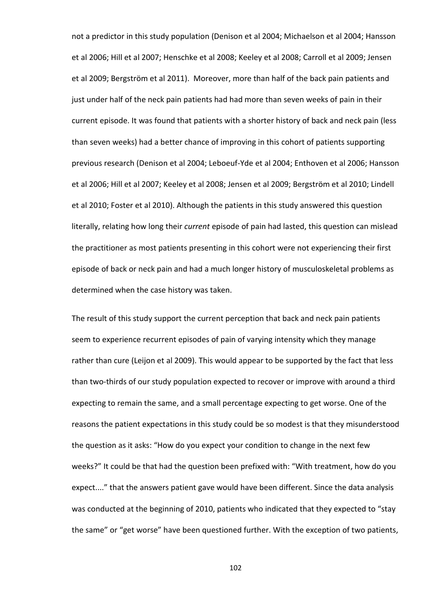not a predictor in this study population (Denison et al 2004; Michaelson et al 2004; Hansson et al 2006; Hill et al 2007; Henschke et al 2008; Keeley et al 2008; Carroll et al 2009; Jensen et al 2009; Bergström et al 2011). Moreover, more than half of the back pain patients and just under half of the neck pain patients had had more than seven weeks of pain in their current episode. It was found that patients with a shorter history of back and neck pain (less than seven weeks) had a better chance of improving in this cohort of patients supporting previous research (Denison et al 2004; Leboeuf-Yde et al 2004; Enthoven et al 2006; Hansson et al 2006; Hill et al 2007; Keeley et al 2008; Jensen et al 2009; Bergström et al 2010; Lindell et al 2010; Foster et al 2010). Although the patients in this study answered this question literally, relating how long their current episode of pain had lasted, this question can mislead the practitioner as most patients presenting in this cohort were not experiencing their first episode of back or neck pain and had a much longer history of musculoskeletal problems as determined when the case history was taken.

The result of this study support the current perception that back and neck pain patients seem to experience recurrent episodes of pain of varying intensity which they manage rather than cure (Leijon et al 2009). This would appear to be supported by the fact that less than two-thirds of our study population expected to recover or improve with around a third expecting to remain the same, and a small percentage expecting to get worse. One of the reasons the patient expectations in this study could be so modest is that they misunderstood the question as it asks: "How do you expect your condition to change in the next few weeks?" It could be that had the question been prefixed with: "With treatment, how do you expect...." that the answers patient gave would have been different. Since the data analysis was conducted at the beginning of 2010, patients who indicated that they expected to "stay the same" or "get worse" have been questioned further. With the exception of two patients,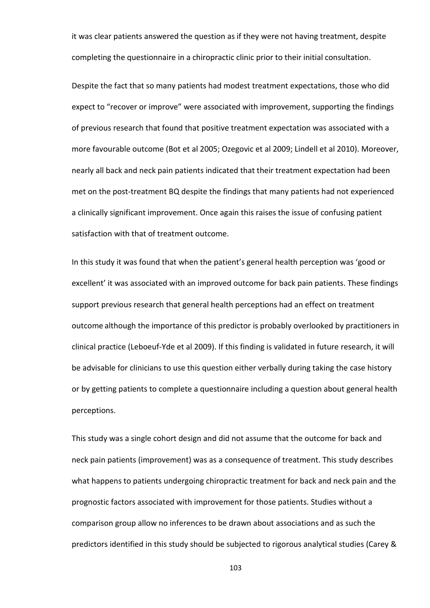it was clear patients answered the question as if they were not having treatment, despite completing the questionnaire in a chiropractic clinic prior to their initial consultation.

Despite the fact that so many patients had modest treatment expectations, those who did expect to "recover or improve" were associated with improvement, supporting the findings of previous research that found that positive treatment expectation was associated with a more favourable outcome (Bot et al 2005; Ozegovic et al 2009; Lindell et al 2010). Moreover, nearly all back and neck pain patients indicated that their treatment expectation had been met on the post-treatment BQ despite the findings that many patients had not experienced a clinically significant improvement. Once again this raises the issue of confusing patient satisfaction with that of treatment outcome.

In this study it was found that when the patient's general health perception was 'good or excellent' it was associated with an improved outcome for back pain patients. These findings support previous research that general health perceptions had an effect on treatment outcome although the importance of this predictor is probably overlooked by practitioners in clinical practice (Leboeuf-Yde et al 2009). If this finding is validated in future research, it will be advisable for clinicians to use this question either verbally during taking the case history or by getting patients to complete a questionnaire including a question about general health perceptions.

This study was a single cohort design and did not assume that the outcome for back and neck pain patients (improvement) was as a consequence of treatment. This study describes what happens to patients undergoing chiropractic treatment for back and neck pain and the prognostic factors associated with improvement for those patients. Studies without a comparison group allow no inferences to be drawn about associations and as such the predictors identified in this study should be subjected to rigorous analytical studies (Carey &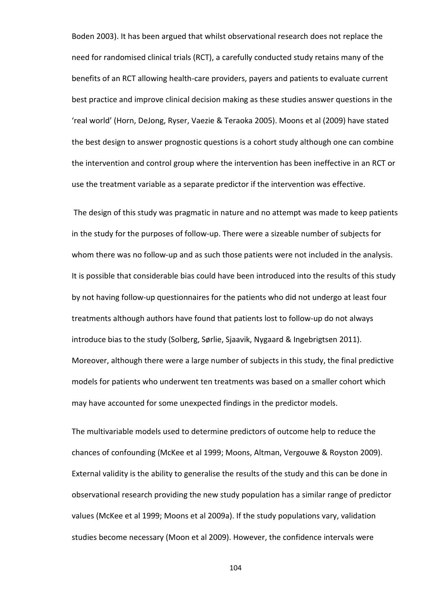Boden 2003). It has been argued that whilst observational research does not replace the need for randomised clinical trials (RCT), a carefully conducted study retains many of the benefits of an RCT allowing health-care providers, payers and patients to evaluate current best practice and improve clinical decision making as these studies answer questions in the 'real world' (Horn, DeJong, Ryser, Vaezie & Teraoka 2005). Moons et al (2009) have stated the best design to answer prognostic questions is a cohort study although one can combine the intervention and control group where the intervention has been ineffective in an RCT or use the treatment variable as a separate predictor if the intervention was effective.

 The design of this study was pragmatic in nature and no attempt was made to keep patients in the study for the purposes of follow-up. There were a sizeable number of subjects for whom there was no follow-up and as such those patients were not included in the analysis. It is possible that considerable bias could have been introduced into the results of this study by not having follow-up questionnaires for the patients who did not undergo at least four treatments although authors have found that patients lost to follow-up do not always introduce bias to the study (Solberg, Sørlie, Sjaavik, Nygaard & Ingebrigtsen 2011). Moreover, although there were a large number of subjects in this study, the final predictive models for patients who underwent ten treatments was based on a smaller cohort which may have accounted for some unexpected findings in the predictor models.

The multivariable models used to determine predictors of outcome help to reduce the chances of confounding (McKee et al 1999; Moons, Altman, Vergouwe & Royston 2009). External validity is the ability to generalise the results of the study and this can be done in observational research providing the new study population has a similar range of predictor values (McKee et al 1999; Moons et al 2009a). If the study populations vary, validation studies become necessary (Moon et al 2009). However, the confidence intervals were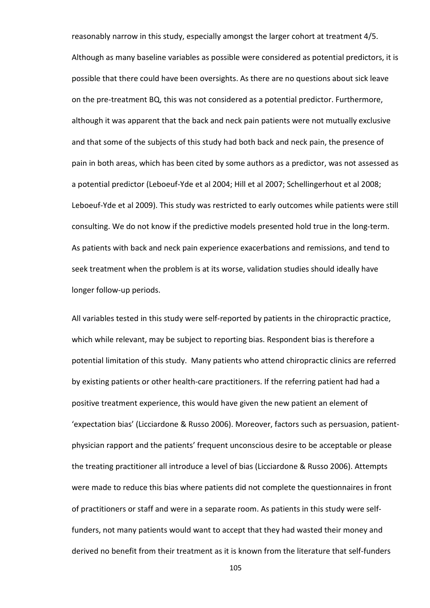reasonably narrow in this study, especially amongst the larger cohort at treatment 4/5. Although as many baseline variables as possible were considered as potential predictors, it is possible that there could have been oversights. As there are no questions about sick leave on the pre-treatment BQ, this was not considered as a potential predictor. Furthermore, although it was apparent that the back and neck pain patients were not mutually exclusive and that some of the subjects of this study had both back and neck pain, the presence of pain in both areas, which has been cited by some authors as a predictor, was not assessed as a potential predictor (Leboeuf-Yde et al 2004; Hill et al 2007; Schellingerhout et al 2008; Leboeuf-Yde et al 2009). This study was restricted to early outcomes while patients were still consulting. We do not know if the predictive models presented hold true in the long-term. As patients with back and neck pain experience exacerbations and remissions, and tend to seek treatment when the problem is at its worse, validation studies should ideally have longer follow-up periods.

All variables tested in this study were self-reported by patients in the chiropractic practice, which while relevant, may be subject to reporting bias. Respondent bias is therefore a potential limitation of this study. Many patients who attend chiropractic clinics are referred by existing patients or other health-care practitioners. If the referring patient had had a positive treatment experience, this would have given the new patient an element of 'expectation bias' (Licciardone & Russo 2006). Moreover, factors such as persuasion, patientphysician rapport and the patients' frequent unconscious desire to be acceptable or please the treating practitioner all introduce a level of bias (Licciardone & Russo 2006). Attempts were made to reduce this bias where patients did not complete the questionnaires in front of practitioners or staff and were in a separate room. As patients in this study were selffunders, not many patients would want to accept that they had wasted their money and derived no benefit from their treatment as it is known from the literature that self-funders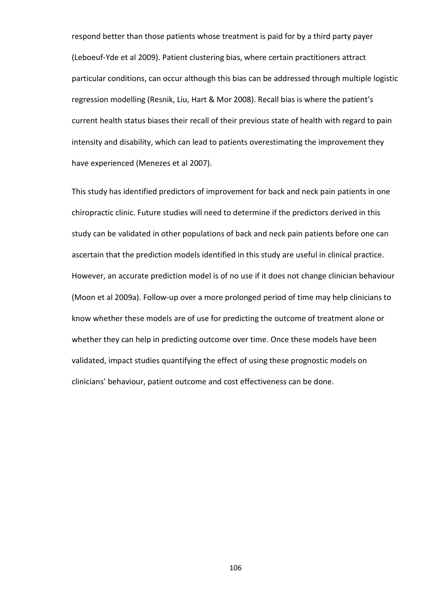respond better than those patients whose treatment is paid for by a third party payer (Leboeuf-Yde et al 2009). Patient clustering bias, where certain practitioners attract particular conditions, can occur although this bias can be addressed through multiple logistic regression modelling (Resnik, Liu, Hart & Mor 2008). Recall bias is where the patient's current health status biases their recall of their previous state of health with regard to pain intensity and disability, which can lead to patients overestimating the improvement they have experienced (Menezes et al 2007).

This study has identified predictors of improvement for back and neck pain patients in one chiropractic clinic. Future studies will need to determine if the predictors derived in this study can be validated in other populations of back and neck pain patients before one can ascertain that the prediction models identified in this study are useful in clinical practice. However, an accurate prediction model is of no use if it does not change clinician behaviour (Moon et al 2009a). Follow-up over a more prolonged period of time may help clinicians to know whether these models are of use for predicting the outcome of treatment alone or whether they can help in predicting outcome over time. Once these models have been validated, impact studies quantifying the effect of using these prognostic models on clinicians' behaviour, patient outcome and cost effectiveness can be done.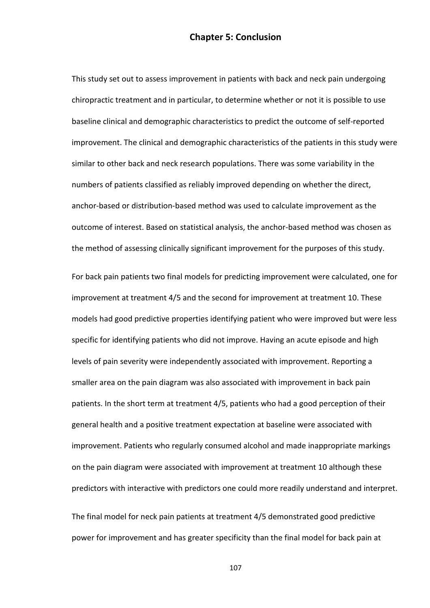### Chapter 5: Conclusion

This study set out to assess improvement in patients with back and neck pain undergoing chiropractic treatment and in particular, to determine whether or not it is possible to use baseline clinical and demographic characteristics to predict the outcome of self-reported improvement. The clinical and demographic characteristics of the patients in this study were similar to other back and neck research populations. There was some variability in the numbers of patients classified as reliably improved depending on whether the direct, anchor-based or distribution-based method was used to calculate improvement as the outcome of interest. Based on statistical analysis, the anchor-based method was chosen as the method of assessing clinically significant improvement for the purposes of this study.

For back pain patients two final models for predicting improvement were calculated, one for improvement at treatment 4/5 and the second for improvement at treatment 10. These models had good predictive properties identifying patient who were improved but were less specific for identifying patients who did not improve. Having an acute episode and high levels of pain severity were independently associated with improvement. Reporting a smaller area on the pain diagram was also associated with improvement in back pain patients. In the short term at treatment 4/5, patients who had a good perception of their general health and a positive treatment expectation at baseline were associated with improvement. Patients who regularly consumed alcohol and made inappropriate markings on the pain diagram were associated with improvement at treatment 10 although these predictors with interactive with predictors one could more readily understand and interpret.

The final model for neck pain patients at treatment 4/5 demonstrated good predictive power for improvement and has greater specificity than the final model for back pain at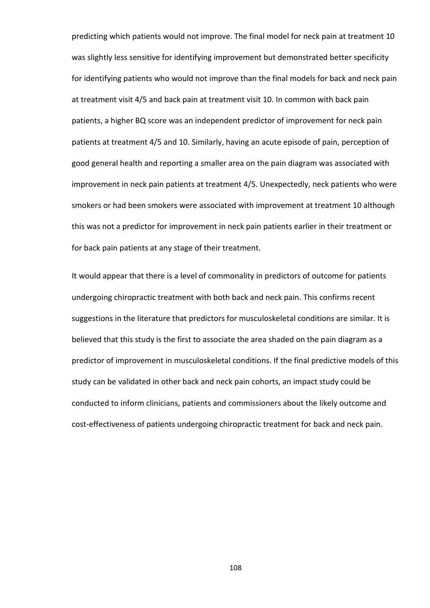predicting which patients would not improve. The final model for neck pain at treatment 10 was slightly less sensitive for identifying improvement but demonstrated better specificity for identifying patients who would not improve than the final models for back and neck pain at treatment visit 4/5 and back pain at treatment visit 10. In common with back pain patients, a higher BQ score was an independent predictor of improvement for neck pain patients at treatment 4/5 and 10. Similarly, having an acute episode of pain, perception of good general health and reporting a smaller area on the pain diagram was associated with improvement in neck pain patients at treatment 4/5. Unexpectedly, neck patients who were smokers or had been smokers were associated with improvement at treatment 10 although this was not a predictor for improvement in neck pain patients earlier in their treatment or for back pain patients at any stage of their treatment.

It would appear that there is a level of commonality in predictors of outcome for patients undergoing chiropractic treatment with both back and neck pain. This confirms recent suggestions in the literature that predictors for musculoskeletal conditions are similar. It is believed that this study is the first to associate the area shaded on the pain diagram as a predictor of improvement in musculoskeletal conditions. If the final predictive models of this study can be validated in other back and neck pain cohorts, an impact study could be conducted to inform clinicians, patients and commissioners about the likely outcome and cost-effectiveness of patients undergoing chiropractic treatment for back and neck pain.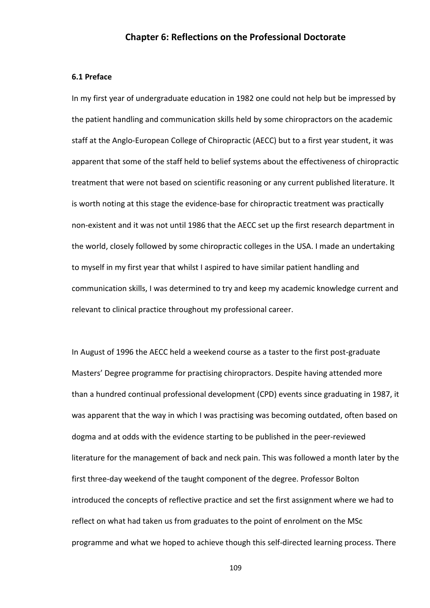#### Chapter 6: Reflections on the Professional Doctorate

#### 6.1 Preface

In my first year of undergraduate education in 1982 one could not help but be impressed by the patient handling and communication skills held by some chiropractors on the academic staff at the Anglo-European College of Chiropractic (AECC) but to a first year student, it was apparent that some of the staff held to belief systems about the effectiveness of chiropractic treatment that were not based on scientific reasoning or any current published literature. It is worth noting at this stage the evidence-base for chiropractic treatment was practically non-existent and it was not until 1986 that the AECC set up the first research department in the world, closely followed by some chiropractic colleges in the USA. I made an undertaking to myself in my first year that whilst I aspired to have similar patient handling and communication skills, I was determined to try and keep my academic knowledge current and relevant to clinical practice throughout my professional career.

In August of 1996 the AECC held a weekend course as a taster to the first post-graduate Masters' Degree programme for practising chiropractors. Despite having attended more than a hundred continual professional development (CPD) events since graduating in 1987, it was apparent that the way in which I was practising was becoming outdated, often based on dogma and at odds with the evidence starting to be published in the peer-reviewed literature for the management of back and neck pain. This was followed a month later by the first three-day weekend of the taught component of the degree. Professor Bolton introduced the concepts of reflective practice and set the first assignment where we had to reflect on what had taken us from graduates to the point of enrolment on the MSc programme and what we hoped to achieve though this self-directed learning process. There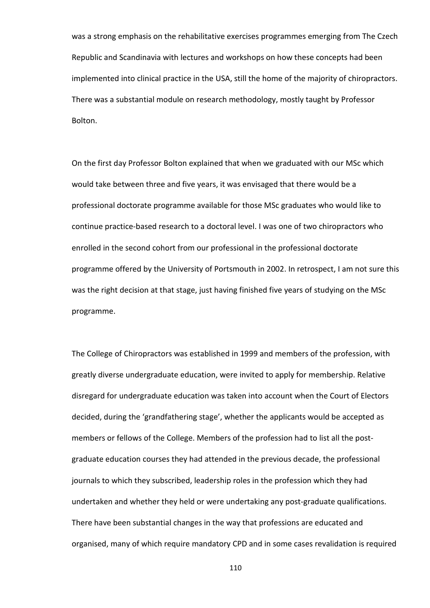was a strong emphasis on the rehabilitative exercises programmes emerging from The Czech Republic and Scandinavia with lectures and workshops on how these concepts had been implemented into clinical practice in the USA, still the home of the majority of chiropractors. There was a substantial module on research methodology, mostly taught by Professor Bolton.

On the first day Professor Bolton explained that when we graduated with our MSc which would take between three and five years, it was envisaged that there would be a professional doctorate programme available for those MSc graduates who would like to continue practice-based research to a doctoral level. I was one of two chiropractors who enrolled in the second cohort from our professional in the professional doctorate programme offered by the University of Portsmouth in 2002. In retrospect, I am not sure this was the right decision at that stage, just having finished five years of studying on the MSc programme.

The College of Chiropractors was established in 1999 and members of the profession, with greatly diverse undergraduate education, were invited to apply for membership. Relative disregard for undergraduate education was taken into account when the Court of Electors decided, during the 'grandfathering stage', whether the applicants would be accepted as members or fellows of the College. Members of the profession had to list all the postgraduate education courses they had attended in the previous decade, the professional journals to which they subscribed, leadership roles in the profession which they had undertaken and whether they held or were undertaking any post-graduate qualifications. There have been substantial changes in the way that professions are educated and organised, many of which require mandatory CPD and in some cases revalidation is required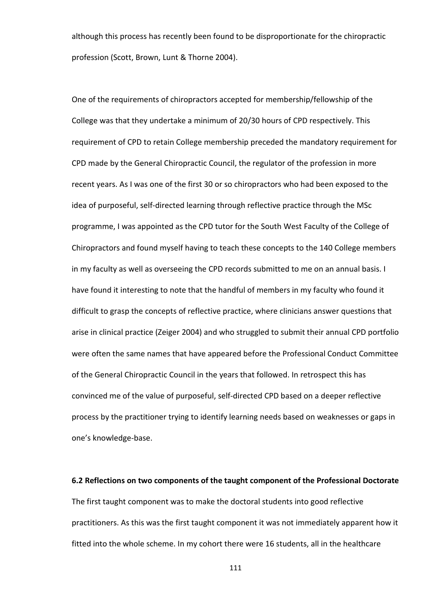although this process has recently been found to be disproportionate for the chiropractic profession (Scott, Brown, Lunt & Thorne 2004).

One of the requirements of chiropractors accepted for membership/fellowship of the College was that they undertake a minimum of 20/30 hours of CPD respectively. This requirement of CPD to retain College membership preceded the mandatory requirement for CPD made by the General Chiropractic Council, the regulator of the profession in more recent years. As I was one of the first 30 or so chiropractors who had been exposed to the idea of purposeful, self-directed learning through reflective practice through the MSc programme, I was appointed as the CPD tutor for the South West Faculty of the College of Chiropractors and found myself having to teach these concepts to the 140 College members in my faculty as well as overseeing the CPD records submitted to me on an annual basis. I have found it interesting to note that the handful of members in my faculty who found it difficult to grasp the concepts of reflective practice, where clinicians answer questions that arise in clinical practice (Zeiger 2004) and who struggled to submit their annual CPD portfolio were often the same names that have appeared before the Professional Conduct Committee of the General Chiropractic Council in the years that followed. In retrospect this has convinced me of the value of purposeful, self-directed CPD based on a deeper reflective process by the practitioner trying to identify learning needs based on weaknesses or gaps in one's knowledge-base.

6.2 Reflections on two components of the taught component of the Professional Doctorate The first taught component was to make the doctoral students into good reflective practitioners. As this was the first taught component it was not immediately apparent how it fitted into the whole scheme. In my cohort there were 16 students, all in the healthcare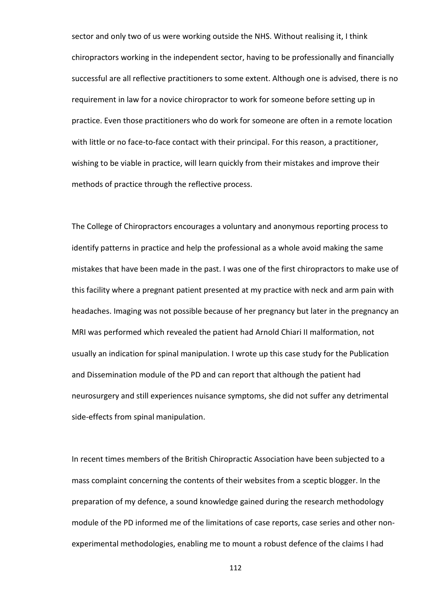sector and only two of us were working outside the NHS. Without realising it, I think chiropractors working in the independent sector, having to be professionally and financially successful are all reflective practitioners to some extent. Although one is advised, there is no requirement in law for a novice chiropractor to work for someone before setting up in practice. Even those practitioners who do work for someone are often in a remote location with little or no face-to-face contact with their principal. For this reason, a practitioner, wishing to be viable in practice, will learn quickly from their mistakes and improve their methods of practice through the reflective process.

The College of Chiropractors encourages a voluntary and anonymous reporting process to identify patterns in practice and help the professional as a whole avoid making the same mistakes that have been made in the past. I was one of the first chiropractors to make use of this facility where a pregnant patient presented at my practice with neck and arm pain with headaches. Imaging was not possible because of her pregnancy but later in the pregnancy an MRI was performed which revealed the patient had Arnold Chiari II malformation, not usually an indication for spinal manipulation. I wrote up this case study for the Publication and Dissemination module of the PD and can report that although the patient had neurosurgery and still experiences nuisance symptoms, she did not suffer any detrimental side-effects from spinal manipulation.

In recent times members of the British Chiropractic Association have been subjected to a mass complaint concerning the contents of their websites from a sceptic blogger. In the preparation of my defence, a sound knowledge gained during the research methodology module of the PD informed me of the limitations of case reports, case series and other nonexperimental methodologies, enabling me to mount a robust defence of the claims I had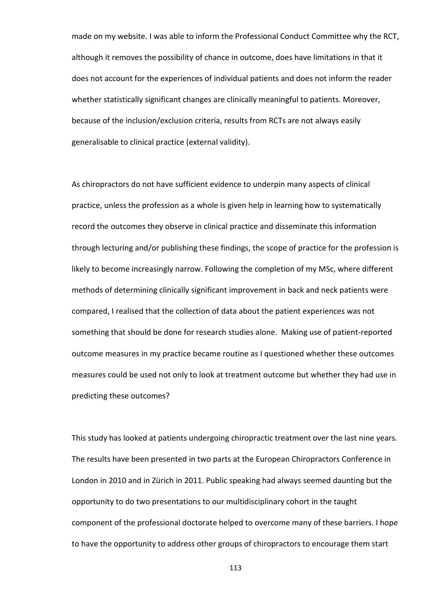made on my website. I was able to inform the Professional Conduct Committee why the RCT, although it removes the possibility of chance in outcome, does have limitations in that it does not account for the experiences of individual patients and does not inform the reader whether statistically significant changes are clinically meaningful to patients. Moreover, because of the inclusion/exclusion criteria, results from RCTs are not always easily generalisable to clinical practice (external validity).

As chiropractors do not have sufficient evidence to underpin many aspects of clinical practice, unless the profession as a whole is given help in learning how to systematically record the outcomes they observe in clinical practice and disseminate this information through lecturing and/or publishing these findings, the scope of practice for the profession is likely to become increasingly narrow. Following the completion of my MSc, where different methods of determining clinically significant improvement in back and neck patients were compared, I realised that the collection of data about the patient experiences was not something that should be done for research studies alone. Making use of patient-reported outcome measures in my practice became routine as I questioned whether these outcomes measures could be used not only to look at treatment outcome but whether they had use in predicting these outcomes?

This study has looked at patients undergoing chiropractic treatment over the last nine years. The results have been presented in two parts at the European Chiropractors Conference in London in 2010 and in Zürich in 2011. Public speaking had always seemed daunting but the opportunity to do two presentations to our multidisciplinary cohort in the taught component of the professional doctorate helped to overcome many of these barriers. I hope to have the opportunity to address other groups of chiropractors to encourage them start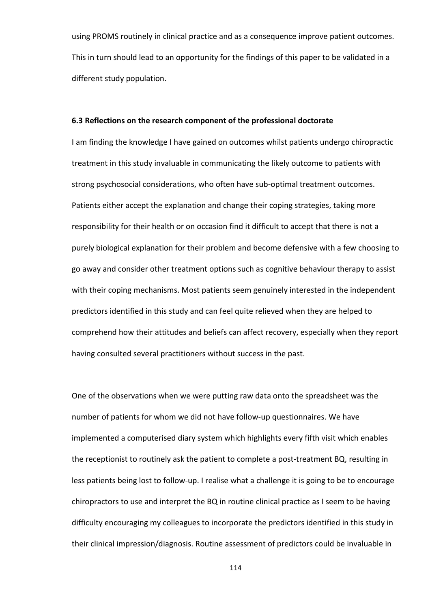using PROMS routinely in clinical practice and as a consequence improve patient outcomes. This in turn should lead to an opportunity for the findings of this paper to be validated in a different study population.

#### 6.3 Reflections on the research component of the professional doctorate

I am finding the knowledge I have gained on outcomes whilst patients undergo chiropractic treatment in this study invaluable in communicating the likely outcome to patients with strong psychosocial considerations, who often have sub-optimal treatment outcomes. Patients either accept the explanation and change their coping strategies, taking more responsibility for their health or on occasion find it difficult to accept that there is not a purely biological explanation for their problem and become defensive with a few choosing to go away and consider other treatment options such as cognitive behaviour therapy to assist with their coping mechanisms. Most patients seem genuinely interested in the independent predictors identified in this study and can feel quite relieved when they are helped to comprehend how their attitudes and beliefs can affect recovery, especially when they report having consulted several practitioners without success in the past.

One of the observations when we were putting raw data onto the spreadsheet was the number of patients for whom we did not have follow-up questionnaires. We have implemented a computerised diary system which highlights every fifth visit which enables the receptionist to routinely ask the patient to complete a post-treatment BQ, resulting in less patients being lost to follow-up. I realise what a challenge it is going to be to encourage chiropractors to use and interpret the BQ in routine clinical practice as I seem to be having difficulty encouraging my colleagues to incorporate the predictors identified in this study in their clinical impression/diagnosis. Routine assessment of predictors could be invaluable in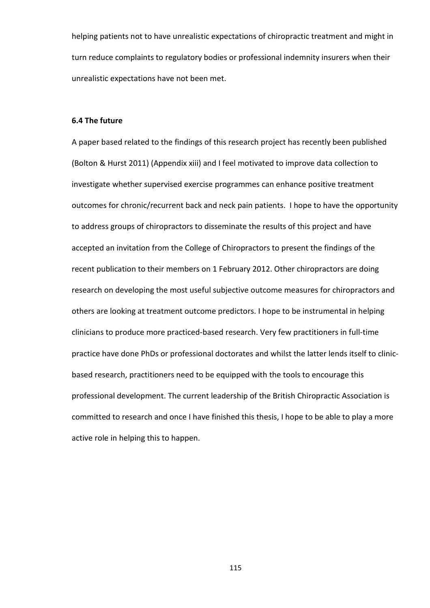helping patients not to have unrealistic expectations of chiropractic treatment and might in turn reduce complaints to regulatory bodies or professional indemnity insurers when their unrealistic expectations have not been met.

#### 6.4 The future

A paper based related to the findings of this research project has recently been published (Bolton & Hurst 2011) (Appendix xiii) and I feel motivated to improve data collection to investigate whether supervised exercise programmes can enhance positive treatment outcomes for chronic/recurrent back and neck pain patients. I hope to have the opportunity to address groups of chiropractors to disseminate the results of this project and have accepted an invitation from the College of Chiropractors to present the findings of the recent publication to their members on 1 February 2012. Other chiropractors are doing research on developing the most useful subjective outcome measures for chiropractors and others are looking at treatment outcome predictors. I hope to be instrumental in helping clinicians to produce more practiced-based research. Very few practitioners in full-time practice have done PhDs or professional doctorates and whilst the latter lends itself to clinicbased research, practitioners need to be equipped with the tools to encourage this professional development. The current leadership of the British Chiropractic Association is committed to research and once I have finished this thesis, I hope to be able to play a more active role in helping this to happen.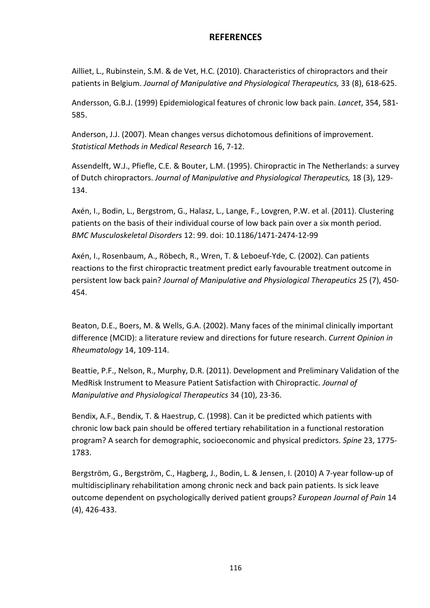### **REFERENCES**

Ailliet, L., Rubinstein, S.M. & de Vet, H.C. (2010). Characteristics of chiropractors and their patients in Belgium. Journal of Manipulative and Physiological Therapeutics, 33 (8), 618-625.

Andersson, G.B.J. (1999) Epidemiological features of chronic low back pain. Lancet, 354, 581-585.

Anderson, J.J. (2007). Mean changes versus dichotomous definitions of improvement. Statistical Methods in Medical Research 16, 7-12.

Assendelft, W.J., Pfiefle, C.E. & Bouter, L.M. (1995). Chiropractic in The Netherlands: a survey of Dutch chiropractors. Journal of Manipulative and Physiological Therapeutics, 18 (3), 129- 134.

Axén, I., Bodin, L., Bergstrom, G., Halasz, L., Lange, F., Lovgren, P.W. et al. (2011). Clustering patients on the basis of their individual course of low back pain over a six month period. BMC Musculoskeletal Disorders 12: 99. doi: 10.1186/1471-2474-12-99

Axén, I., Rosenbaum, A., Röbech, R., Wren, T. & Leboeuf-Yde, C. (2002). Can patients reactions to the first chiropractic treatment predict early favourable treatment outcome in persistent low back pain? Journal of Manipulative and Physiological Therapeutics 25 (7), 450- 454.

Beaton, D.E., Boers, M. & Wells, G.A. (2002). Many faces of the minimal clinically important difference (MCID): a literature review and directions for future research. Current Opinion in Rheumatology 14, 109-114.

Beattie, P.F., Nelson, R., Murphy, D.R. (2011). Development and Preliminary Validation of the MedRisk Instrument to Measure Patient Satisfaction with Chiropractic. Journal of Manipulative and Physiological Therapeutics 34 (10), 23-36.

Bendix, A.F., Bendix, T. & Haestrup, C. (1998). Can it be predicted which patients with chronic low back pain should be offered tertiary rehabilitation in a functional restoration program? A search for demographic, socioeconomic and physical predictors. Spine 23, 1775- 1783.

Bergström, G., Bergström, C., Hagberg, J., Bodin, L. & Jensen, I. (2010) A 7-year follow-up of multidisciplinary rehabilitation among chronic neck and back pain patients. Is sick leave outcome dependent on psychologically derived patient groups? European Journal of Pain 14 (4), 426-433.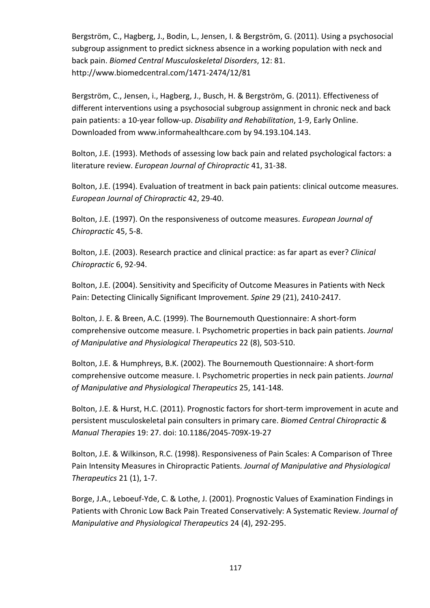Bergström, C., Hagberg, J., Bodin, L., Jensen, I. & Bergström, G. (2011). Using a psychosocial subgroup assignment to predict sickness absence in a working population with neck and back pain. Biomed Central Musculoskeletal Disorders, 12: 81. http://www.biomedcentral.com/1471-2474/12/81

Bergström, C., Jensen, i., Hagberg, J., Busch, H. & Bergström, G. (2011). Effectiveness of different interventions using a psychosocial subgroup assignment in chronic neck and back pain patients: a 10-year follow-up. Disability and Rehabilitation, 1-9, Early Online. Downloaded from www.informahealthcare.com by 94.193.104.143.

Bolton, J.E. (1993). Methods of assessing low back pain and related psychological factors: a literature review. European Journal of Chiropractic 41, 31-38.

Bolton, J.E. (1994). Evaluation of treatment in back pain patients: clinical outcome measures. European Journal of Chiropractic 42, 29-40.

Bolton, J.E. (1997). On the responsiveness of outcome measures. European Journal of Chiropractic 45, 5-8.

Bolton, J.E. (2003). Research practice and clinical practice: as far apart as ever? Clinical Chiropractic 6, 92-94.

Bolton, J.E. (2004). Sensitivity and Specificity of Outcome Measures in Patients with Neck Pain: Detecting Clinically Significant Improvement. Spine 29 (21), 2410-2417.

Bolton, J. E. & Breen, A.C. (1999). The Bournemouth Questionnaire: A short-form comprehensive outcome measure. I. Psychometric properties in back pain patients. Journal of Manipulative and Physiological Therapeutics 22 (8), 503-510.

Bolton, J.E. & Humphreys, B.K. (2002). The Bournemouth Questionnaire: A short-form comprehensive outcome measure. I. Psychometric properties in neck pain patients. Journal of Manipulative and Physiological Therapeutics 25, 141-148.

Bolton, J.E. & Hurst, H.C. (2011). Prognostic factors for short-term improvement in acute and persistent musculoskeletal pain consulters in primary care. Biomed Central Chiropractic & Manual Therapies 19: 27. doi: 10.1186/2045-709X-19-27

Bolton, J.E. & Wilkinson, R.C. (1998). Responsiveness of Pain Scales: A Comparison of Three Pain Intensity Measures in Chiropractic Patients. Journal of Manipulative and Physiological Therapeutics 21 (1), 1-7.

Borge, J.A., Leboeuf-Yde, C. & Lothe, J. (2001). Prognostic Values of Examination Findings in Patients with Chronic Low Back Pain Treated Conservatively: A Systematic Review. Journal of Manipulative and Physiological Therapeutics 24 (4), 292-295.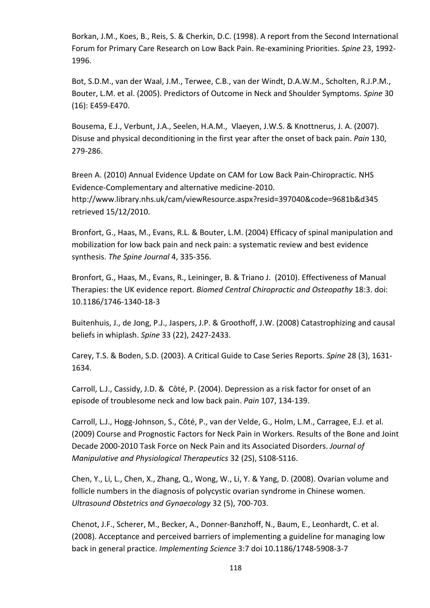Borkan, J.M., Koes, B., Reis, S. & Cherkin, D.C. (1998). A report from the Second International Forum for Primary Care Research on Low Back Pain. Re-examining Priorities. Spine 23, 1992- 1996.

Bot, S.D.M., van der Waal, J.M., Terwee, C.B., van der Windt, D.A.W.M., Scholten, R.J.P.M., Bouter, L.M. et al. (2005). Predictors of Outcome in Neck and Shoulder Symptoms. Spine 30 (16): E459-E470.

Bousema, E.J., Verbunt, J.A., Seelen, H.A.M., Vlaeyen, J.W.S. & Knottnerus, J. A. (2007). Disuse and physical deconditioning in the first year after the onset of back pain. Pain 130, 279-286.

Breen A. (2010) Annual Evidence Update on CAM for Low Back Pain-Chiropractic. NHS Evidence-Complementary and alternative medicine-2010. http://www.library.nhs.uk/cam/viewResource.aspx?resid=397040&code=9681b&d345 retrieved 15/12/2010.

Bronfort, G., Haas, M., Evans, R.L. & Bouter, L.M. (2004) Efficacy of spinal manipulation and mobilization for low back pain and neck pain: a systematic review and best evidence synthesis. The Spine Journal 4, 335-356.

Bronfort, G., Haas, M., Evans, R., Leininger, B. & Triano J. (2010). Effectiveness of Manual Therapies: the UK evidence report. Biomed Central Chiropractic and Osteopathy 18:3. doi: 10.1186/1746-1340-18-3

Buitenhuis, J., de Jong, P.J., Jaspers, J.P. & Groothoff, J.W. (2008) Catastrophizing and causal beliefs in whiplash. Spine 33 (22), 2427-2433.

Carey, T.S. & Boden, S.D. (2003). A Critical Guide to Case Series Reports. Spine 28 (3), 1631- 1634.

Carroll, L.J., Cassidy, J.D. & Côté, P. (2004). Depression as a risk factor for onset of an episode of troublesome neck and low back pain. Pain 107, 134-139.

Carroll, L.J., Hogg-Johnson, S., Côté, P., van der Velde, G., Holm, L.M., Carragee, E.J. et al. (2009) Course and Prognostic Factors for Neck Pain in Workers. Results of the Bone and Joint Decade 2000-2010 Task Force on Neck Pain and its Associated Disorders. Journal of Manipulative and Physiological Therapeutics 32 (2S), S108-S116.

Chen, Y., Li, L., Chen, X., Zhang, Q., Wong, W., Li, Y. & Yang, D. (2008). Ovarian volume and follicle numbers in the diagnosis of polycystic ovarian syndrome in Chinese women. Ultrasound Obstetrics and Gynaecology 32 (5), 700-703.

Chenot, J.F., Scherer, M., Becker, A., Donner-Banzhoff, N., Baum, E., Leonhardt, C. et al. (2008). Acceptance and perceived barriers of implementing a guideline for managing low back in general practice. Implementing Science 3:7 doi 10.1186/1748-5908-3-7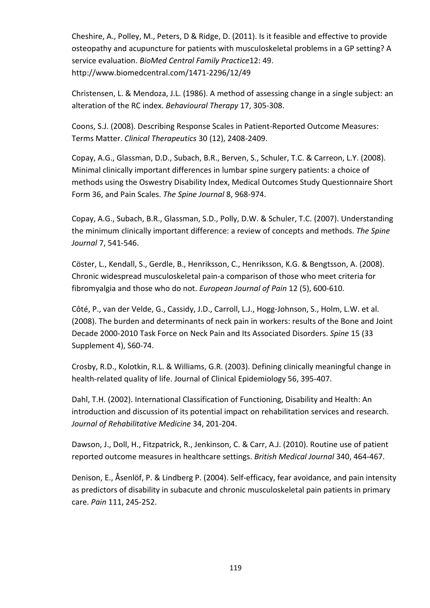Cheshire, A., Polley, M., Peters, D & Ridge, D. (2011). Is it feasible and effective to provide osteopathy and acupuncture for patients with musculoskeletal problems in a GP setting? A service evaluation. BioMed Central Family Practice12: 49. http://www.biomedcentral.com/1471-2296/12/49

Christensen, L. & Mendoza, J.L. (1986). A method of assessing change in a single subject: an alteration of the RC index. Behavioural Therapy 17, 305-308.

Coons, S.J. (2008). Describing Response Scales in Patient-Reported Outcome Measures: Terms Matter. Clinical Therapeutics 30 (12), 2408-2409.

Copay, A.G., Glassman, D.D., Subach, B.R., Berven, S., Schuler, T.C. & Carreon, L.Y. (2008). Minimal clinically important differences in lumbar spine surgery patients: a choice of methods using the Oswestry Disability Index, Medical Outcomes Study Questionnaire Short Form 36, and Pain Scales. The Spine Journal 8, 968-974.

Copay, A.G., Subach, B.R., Glassman, S.D., Polly, D.W. & Schuler, T.C. (2007). Understanding the minimum clinically important difference: a review of concepts and methods. The Spine Journal 7, 541-546.

Cöster, L., Kendall, S., Gerdle, B., Henriksson, C., Henriksson, K.G. & Bengtsson, A. (2008). Chronic widespread musculoskeletal pain-a comparison of those who meet criteria for fibromyalgia and those who do not. European Journal of Pain 12 (5), 600-610.

Côté, P., van der Velde, G., Cassidy, J.D., Carroll, L.J., Hogg-Johnson, S., Holm, L.W. et al. (2008). The burden and determinants of neck pain in workers: results of the Bone and Joint Decade 2000-2010 Task Force on Neck Pain and Its Associated Disorders. Spine 15 (33 Supplement 4), S60-74.

Crosby, R.D., Kolotkin, R.L. & Williams, G.R. (2003). Defining clinically meaningful change in health-related quality of life. Journal of Clinical Epidemiology 56, 395-407.

Dahl, T.H. (2002). International Classification of Functioning, Disability and Health: An introduction and discussion of its potential impact on rehabilitation services and research. Journal of Rehabilitative Medicine 34, 201-204.

Dawson, J., Doll, H., Fitzpatrick, R., Jenkinson, C. & Carr, A.J. (2010). Routine use of patient reported outcome measures in healthcare settings. British Medical Journal 340, 464-467.

Denison, E., Åsenlöf, P. & Lindberg P. (2004). Self-efficacy, fear avoidance, and pain intensity as predictors of disability in subacute and chronic musculoskeletal pain patients in primary care. Pain 111, 245-252.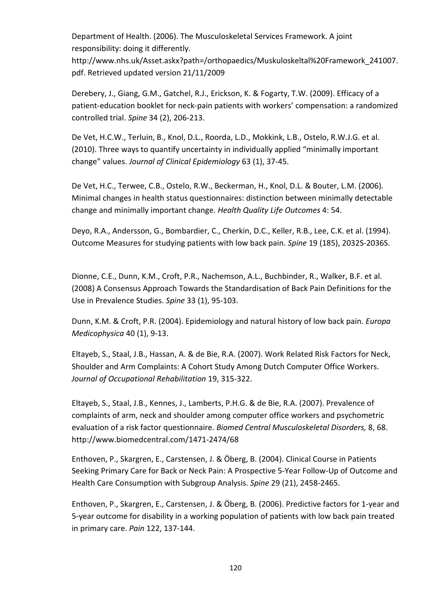Department of Health. (2006). The Musculoskeletal Services Framework. A joint responsibility: doing it differently.

http://www.nhs.uk/Asset.askx?path=/orthopaedics/Muskuloskeltal%20Framework\_241007. pdf. Retrieved updated version 21/11/2009

Derebery, J., Giang, G.M., Gatchel, R.J., Erickson, K. & Fogarty, T.W. (2009). Efficacy of a patient-education booklet for neck-pain patients with workers' compensation: a randomized controlled trial. Spine 34 (2), 206-213.

De Vet, H.C.W., Terluin, B., Knol, D.L., Roorda, L.D., Mokkink, L.B., Ostelo, R.W.J.G. et al. (2010). Three ways to quantify uncertainty in individually applied "minimally important change" values. Journal of Clinical Epidemiology 63 (1), 37-45.

De Vet, H.C., Terwee, C.B., Ostelo, R.W., Beckerman, H., Knol, D.L. & Bouter, L.M. (2006). Minimal changes in health status questionnaires: distinction between minimally detectable change and minimally important change. Health Quality Life Outcomes 4: 54.

Deyo, R.A., Andersson, G., Bombardier, C., Cherkin, D.C., Keller, R.B., Lee, C.K. et al. (1994). Outcome Measures for studying patients with low back pain. Spine 19 (185), 2032S-2036S.

Dionne, C.E., Dunn, K.M., Croft, P.R., Nachemson, A.L., Buchbinder, R., Walker, B.F. et al. (2008) A Consensus Approach Towards the Standardisation of Back Pain Definitions for the Use in Prevalence Studies. Spine 33 (1), 95-103.

Dunn, K.M. & Croft, P.R. (2004). Epidemiology and natural history of low back pain. Europa Medicophysica 40 (1), 9-13.

Eltayeb, S., Staal, J.B., Hassan, A. & de Bie, R.A. (2007). Work Related Risk Factors for Neck, Shoulder and Arm Complaints: A Cohort Study Among Dutch Computer Office Workers. Journal of Occupational Rehabilitation 19, 315-322.

Eltayeb, S., Staal, J.B., Kennes, J., Lamberts, P.H.G. & de Bie, R.A. (2007). Prevalence of complaints of arm, neck and shoulder among computer office workers and psychometric evaluation of a risk factor questionnaire. Biomed Central Musculoskeletal Disorders, 8, 68. http://www.biomedcentral.com/1471-2474/68

Enthoven, P., Skargren, E., Carstensen, J. & Öberg, B. (2004). Clinical Course in Patients Seeking Primary Care for Back or Neck Pain: A Prospective 5-Year Follow-Up of Outcome and Health Care Consumption with Subgroup Analysis. Spine 29 (21), 2458-2465.

Enthoven, P., Skargren, E., Carstensen, J. & Öberg, B. (2006). Predictive factors for 1-year and 5-year outcome for disability in a working population of patients with low back pain treated in primary care. Pain 122, 137-144.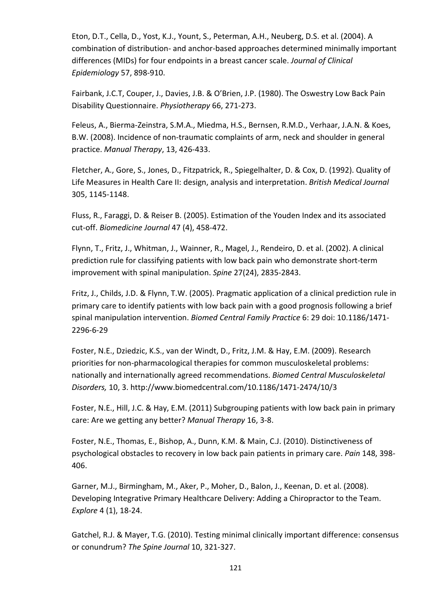Eton, D.T., Cella, D., Yost, K.J., Yount, S., Peterman, A.H., Neuberg, D.S. et al. (2004). A combination of distribution- and anchor-based approaches determined minimally important differences (MIDs) for four endpoints in a breast cancer scale. Journal of Clinical Epidemiology 57, 898-910.

Fairbank, J.C.T, Couper, J., Davies, J.B. & O'Brien, J.P. (1980). The Oswestry Low Back Pain Disability Questionnaire. Physiotherapy 66, 271-273.

Feleus, A., Bierma-Zeinstra, S.M.A., Miedma, H.S., Bernsen, R.M.D., Verhaar, J.A.N. & Koes, B.W. (2008). Incidence of non-traumatic complaints of arm, neck and shoulder in general practice. Manual Therapy, 13, 426-433.

Fletcher, A., Gore, S., Jones, D., Fitzpatrick, R., Spiegelhalter, D. & Cox, D. (1992). Quality of Life Measures in Health Care II: design, analysis and interpretation. British Medical Journal 305, 1145-1148.

Fluss, R., Faraggi, D. & Reiser B. (2005). Estimation of the Youden Index and its associated cut-off. Biomedicine Journal 47 (4), 458-472.

Flynn, T., Fritz, J., Whitman, J., Wainner, R., Magel, J., Rendeiro, D. et al. (2002). A clinical prediction rule for classifying patients with low back pain who demonstrate short-term improvement with spinal manipulation. Spine 27(24), 2835-2843.

Fritz, J., Childs, J.D. & Flynn, T.W. (2005). Pragmatic application of a clinical prediction rule in primary care to identify patients with low back pain with a good prognosis following a brief spinal manipulation intervention. Biomed Central Family Practice 6: 29 doi: 10.1186/1471- 2296-6-29

Foster, N.E., Dziedzic, K.S., van der Windt, D., Fritz, J.M. & Hay, E.M. (2009). Research priorities for non-pharmacological therapies for common musculoskeletal problems: nationally and internationally agreed recommendations. Biomed Central Musculoskeletal Disorders, 10, 3. http://www.biomedcentral.com/10.1186/1471-2474/10/3

Foster, N.E., Hill, J.C. & Hay, E.M. (2011) Subgrouping patients with low back pain in primary care: Are we getting any better? Manual Therapy 16, 3-8.

Foster, N.E., Thomas, E., Bishop, A., Dunn, K.M. & Main, C.J. (2010). Distinctiveness of psychological obstacles to recovery in low back pain patients in primary care. Pain 148, 398- 406.

Garner, M.J., Birmingham, M., Aker, P., Moher, D., Balon, J., Keenan, D. et al. (2008). Developing Integrative Primary Healthcare Delivery: Adding a Chiropractor to the Team. Explore 4 (1), 18-24.

Gatchel, R.J. & Mayer, T.G. (2010). Testing minimal clinically important difference: consensus or conundrum? The Spine Journal 10, 321-327.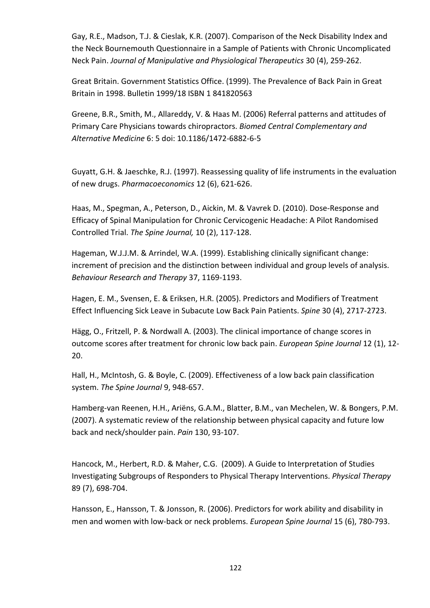Gay, R.E., Madson, T.J. & Cieslak, K.R. (2007). Comparison of the Neck Disability Index and the Neck Bournemouth Questionnaire in a Sample of Patients with Chronic Uncomplicated Neck Pain. Journal of Manipulative and Physiological Therapeutics 30 (4), 259-262.

Great Britain. Government Statistics Office. (1999). The Prevalence of Back Pain in Great Britain in 1998. Bulletin 1999/18 ISBN 1 841820563

Greene, B.R., Smith, M., Allareddy, V. & Haas M. (2006) Referral patterns and attitudes of Primary Care Physicians towards chiropractors. Biomed Central Complementary and Alternative Medicine 6: 5 doi: 10.1186/1472-6882-6-5

Guyatt, G.H. & Jaeschke, R.J. (1997). Reassessing quality of life instruments in the evaluation of new drugs. Pharmacoeconomics 12 (6), 621-626.

Haas, M., Spegman, A., Peterson, D., Aickin, M. & Vavrek D. (2010). Dose-Response and Efficacy of Spinal Manipulation for Chronic Cervicogenic Headache: A Pilot Randomised Controlled Trial. The Spine Journal, 10 (2), 117-128.

Hageman, W.J.J.M. & Arrindel, W.A. (1999). Establishing clinically significant change: increment of precision and the distinction between individual and group levels of analysis. Behaviour Research and Therapy 37, 1169-1193.

Hagen, E. M., Svensen, E. & Eriksen, H.R. (2005). Predictors and Modifiers of Treatment Effect Influencing Sick Leave in Subacute Low Back Pain Patients. Spine 30 (4), 2717-2723.

Hägg, O., Fritzell, P. & Nordwall A. (2003). The clinical importance of change scores in outcome scores after treatment for chronic low back pain. *European Spine Journal* 12 (1), 12-20.

Hall, H., McIntosh, G. & Boyle, C. (2009). Effectiveness of a low back pain classification system. The Spine Journal 9, 948-657.

Hamberg-van Reenen, H.H., Ariëns, G.A.M., Blatter, B.M., van Mechelen, W. & Bongers, P.M. (2007). A systematic review of the relationship between physical capacity and future low back and neck/shoulder pain. Pain 130, 93-107.

Hancock, M., Herbert, R.D. & Maher, C.G. (2009). A Guide to Interpretation of Studies Investigating Subgroups of Responders to Physical Therapy Interventions. Physical Therapy 89 (7), 698-704.

Hansson, E., Hansson, T. & Jonsson, R. (2006). Predictors for work ability and disability in men and women with low-back or neck problems. European Spine Journal 15 (6), 780-793.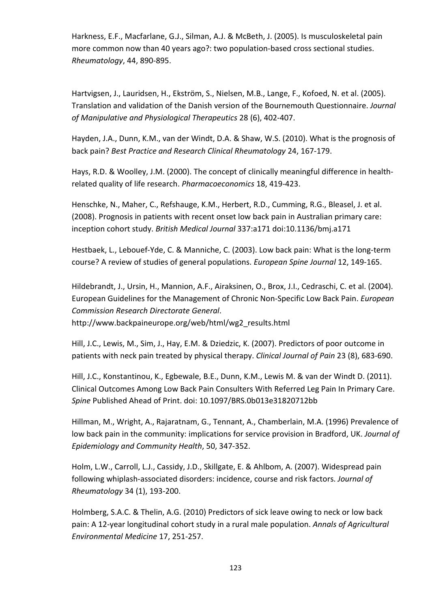Harkness, E.F., Macfarlane, G.J., Silman, A.J. & McBeth, J. (2005). Is musculoskeletal pain more common now than 40 years ago?: two population-based cross sectional studies. Rheumatology, 44, 890-895.

Hartvigsen, J., Lauridsen, H., Ekström, S., Nielsen, M.B., Lange, F., Kofoed, N. et al. (2005). Translation and validation of the Danish version of the Bournemouth Questionnaire. Journal of Manipulative and Physiological Therapeutics 28 (6), 402-407.

Hayden, J.A., Dunn, K.M., van der Windt, D.A. & Shaw, W.S. (2010). What is the prognosis of back pain? Best Practice and Research Clinical Rheumatology 24, 167-179.

Hays, R.D. & Woolley, J.M. (2000). The concept of clinically meaningful difference in healthrelated quality of life research. Pharmacoeconomics 18, 419-423.

Henschke, N., Maher, C., Refshauge, K.M., Herbert, R.D., Cumming, R.G., Bleasel, J. et al. (2008). Prognosis in patients with recent onset low back pain in Australian primary care: inception cohort study. British Medical Journal 337:a171 doi:10.1136/bmj.a171

Hestbaek, L., Lebouef-Yde, C. & Manniche, C. (2003). Low back pain: What is the long-term course? A review of studies of general populations. European Spine Journal 12, 149-165.

Hildebrandt, J., Ursin, H., Mannion, A.F., Airaksinen, O., Brox, J.I., Cedraschi, C. et al. (2004). European Guidelines for the Management of Chronic Non-Specific Low Back Pain. European Commission Research Directorate General.

http://www.backpaineurope.org/web/html/wg2\_results.html

Hill, J.C., Lewis, M., Sim, J., Hay, E.M. & Dziedzic, K. (2007). Predictors of poor outcome in patients with neck pain treated by physical therapy. Clinical Journal of Pain 23 (8), 683-690.

Hill, J.C., Konstantinou, K., Egbewale, B.E., Dunn, K.M., Lewis M. & van der Windt D. (2011). Clinical Outcomes Among Low Back Pain Consulters With Referred Leg Pain In Primary Care. Spine Published Ahead of Print. doi: 10.1097/BRS.0b013e31820712bb

Hillman, M., Wright, A., Rajaratnam, G., Tennant, A., Chamberlain, M.A. (1996) Prevalence of low back pain in the community: implications for service provision in Bradford, UK. Journal of Epidemiology and Community Health, 50, 347-352.

Holm, L.W., Carroll, L.J., Cassidy, J.D., Skillgate, E. & Ahlbom, A. (2007). Widespread pain following whiplash-associated disorders: incidence, course and risk factors. Journal of Rheumatology 34 (1), 193-200.

Holmberg, S.A.C. & Thelin, A.G. (2010) Predictors of sick leave owing to neck or low back pain: A 12-year longitudinal cohort study in a rural male population. Annals of Agricultural Environmental Medicine 17, 251-257.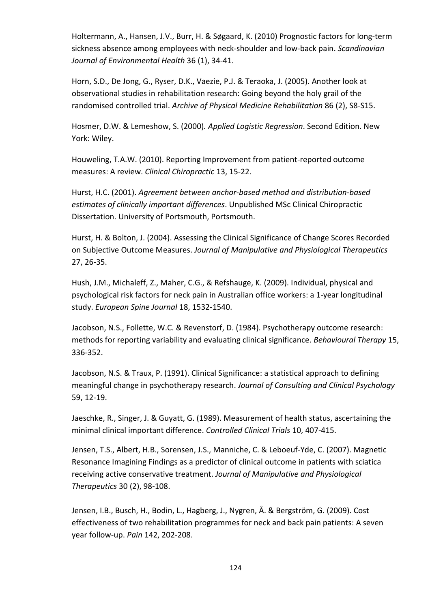Holtermann, A., Hansen, J.V., Burr, H. & Søgaard, K. (2010) Prognostic factors for long-term sickness absence among employees with neck-shoulder and low-back pain. Scandinavian Journal of Environmental Health 36 (1), 34-41.

Horn, S.D., De Jong, G., Ryser, D.K., Vaezie, P.J. & Teraoka, J. (2005). Another look at observational studies in rehabilitation research: Going beyond the holy grail of the randomised controlled trial. Archive of Physical Medicine Rehabilitation 86 (2), S8-S15.

Hosmer, D.W. & Lemeshow, S. (2000). Applied Logistic Regression. Second Edition. New York: Wiley.

Houweling, T.A.W. (2010). Reporting Improvement from patient-reported outcome measures: A review. Clinical Chiropractic 13, 15-22.

Hurst, H.C. (2001). Agreement between anchor-based method and distribution-based estimates of clinically important differences. Unpublished MSc Clinical Chiropractic Dissertation. University of Portsmouth, Portsmouth.

Hurst, H. & Bolton, J. (2004). Assessing the Clinical Significance of Change Scores Recorded on Subjective Outcome Measures. Journal of Manipulative and Physiological Therapeutics 27, 26-35.

Hush, J.M., Michaleff, Z., Maher, C.G., & Refshauge, K. (2009). Individual, physical and psychological risk factors for neck pain in Australian office workers: a 1-year longitudinal study. European Spine Journal 18, 1532-1540.

Jacobson, N.S., Follette, W.C. & Revenstorf, D. (1984). Psychotherapy outcome research: methods for reporting variability and evaluating clinical significance. Behavioural Therapy 15, 336-352.

Jacobson, N.S. & Traux, P. (1991). Clinical Significance: a statistical approach to defining meaningful change in psychotherapy research. Journal of Consulting and Clinical Psychology 59, 12-19.

Jaeschke, R., Singer, J. & Guyatt, G. (1989). Measurement of health status, ascertaining the minimal clinical important difference. Controlled Clinical Trials 10, 407-415.

Jensen, T.S., Albert, H.B., Sorensen, J.S., Manniche, C. & Leboeuf-Yde, C. (2007). Magnetic Resonance Imagining Findings as a predictor of clinical outcome in patients with sciatica receiving active conservative treatment. Journal of Manipulative and Physiological Therapeutics 30 (2), 98-108.

Jensen, I.B., Busch, H., Bodin, L., Hagberg, J., Nygren, Å. & Bergström, G. (2009). Cost effectiveness of two rehabilitation programmes for neck and back pain patients: A seven year follow-up. Pain 142, 202-208.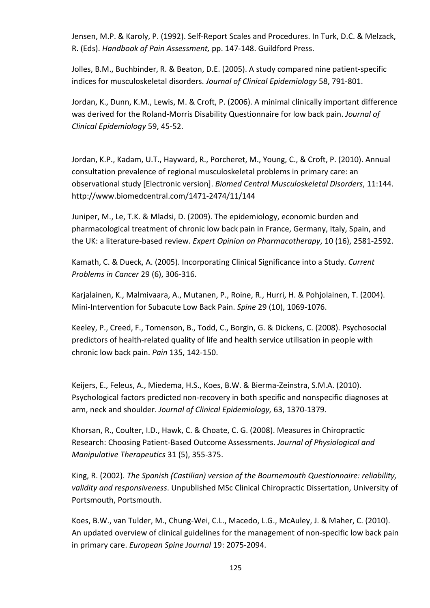Jensen, M.P. & Karoly, P. (1992). Self-Report Scales and Procedures. In Turk, D.C. & Melzack, R. (Eds). Handbook of Pain Assessment, pp. 147-148. Guildford Press.

Jolles, B.M., Buchbinder, R. & Beaton, D.E. (2005). A study compared nine patient-specific indices for musculoskeletal disorders. Journal of Clinical Epidemiology 58, 791-801.

Jordan, K., Dunn, K.M., Lewis, M. & Croft, P. (2006). A minimal clinically important difference was derived for the Roland-Morris Disability Questionnaire for low back pain. Journal of Clinical Epidemiology 59, 45-52.

Jordan, K.P., Kadam, U.T., Hayward, R., Porcheret, M., Young, C., & Croft, P. (2010). Annual consultation prevalence of regional musculoskeletal problems in primary care: an observational study [Electronic version]. Biomed Central Musculoskeletal Disorders, 11:144. http://www.biomedcentral.com/1471-2474/11/144

Juniper, M., Le, T.K. & Mladsi, D. (2009). The epidemiology, economic burden and pharmacological treatment of chronic low back pain in France, Germany, Italy, Spain, and the UK: a literature-based review. Expert Opinion on Pharmacotherapy, 10 (16), 2581-2592.

Kamath, C. & Dueck, A. (2005). Incorporating Clinical Significance into a Study. Current Problems in Cancer 29 (6), 306-316.

Karjalainen, K., Malmivaara, A., Mutanen, P., Roine, R., Hurri, H. & Pohjolainen, T. (2004). Mini-Intervention for Subacute Low Back Pain. Spine 29 (10), 1069-1076.

Keeley, P., Creed, F., Tomenson, B., Todd, C., Borgin, G. & Dickens, C. (2008). Psychosocial predictors of health-related quality of life and health service utilisation in people with chronic low back pain. Pain 135, 142-150.

Keijers, E., Feleus, A., Miedema, H.S., Koes, B.W. & Bierma-Zeinstra, S.M.A. (2010). Psychological factors predicted non-recovery in both specific and nonspecific diagnoses at arm, neck and shoulder. Journal of Clinical Epidemiology, 63, 1370-1379.

Khorsan, R., Coulter, I.D., Hawk, C. & Choate, C. G. (2008). Measures in Chiropractic Research: Choosing Patient-Based Outcome Assessments. Journal of Physiological and Manipulative Therapeutics 31 (5), 355-375.

King, R. (2002). The Spanish (Castilian) version of the Bournemouth Questionnaire: reliability, validity and responsiveness. Unpublished MSc Clinical Chiropractic Dissertation, University of Portsmouth, Portsmouth.

Koes, B.W., van Tulder, M., Chung-Wei, C.L., Macedo, L.G., McAuley, J. & Maher, C. (2010). An updated overview of clinical guidelines for the management of non-specific low back pain in primary care. European Spine Journal 19: 2075-2094.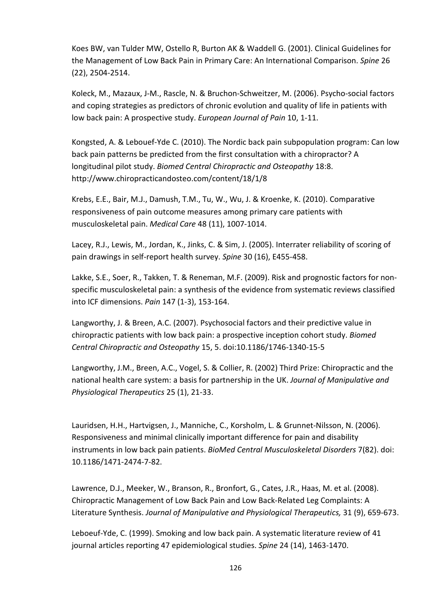Koes BW, van Tulder MW, Ostello R, Burton AK & Waddell G. (2001). Clinical Guidelines for the Management of Low Back Pain in Primary Care: An International Comparison. Spine 26 (22), 2504-2514.

Koleck, M., Mazaux, J-M., Rascle, N. & Bruchon-Schweitzer, M. (2006). Psycho-social factors and coping strategies as predictors of chronic evolution and quality of life in patients with low back pain: A prospective study. European Journal of Pain 10, 1-11.

Kongsted, A. & Lebouef-Yde C. (2010). The Nordic back pain subpopulation program: Can low back pain patterns be predicted from the first consultation with a chiropractor? A longitudinal pilot study. Biomed Central Chiropractic and Osteopathy 18:8. http://www.chiropracticandosteo.com/content/18/1/8

Krebs, E.E., Bair, M.J., Damush, T.M., Tu, W., Wu, J. & Kroenke, K. (2010). Comparative responsiveness of pain outcome measures among primary care patients with musculoskeletal pain. Medical Care 48 (11), 1007-1014.

Lacey, R.J., Lewis, M., Jordan, K., Jinks, C. & Sim, J. (2005). Interrater reliability of scoring of pain drawings in self-report health survey. Spine 30 (16), E455-458.

Lakke, S.E., Soer, R., Takken, T. & Reneman, M.F. (2009). Risk and prognostic factors for nonspecific musculoskeletal pain: a synthesis of the evidence from systematic reviews classified into ICF dimensions. Pain 147 (1-3), 153-164.

Langworthy, J. & Breen, A.C. (2007). Psychosocial factors and their predictive value in chiropractic patients with low back pain: a prospective inception cohort study. Biomed Central Chiropractic and Osteopathy 15, 5. doi:10.1186/1746-1340-15-5

Langworthy, J.M., Breen, A.C., Vogel, S. & Collier, R. (2002) Third Prize: Chiropractic and the national health care system: a basis for partnership in the UK. Journal of Manipulative and Physiological Therapeutics 25 (1), 21-33.

Lauridsen, H.H., Hartvigsen, J., Manniche, C., Korsholm, L. & Grunnet-Nilsson, N. (2006). Responsiveness and minimal clinically important difference for pain and disability instruments in low back pain patients. BioMed Central Musculoskeletal Disorders 7(82). doi: 10.1186/1471-2474-7-82.

Lawrence, D.J., Meeker, W., Branson, R., Bronfort, G., Cates, J.R., Haas, M. et al. (2008). Chiropractic Management of Low Back Pain and Low Back-Related Leg Complaints: A Literature Synthesis. Journal of Manipulative and Physiological Therapeutics, 31 (9), 659-673.

Leboeuf-Yde, C. (1999). Smoking and low back pain. A systematic literature review of 41 journal articles reporting 47 epidemiological studies. Spine 24 (14), 1463-1470.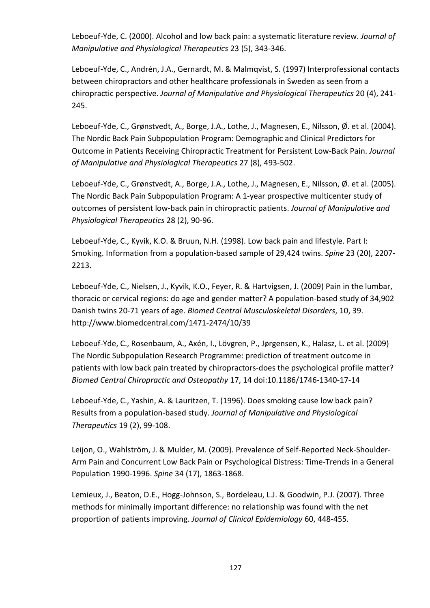Leboeuf-Yde, C. (2000). Alcohol and low back pain: a systematic literature review. Journal of Manipulative and Physiological Therapeutics 23 (5), 343-346.

Leboeuf-Yde, C., Andrén, J.A., Gernardt, M. & Malmqvist, S. (1997) Interprofessional contacts between chiropractors and other healthcare professionals in Sweden as seen from a chiropractic perspective. Journal of Manipulative and Physiological Therapeutics 20 (4), 241- 245.

Leboeuf-Yde, C., Grønstvedt, A., Borge, J.A., Lothe, J., Magnesen, E., Nilsson, Ø. et al. (2004). The Nordic Back Pain Subpopulation Program: Demographic and Clinical Predictors for Outcome in Patients Receiving Chiropractic Treatment for Persistent Low-Back Pain. Journal of Manipulative and Physiological Therapeutics 27 (8), 493-502.

Leboeuf-Yde, C., Grønstvedt, A., Borge, J.A., Lothe, J., Magnesen, E., Nilsson, Ø. et al. (2005). The Nordic Back Pain Subpopulation Program: A 1-year prospective multicenter study of outcomes of persistent low-back pain in chiropractic patients. Journal of Manipulative and Physiological Therapeutics 28 (2), 90-96.

Leboeuf-Yde, C., Kyvik, K.O. & Bruun, N.H. (1998). Low back pain and lifestyle. Part I: Smoking. Information from a population-based sample of 29,424 twins. Spine 23 (20), 2207- 2213.

Leboeuf-Yde, C., Nielsen, J., Kyvik, K.O., Feyer, R. & Hartvigsen, J. (2009) Pain in the lumbar, thoracic or cervical regions: do age and gender matter? A population-based study of 34,902 Danish twins 20-71 years of age. Biomed Central Musculoskeletal Disorders, 10, 39. http://www.biomedcentral.com/1471-2474/10/39

Leboeuf-Yde, C., Rosenbaum, A., Axén, I., Lövgren, P., Jørgensen, K., Halasz, L. et al. (2009) The Nordic Subpopulation Research Programme: prediction of treatment outcome in patients with low back pain treated by chiropractors-does the psychological profile matter? Biomed Central Chiropractic and Osteopathy 17, 14 doi:10.1186/1746-1340-17-14

Leboeuf-Yde, C., Yashin, A. & Lauritzen, T. (1996). Does smoking cause low back pain? Results from a population-based study. Journal of Manipulative and Physiological Therapeutics 19 (2), 99-108.

Leijon, O., Wahlström, J. & Mulder, M. (2009). Prevalence of Self-Reported Neck-Shoulder-Arm Pain and Concurrent Low Back Pain or Psychological Distress: Time-Trends in a General Population 1990-1996. Spine 34 (17), 1863-1868.

Lemieux, J., Beaton, D.E., Hogg-Johnson, S., Bordeleau, L.J. & Goodwin, P.J. (2007). Three methods for minimally important difference: no relationship was found with the net proportion of patients improving. Journal of Clinical Epidemiology 60, 448-455.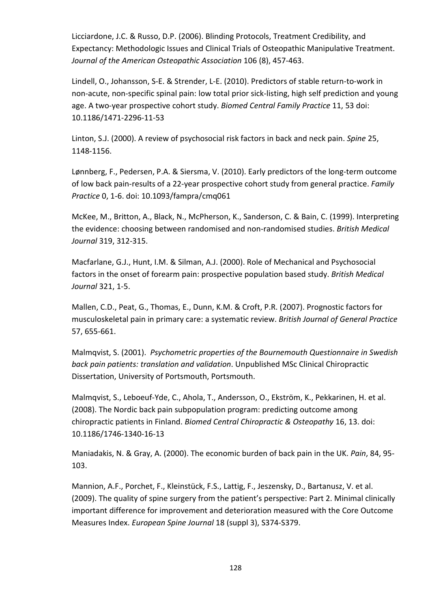Licciardone, J.C. & Russo, D.P. (2006). Blinding Protocols, Treatment Credibility, and Expectancy: Methodologic Issues and Clinical Trials of Osteopathic Manipulative Treatment. Journal of the American Osteopathic Association 106 (8), 457-463.

Lindell, O., Johansson, S-E. & Strender, L-E. (2010). Predictors of stable return-to-work in non-acute, non-specific spinal pain: low total prior sick-listing, high self prediction and young age. A two-year prospective cohort study. Biomed Central Family Practice 11, 53 doi: 10.1186/1471-2296-11-53

Linton, S.J. (2000). A review of psychosocial risk factors in back and neck pain. Spine 25, 1148-1156.

Lønnberg, F., Pedersen, P.A. & Siersma, V. (2010). Early predictors of the long-term outcome of low back pain-results of a 22-year prospective cohort study from general practice. Family Practice 0, 1-6. doi: 10.1093/fampra/cmq061

McKee, M., Britton, A., Black, N., McPherson, K., Sanderson, C. & Bain, C. (1999). Interpreting the evidence: choosing between randomised and non-randomised studies. British Medical Journal 319, 312-315.

Macfarlane, G.J., Hunt, I.M. & Silman, A.J. (2000). Role of Mechanical and Psychosocial factors in the onset of forearm pain: prospective population based study. British Medical Journal 321, 1-5.

Mallen, C.D., Peat, G., Thomas, E., Dunn, K.M. & Croft, P.R. (2007). Prognostic factors for musculoskeletal pain in primary care: a systematic review. British Journal of General Practice 57, 655-661.

Malmqvist, S. (2001). Psychometric properties of the Bournemouth Questionnaire in Swedish back pain patients: translation and validation. Unpublished MSc Clinical Chiropractic Dissertation, University of Portsmouth, Portsmouth.

Malmqvist, S., Leboeuf-Yde, C., Ahola, T., Andersson, O., Ekström, K., Pekkarinen, H. et al. (2008). The Nordic back pain subpopulation program: predicting outcome among chiropractic patients in Finland. Biomed Central Chiropractic & Osteopathy 16, 13. doi: 10.1186/1746-1340-16-13

Maniadakis, N. & Gray, A. (2000). The economic burden of back pain in the UK. Pain, 84, 95- 103.

Mannion, A.F., Porchet, F., Kleinstück, F.S., Lattig, F., Jeszensky, D., Bartanusz, V. et al. (2009). The quality of spine surgery from the patient's perspective: Part 2. Minimal clinically important difference for improvement and deterioration measured with the Core Outcome Measures Index. European Spine Journal 18 (suppl 3), S374-S379.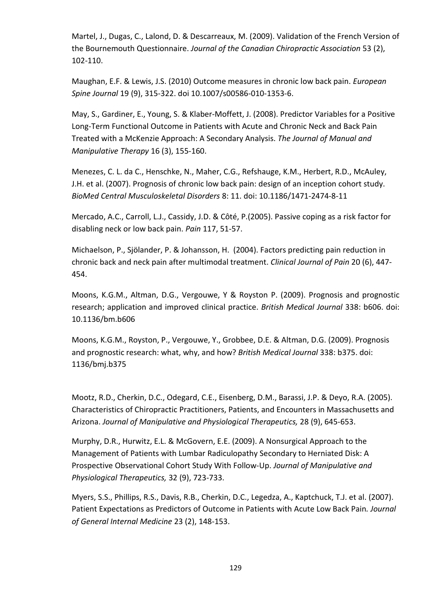Martel, J., Dugas, C., Lalond, D. & Descarreaux, M. (2009). Validation of the French Version of the Bournemouth Questionnaire. Journal of the Canadian Chiropractic Association 53 (2), 102-110.

Maughan, E.F. & Lewis, J.S. (2010) Outcome measures in chronic low back pain. European Spine Journal 19 (9), 315-322. doi 10.1007/s00586-010-1353-6.

May, S., Gardiner, E., Young, S. & Klaber-Moffett, J. (2008). Predictor Variables for a Positive Long-Term Functional Outcome in Patients with Acute and Chronic Neck and Back Pain Treated with a McKenzie Approach: A Secondary Analysis. The Journal of Manual and Manipulative Therapy 16 (3), 155-160.

Menezes, C. L. da C., Henschke, N., Maher, C.G., Refshauge, K.M., Herbert, R.D., McAuley, J.H. et al. (2007). Prognosis of chronic low back pain: design of an inception cohort study. BioMed Central Musculoskeletal Disorders 8: 11. doi: 10.1186/1471-2474-8-11

Mercado, A.C., Carroll, L.J., Cassidy, J.D. & Côté, P.(2005). Passive coping as a risk factor for disabling neck or low back pain. Pain 117, 51-57.

Michaelson, P., Sjölander, P. & Johansson, H. (2004). Factors predicting pain reduction in chronic back and neck pain after multimodal treatment. Clinical Journal of Pain 20 (6), 447- 454.

Moons, K.G.M., Altman, D.G., Vergouwe, Y & Royston P. (2009). Prognosis and prognostic research; application and improved clinical practice. British Medical Journal 338: b606. doi: 10.1136/bm.b606

Moons, K.G.M., Royston, P., Vergouwe, Y., Grobbee, D.E. & Altman, D.G. (2009). Prognosis and prognostic research: what, why, and how? British Medical Journal 338: b375. doi: 1136/bmj.b375

Mootz, R.D., Cherkin, D.C., Odegard, C.E., Eisenberg, D.M., Barassi, J.P. & Deyo, R.A. (2005). Characteristics of Chiropractic Practitioners, Patients, and Encounters in Massachusetts and Arizona. Journal of Manipulative and Physiological Therapeutics, 28 (9), 645-653.

Murphy, D.R., Hurwitz, E.L. & McGovern, E.E. (2009). A Nonsurgical Approach to the Management of Patients with Lumbar Radiculopathy Secondary to Herniated Disk: A Prospective Observational Cohort Study With Follow-Up. Journal of Manipulative and Physiological Therapeutics, 32 (9), 723-733.

Myers, S.S., Phillips, R.S., Davis, R.B., Cherkin, D.C., Legedza, A., Kaptchuck, T.J. et al. (2007). Patient Expectations as Predictors of Outcome in Patients with Acute Low Back Pain. Journal of General Internal Medicine 23 (2), 148-153.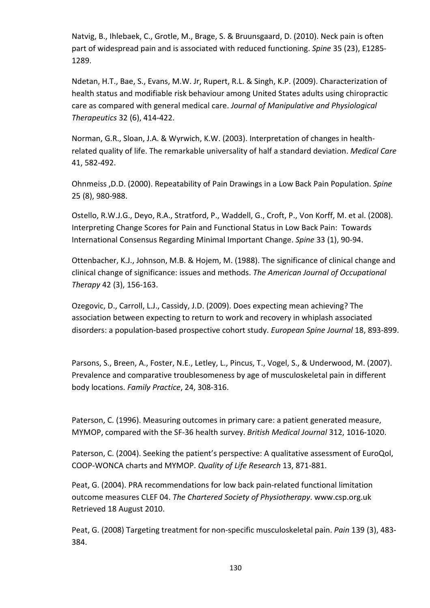Natvig, B., Ihlebaek, C., Grotle, M., Brage, S. & Bruunsgaard, D. (2010). Neck pain is often part of widespread pain and is associated with reduced functioning. Spine 35 (23), E1285- 1289.

Ndetan, H.T., Bae, S., Evans, M.W. Jr, Rupert, R.L. & Singh, K.P. (2009). Characterization of health status and modifiable risk behaviour among United States adults using chiropractic care as compared with general medical care. Journal of Manipulative and Physiological Therapeutics 32 (6), 414-422.

Norman, G.R., Sloan, J.A. & Wyrwich, K.W. (2003). Interpretation of changes in healthrelated quality of life. The remarkable universality of half a standard deviation. Medical Care 41, 582-492.

Ohnmeiss ,D.D. (2000). Repeatability of Pain Drawings in a Low Back Pain Population. Spine 25 (8), 980-988.

Ostello, R.W.J.G., Deyo, R.A., Stratford, P., Waddell, G., Croft, P., Von Korff, M. et al. (2008). Interpreting Change Scores for Pain and Functional Status in Low Back Pain: Towards International Consensus Regarding Minimal Important Change. Spine 33 (1), 90-94.

Ottenbacher, K.J., Johnson, M.B. & Hojem, M. (1988). The significance of clinical change and clinical change of significance: issues and methods. The American Journal of Occupational Therapy 42 (3), 156-163.

Ozegovic, D., Carroll, L.J., Cassidy, J.D. (2009). Does expecting mean achieving? The association between expecting to return to work and recovery in whiplash associated disorders: a population-based prospective cohort study. European Spine Journal 18, 893-899.

Parsons, S., Breen, A., Foster, N.E., Letley, L., Pincus, T., Vogel, S., & Underwood, M. (2007). Prevalence and comparative troublesomeness by age of musculoskeletal pain in different body locations. Family Practice, 24, 308-316.

Paterson, C. (1996). Measuring outcomes in primary care: a patient generated measure, MYMOP, compared with the SF-36 health survey. British Medical Journal 312, 1016-1020.

Paterson, C. (2004). Seeking the patient's perspective: A qualitative assessment of EuroQol, COOP-WONCA charts and MYMOP. Quality of Life Research 13, 871-881.

Peat, G. (2004). PRA recommendations for low back pain-related functional limitation outcome measures CLEF 04. The Chartered Society of Physiotherapy. www.csp.org.uk Retrieved 18 August 2010.

Peat, G. (2008) Targeting treatment for non-specific musculoskeletal pain. Pain 139 (3), 483-384.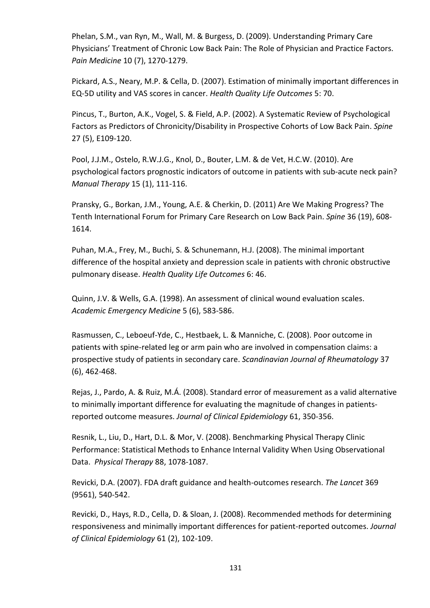Phelan, S.M., van Ryn, M., Wall, M. & Burgess, D. (2009). Understanding Primary Care Physicians' Treatment of Chronic Low Back Pain: The Role of Physician and Practice Factors. Pain Medicine 10 (7), 1270-1279.

Pickard, A.S., Neary, M.P. & Cella, D. (2007). Estimation of minimally important differences in EQ-5D utility and VAS scores in cancer. Health Quality Life Outcomes 5: 70.

Pincus, T., Burton, A.K., Vogel, S. & Field, A.P. (2002). A Systematic Review of Psychological Factors as Predictors of Chronicity/Disability in Prospective Cohorts of Low Back Pain. Spine 27 (5), E109-120.

Pool, J.J.M., Ostelo, R.W.J.G., Knol, D., Bouter, L.M. & de Vet, H.C.W. (2010). Are psychological factors prognostic indicators of outcome in patients with sub-acute neck pain? Manual Therapy 15 (1), 111-116.

Pransky, G., Borkan, J.M., Young, A.E. & Cherkin, D. (2011) Are We Making Progress? The Tenth International Forum for Primary Care Research on Low Back Pain. Spine 36 (19), 608-1614.

Puhan, M.A., Frey, M., Buchi, S. & Schunemann, H.J. (2008). The minimal important difference of the hospital anxiety and depression scale in patients with chronic obstructive pulmonary disease. Health Quality Life Outcomes 6: 46.

Quinn, J.V. & Wells, G.A. (1998). An assessment of clinical wound evaluation scales. Academic Emergency Medicine 5 (6), 583-586.

Rasmussen, C., Leboeuf-Yde, C., Hestbaek, L. & Manniche, C. (2008). Poor outcome in patients with spine-related leg or arm pain who are involved in compensation claims: a prospective study of patients in secondary care. Scandinavian Journal of Rheumatology 37 (6), 462-468.

Rejas, J., Pardo, A. & Ruiz, M.Á. (2008). Standard error of measurement as a valid alternative to minimally important difference for evaluating the magnitude of changes in patientsreported outcome measures. Journal of Clinical Epidemiology 61, 350-356.

Resnik, L., Liu, D., Hart, D.L. & Mor, V. (2008). Benchmarking Physical Therapy Clinic Performance: Statistical Methods to Enhance Internal Validity When Using Observational Data. Physical Therapy 88, 1078-1087.

Revicki, D.A. (2007). FDA draft guidance and health-outcomes research. The Lancet 369 (9561), 540-542.

Revicki, D., Hays, R.D., Cella, D. & Sloan, J. (2008). Recommended methods for determining responsiveness and minimally important differences for patient-reported outcomes. Journal of Clinical Epidemiology 61 (2), 102-109.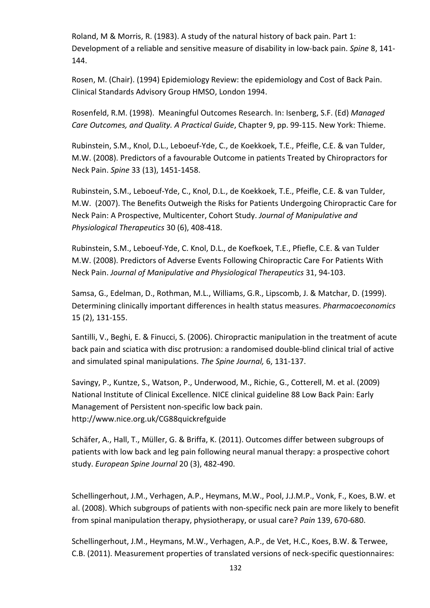Roland, M & Morris, R. (1983). A study of the natural history of back pain. Part 1: Development of a reliable and sensitive measure of disability in low-back pain. Spine 8, 141-144.

Rosen, M. (Chair). (1994) Epidemiology Review: the epidemiology and Cost of Back Pain. Clinical Standards Advisory Group HMSO, London 1994.

Rosenfeld, R.M. (1998). Meaningful Outcomes Research. In: Isenberg, S.F. (Ed) Managed Care Outcomes, and Quality. A Practical Guide, Chapter 9, pp. 99-115. New York: Thieme.

Rubinstein, S.M., Knol, D.L., Leboeuf-Yde, C., de Koekkoek, T.E., Pfeifle, C.E. & van Tulder, M.W. (2008). Predictors of a favourable Outcome in patients Treated by Chiropractors for Neck Pain. Spine 33 (13), 1451-1458.

Rubinstein, S.M., Leboeuf-Yde, C., Knol, D.L., de Koekkoek, T.E., Pfeifle, C.E. & van Tulder, M.W. (2007). The Benefits Outweigh the Risks for Patients Undergoing Chiropractic Care for Neck Pain: A Prospective, Multicenter, Cohort Study. Journal of Manipulative and Physiological Therapeutics 30 (6), 408-418.

Rubinstein, S.M., Leboeuf-Yde, C. Knol, D.L., de Koefkoek, T.E., Pfiefle, C.E. & van Tulder M.W. (2008). Predictors of Adverse Events Following Chiropractic Care For Patients With Neck Pain. Journal of Manipulative and Physiological Therapeutics 31, 94-103.

Samsa, G., Edelman, D., Rothman, M.L., Williams, G.R., Lipscomb, J. & Matchar, D. (1999). Determining clinically important differences in health status measures. Pharmacoeconomics 15 (2), 131-155.

Santilli, V., Beghi, E. & Finucci, S. (2006). Chiropractic manipulation in the treatment of acute back pain and sciatica with disc protrusion: a randomised double-blind clinical trial of active and simulated spinal manipulations. The Spine Journal, 6, 131-137.

Savingy, P., Kuntze, S., Watson, P., Underwood, M., Richie, G., Cotterell, M. et al. (2009) National Institute of Clinical Excellence. NICE clinical guideline 88 Low Back Pain: Early Management of Persistent non-specific low back pain. http://www.nice.org.uk/CG88quickrefguide

Schäfer, A., Hall, T., Müller, G. & Briffa, K. (2011). Outcomes differ between subgroups of patients with low back and leg pain following neural manual therapy: a prospective cohort study. European Spine Journal 20 (3), 482-490.

Schellingerhout, J.M., Verhagen, A.P., Heymans, M.W., Pool, J.J.M.P., Vonk, F., Koes, B.W. et al. (2008). Which subgroups of patients with non-specific neck pain are more likely to benefit from spinal manipulation therapy, physiotherapy, or usual care? Pain 139, 670-680.

Schellingerhout, J.M., Heymans, M.W., Verhagen, A.P., de Vet, H.C., Koes, B.W. & Terwee, C.B. (2011). Measurement properties of translated versions of neck-specific questionnaires: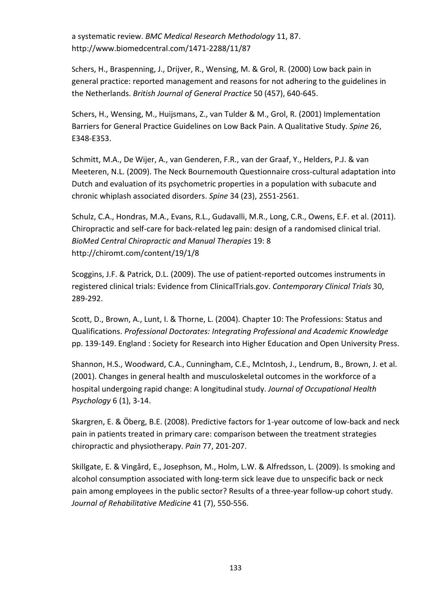a systematic review. BMC Medical Research Methodology 11, 87. http://www.biomedcentral.com/1471-2288/11/87

Schers, H., Braspenning, J., Drijver, R., Wensing, M. & Grol, R. (2000) Low back pain in general practice: reported management and reasons for not adhering to the guidelines in the Netherlands. British Journal of General Practice 50 (457), 640-645.

Schers, H., Wensing, M., Huijsmans, Z., van Tulder & M., Grol, R. (2001) Implementation Barriers for General Practice Guidelines on Low Back Pain. A Qualitative Study. Spine 26, E348-E353.

Schmitt, M.A., De Wijer, A., van Genderen, F.R., van der Graaf, Y., Helders, P.J. & van Meeteren, N.L. (2009). The Neck Bournemouth Questionnaire cross-cultural adaptation into Dutch and evaluation of its psychometric properties in a population with subacute and chronic whiplash associated disorders. Spine 34 (23), 2551-2561.

Schulz, C.A., Hondras, M.A., Evans, R.L., Gudavalli, M.R., Long, C.R., Owens, E.F. et al. (2011). Chiropractic and self-care for back-related leg pain: design of a randomised clinical trial. BioMed Central Chiropractic and Manual Therapies 19: 8 http://chiromt.com/content/19/1/8

Scoggins, J.F. & Patrick, D.L. (2009). The use of patient-reported outcomes instruments in registered clinical trials: Evidence from ClinicalTrials.gov. Contemporary Clinical Trials 30, 289-292.

Scott, D., Brown, A., Lunt, I. & Thorne, L. (2004). Chapter 10: The Professions: Status and Qualifications. Professional Doctorates: Integrating Professional and Academic Knowledge pp. 139-149. England : Society for Research into Higher Education and Open University Press.

Shannon, H.S., Woodward, C.A., Cunningham, C.E., McIntosh, J., Lendrum, B., Brown, J. et al. (2001). Changes in general health and musculoskeletal outcomes in the workforce of a hospital undergoing rapid change: A longitudinal study. Journal of Occupational Health Psychology 6 (1), 3-14.

Skargren, E. & Öberg, B.E. (2008). Predictive factors for 1-year outcome of low-back and neck pain in patients treated in primary care: comparison between the treatment strategies chiropractic and physiotherapy. Pain 77, 201-207.

Skillgate, E. & Vingård, E., Josephson, M., Holm, L.W. & Alfredsson, L. (2009). Is smoking and alcohol consumption associated with long-term sick leave due to unspecific back or neck pain among employees in the public sector? Results of a three-year follow-up cohort study. Journal of Rehabilitative Medicine 41 (7), 550-556.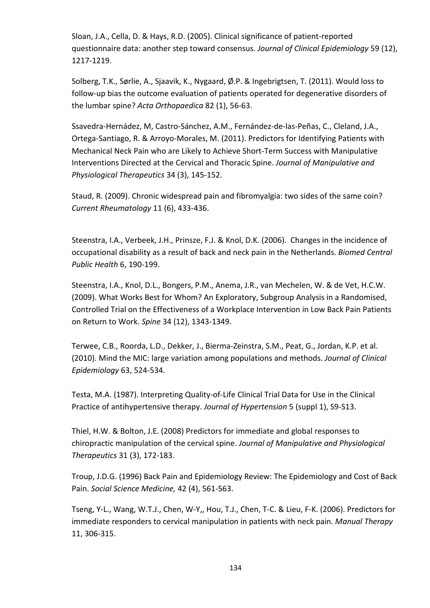Sloan, J.A., Cella, D. & Hays, R.D. (2005). Clinical significance of patient-reported questionnaire data: another step toward consensus. Journal of Clinical Epidemiology 59 (12), 1217-1219.

Solberg, T.K., Sørlie, A., Sjaavik, K., Nygaard, Ø.P. & Ingebrigtsen, T. (2011). Would loss to follow-up bias the outcome evaluation of patients operated for degenerative disorders of the lumbar spine? Acta Orthopaedica 82 (1), 56-63.

Ssavedra-Hernádez, M, Castro-Sánchez, A.M., Fernández-de-las-Peñas, C., Cleland, J.A., Ortega-Santiago, R. & Arroyo-Morales, M. (2011). Predictors for Identifying Patients with Mechanical Neck Pain who are Likely to Achieve Short-Term Success with Manipulative Interventions Directed at the Cervical and Thoracic Spine. Journal of Manipulative and Physiological Therapeutics 34 (3), 145-152.

Staud, R. (2009). Chronic widespread pain and fibromyalgia: two sides of the same coin? Current Rheumatology 11 (6), 433-436.

Steenstra, I.A., Verbeek, J.H., Prinsze, F.J. & Knol, D.K. (2006). Changes in the incidence of occupational disability as a result of back and neck pain in the Netherlands. Biomed Central Public Health 6, 190-199.

Steenstra, I.A., Knol, D.L., Bongers, P.M., Anema, J.R., van Mechelen, W. & de Vet, H.C.W. (2009). What Works Best for Whom? An Exploratory, Subgroup Analysis in a Randomised, Controlled Trial on the Effectiveness of a Workplace Intervention in Low Back Pain Patients on Return to Work. Spine 34 (12), 1343-1349.

Terwee, C.B., Roorda, L.D., Dekker, J., Bierma-Zeinstra, S.M., Peat, G., Jordan, K.P. et al. (2010). Mind the MIC: large variation among populations and methods. Journal of Clinical Epidemiology 63, 524-534.

Testa, M.A. (1987). Interpreting Quality-of-Life Clinical Trial Data for Use in the Clinical Practice of antihypertensive therapy. Journal of Hypertension 5 (suppl 1), S9-S13.

Thiel, H.W. & Bolton, J.E. (2008) Predictors for immediate and global responses to chiropractic manipulation of the cervical spine. Journal of Manipulative and Physiological Therapeutics 31 (3), 172-183.

Troup, J.D.G. (1996) Back Pain and Epidemiology Review: The Epidemiology and Cost of Back Pain. Social Science Medicine, 42 (4), 561-563.

Tseng, Y-L., Wang, W.T.J., Chen, W-Y,, Hou, T.J., Chen, T-C. & Lieu, F-K. (2006). Predictors for immediate responders to cervical manipulation in patients with neck pain. Manual Therapy 11, 306-315.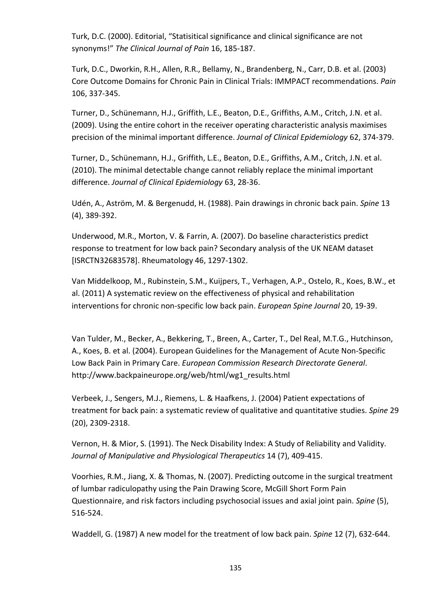Turk, D.C. (2000). Editorial, "Statisitical significance and clinical significance are not synonyms!" The Clinical Journal of Pain 16, 185-187.

Turk, D.C., Dworkin, R.H., Allen, R.R., Bellamy, N., Brandenberg, N., Carr, D.B. et al. (2003) Core Outcome Domains for Chronic Pain in Clinical Trials: IMMPACT recommendations. Pain 106, 337-345.

Turner, D., Schünemann, H.J., Griffith, L.E., Beaton, D.E., Griffiths, A.M., Critch, J.N. et al. (2009). Using the entire cohort in the receiver operating characteristic analysis maximises precision of the minimal important difference. Journal of Clinical Epidemiology 62, 374-379.

Turner, D., Schünemann, H.J., Griffith, L.E., Beaton, D.E., Griffiths, A.M., Critch, J.N. et al. (2010). The minimal detectable change cannot reliably replace the minimal important difference. Journal of Clinical Epidemiology 63, 28-36.

Udén, A., Aström, M. & Bergenudd, H. (1988). Pain drawings in chronic back pain. Spine 13 (4), 389-392.

Underwood, M.R., Morton, V. & Farrin, A. (2007). Do baseline characteristics predict response to treatment for low back pain? Secondary analysis of the UK NEAM dataset [ISRCTN32683578]. Rheumatology 46, 1297-1302.

Van Middelkoop, M., Rubinstein, S.M., Kuijpers, T., Verhagen, A.P., Ostelo, R., Koes, B.W., et al. (2011) A systematic review on the effectiveness of physical and rehabilitation interventions for chronic non-specific low back pain. *European Spine Journal* 20, 19-39.

Van Tulder, M., Becker, A., Bekkering, T., Breen, A., Carter, T., Del Real, M.T.G., Hutchinson, A., Koes, B. et al. (2004). European Guidelines for the Management of Acute Non-Specific Low Back Pain in Primary Care. European Commission Research Directorate General. http://www.backpaineurope.org/web/html/wg1\_results.html

Verbeek, J., Sengers, M.J., Riemens, L. & Haafkens, J. (2004) Patient expectations of treatment for back pain: a systematic review of qualitative and quantitative studies. Spine 29 (20), 2309-2318.

Vernon, H. & Mior, S. (1991). The Neck Disability Index: A Study of Reliability and Validity. Journal of Manipulative and Physiological Therapeutics 14 (7), 409-415.

Voorhies, R.M., Jiang, X. & Thomas, N. (2007). Predicting outcome in the surgical treatment of lumbar radiculopathy using the Pain Drawing Score, McGill Short Form Pain Questionnaire, and risk factors including psychosocial issues and axial joint pain. Spine (5), 516-524.

Waddell, G. (1987) A new model for the treatment of low back pain. Spine 12 (7), 632-644.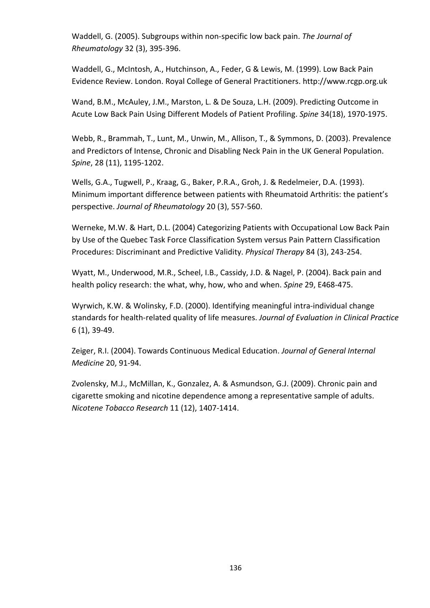Waddell, G. (2005). Subgroups within non-specific low back pain. The Journal of Rheumatology 32 (3), 395-396.

Waddell, G., McIntosh, A., Hutchinson, A., Feder, G & Lewis, M. (1999). Low Back Pain Evidence Review. London. Royal College of General Practitioners. http://www.rcgp.org.uk

Wand, B.M., McAuley, J.M., Marston, L. & De Souza, L.H. (2009). Predicting Outcome in Acute Low Back Pain Using Different Models of Patient Profiling. Spine 34(18), 1970-1975.

Webb, R., Brammah, T., Lunt, M., Unwin, M., Allison, T., & Symmons, D. (2003). Prevalence and Predictors of Intense, Chronic and Disabling Neck Pain in the UK General Population. Spine, 28 (11), 1195-1202.

Wells, G.A., Tugwell, P., Kraag, G., Baker, P.R.A., Groh, J. & Redelmeier, D.A. (1993). Minimum important difference between patients with Rheumatoid Arthritis: the patient's perspective. Journal of Rheumatology 20 (3), 557-560.

Werneke, M.W. & Hart, D.L. (2004) Categorizing Patients with Occupational Low Back Pain by Use of the Quebec Task Force Classification System versus Pain Pattern Classification Procedures: Discriminant and Predictive Validity. Physical Therapy 84 (3), 243-254.

Wyatt, M., Underwood, M.R., Scheel, I.B., Cassidy, J.D. & Nagel, P. (2004). Back pain and health policy research: the what, why, how, who and when. Spine 29, E468-475.

Wyrwich, K.W. & Wolinsky, F.D. (2000). Identifying meaningful intra-individual change standards for health-related quality of life measures. Journal of Evaluation in Clinical Practice 6 (1), 39-49.

Zeiger, R.I. (2004). Towards Continuous Medical Education. Journal of General Internal Medicine 20, 91-94.

Zvolensky, M.J., McMillan, K., Gonzalez, A. & Asmundson, G.J. (2009). Chronic pain and cigarette smoking and nicotine dependence among a representative sample of adults. Nicotene Tobacco Research 11 (12), 1407-1414.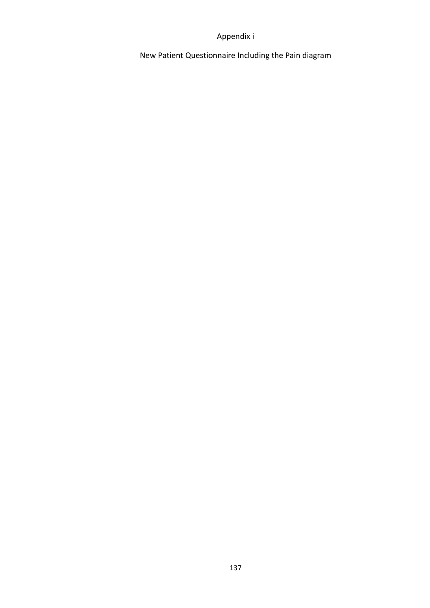### Appendix i

New Patient Questionnaire Including the Pain diagram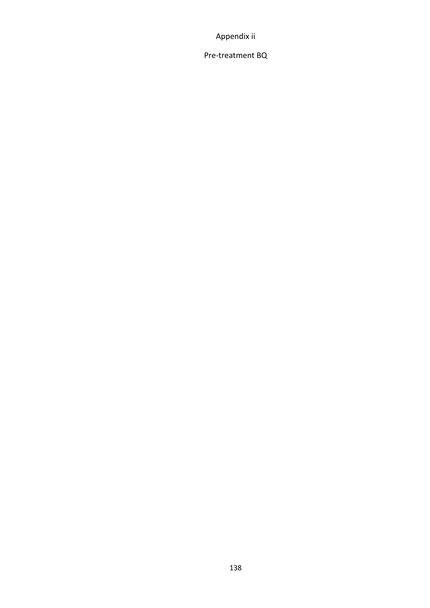Appendix ii

Pre-treatment BQ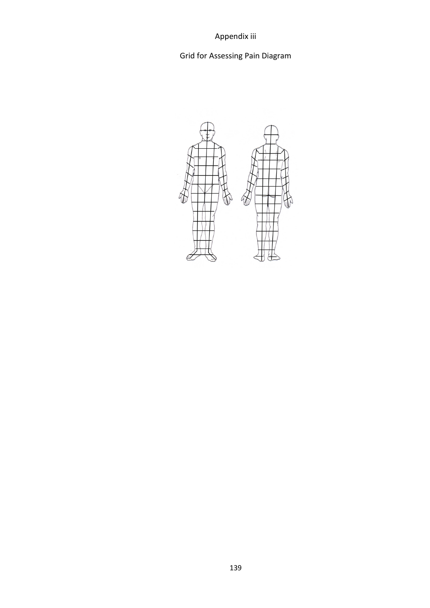Appendix iii

# Grid for Assessing Pain Diagram

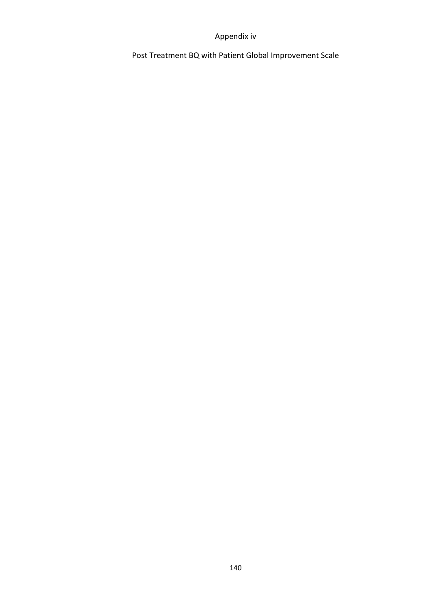### Appendix iv

Post Treatment BQ with Patient Global Improvement Scale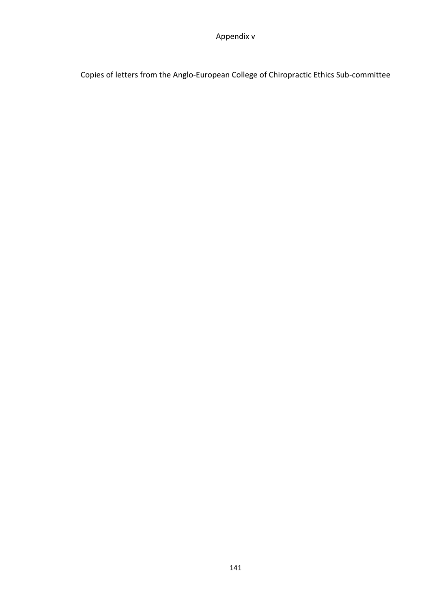Copies of letters from the Anglo-European College of Chiropractic Ethics Sub-committee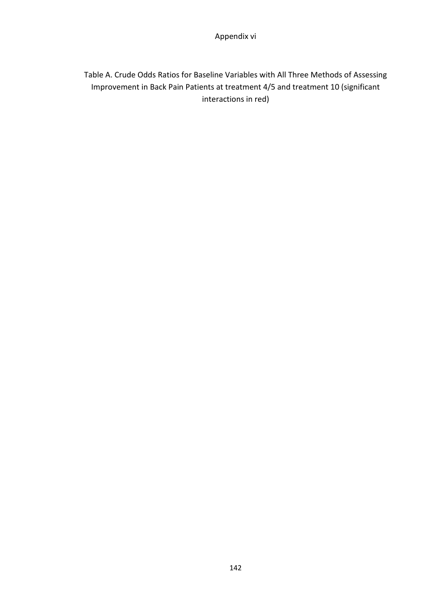# Table A. Crude Odds Ratios for Baseline Variables with All Three Methods of Assessing Improvement in Back Pain Patients at treatment 4/5 and treatment 10 (significant interactions in red)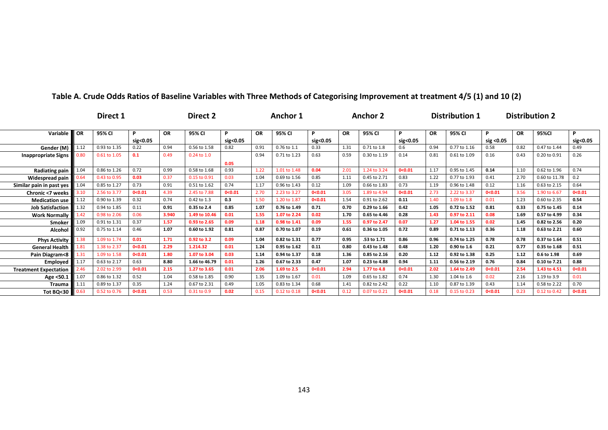|                              |           | Direct 1     |               |           | Direct 2        |               |           | Anchor 1     |               |           | <b>Anchor 2</b> |               |           | <b>Distribution 1</b> |                  |           | <b>Distribution 2</b> |               |
|------------------------------|-----------|--------------|---------------|-----------|-----------------|---------------|-----------|--------------|---------------|-----------|-----------------|---------------|-----------|-----------------------|------------------|-----------|-----------------------|---------------|
| Variable                     | <b>OR</b> | 95% CI       | P<br>sig<0.05 | <b>OR</b> | 95% CI          | P<br>sig<0.05 | <b>OR</b> | 95% CI       | P<br>sig<0.05 | <b>OR</b> | 95% CI          | P<br>sig<0.05 | <b>OR</b> | 95% CI                | P.<br>sig < 0.05 | <b>OR</b> | 95%CI                 | P<br>sig<0.05 |
| Gender (M)                   | 1.12      | 0.93 to 1.35 | 0.22          | 0.94      | 0.56 to 1.58    | 0.82          | 0.91      | 0.76 to 1.1  | 0.33          | 1.31      | 0.71 to 1.8     | 0.6           | 0.94      | 0.77 to 1.16          | 0.58             | 0.82      | 0.47 to 1.44          | 0.49          |
| <b>Inappropriate Signs</b>   | 0.80      | 0.61 to 1.05 | 0.1           | 0.49      | $0.24$ to $1.0$ | 0.05          | 0.94      | 0.71 to 1.23 | 0.63          | 0.59      | 0.30 to 1.19    | 0.14          | 0.81      | 0.61 to 1.09          | 0.16             | 0.43      | 0.20 to 0.91          | 0.26          |
| Radiating pain               | 1.04      | 0.86 to 1.26 | 0.72          | 0.99      | 0.58 to 1.68    | 0.93          | 1.22      | 1.01 to 1.48 | 0.04          | 2.01      | 1.24 to 3.24    | 0<0.01        | 1.17      | 0.95 to 1.45          | 0.14             | 1.10      | 0.62 to 1.96          | 0.74          |
| Widespread pain              | 0.64      | 0.43 to 0.95 | 0.03          | 0.37      | 0.15 to 0.91    | 0.03          | 1.04      | 0.69 to 1.56 | 0.85          | 1.11      | 0.45 to 2.71    | 0.83          | 1.22      | 0.77 to 1.93          | 0.41             | 2.70      | 0.60 to 11.78         | 0.2           |
| Similar pain in past yes     | 1.04      | 0.85 to 1.27 | 0.73          | 0.91      | 0.51 to 1.62    | 0.74          | 1.17      | 0.96 to 1.43 | 0.12          | 1.09      | 0.66 to 1.83    | 0.73          | 1.19      | 0.96 to 1.48          | 0.12             | 1.16      | 0.63 to 2.15          | 0.64          |
| Chronic <7 weeks             | 3.10      | 2.56 to 3.77 | 0<0.01        | 4.39      | 2.45 to 7.88    | 0< 0.01       | 2.70      | 2.23 to 3.27 | 0<0.01        | 3.05      | 1.89 to 4.94    | 0<0.01        | 2.73      | 2.22 to 3.37          | 0< 0.01          | 3.56      | 1.90 to 6.67          | 0<0.01        |
| <b>Medication use</b>        | 1.12      | 0.90 to 1.39 | 0.32          | 0.74      | 0.42 to 1.3     | 0.3           | 1.50      | 1.20 to 1.87 | 0<0.01        | 1.54      | 0.91 to 2.62    | 0.11          | 1.40      | 1.09 to 1.8           | 0.01             | 1.23      | 0.60 to 2.35          | 0.54          |
| <b>Job Satisfaction</b>      | 1.32      | 0.94 to 1.85 | 0.11          | 0.91      | 0.35 to 2.4     | 0.85          | 1.07      | 0.76 to 1.49 | 0.71          | 0.70      | 0.29 to 1.66    | 0.42          | 1.05      | 0.72 to 1.52          | 0.81             | 0.33      | 0.75 to 1.45          | 0.14          |
| <b>Work Normally</b>         | 1.42      | 0.98 to 2.06 | 0.06          | 3.940     | 1.49 to 10.46   | 0.01          | 1.55      | 1.07 to 2.24 | 0.02          | 1.70      | 0.65 to 4.46    | 0.28          | 1.43      | 0.97 to 2.11          | 0.08             | 1.69      | 0.57 to 4.99          | 0.34          |
| Smoker                       | 1.09      | 0.91 to 1.31 | 0.37          | 1.57      | 0.93 to 2.65    | 0.09          | 1.18      | 0.98 to 1.41 | 0.09          | 1.55      | 0.97 to 2.47    | 0.07          | 1.27      | 1.04 to 1.55          | 0.02             | 1.45      | 0.82 to 2.56          | 0.20          |
| Alcohol                      | 0.92      | 0.75 to 1.14 | 0.46          | 1.07      | 0.60 to 1.92    | 0.81          | 0.87      | 0.70 to 1.07 | 0.19          | 0.61      | 0.36 to 1.05    | 0.72          | 0.89      | 0.71 to 1.13          | 0.36             | 1.18      | 0.63 to 2.21          | 0.60          |
| <b>Phys Activity</b>         | 1.38      | 1.09 to 1.74 | 0.01          | 1.71      | 0.92 to 3.2     | 0.09          | 1.04      | 0.82 to 1.31 | 0.77          | 0.95      | .53 to 1.71     | 0.86          | 0.96      | 0.74 to 1.25          | 0.78             | 0.78      | 0.37 to 1.64          | 0.51          |
| <b>General Health</b>        | 1.81      | 1.38 to 2.37 | 0<0.01        | 2.29      | 1.214.32        | 0.01          | 1.24      | 0.95 to 1.62 | 0.11          | 0.80      | 0.43 to 1.48    | 0.48          | 1.20      | 0.90 to 1.6           | 0.21             | 0.77      | 0.35 to 1.68          | 0.51          |
| Pain Diagram<8               | 1.31      | 1.09 to 1.58 | 0<0.01        | 1.80      | 1.07 to 3.04    | 0.03          | 1.14      | 0.94 to 1.37 | 0.18          | 1.36      | 0.85 to 2.16    | 0.20          | 1.12      | 0.92 to 1.38          | 0.25             | 1.12      | 0.6 to 1.98           | 0.69          |
| Employed                     | 1.17      | 0.63 to 2.17 | 0.63          | 8.80      | 1.66 to 46.79   | 0.01          | 1.26      | 0.67 to 2.33 | 0.47          | 1.07      | 0.23 to 4.88    | 0.94          | 1.11      | 0.56 to 2.19          | 0.76             | 0.84      | 0.10 to 7.21          | 0.88          |
| <b>Treatment Expectation</b> | 2.46      | 2.02 to 2.99 | 0<0.01        | 2.15      | 1.27 to 3.65    | 0.01          | 2.06      | 1.69 to 2.5  | 0<0.01        | 2.94      | 1.77 to 4.8     | 0<0.01        | 2.02      | 1.64 to 2.49          | 0< 0.01          | 2.54      | 1.43 to 4.51          | 0<0.01        |
| Age <50.1                    | 1.07      | 0.86 to 1.32 | 0.52          | 1.04      | 0.58 to 1.85    | 0.90          | 1.35      | 1.09 to 1.67 | 0.01          | 1.09      | 0.65 to 1.82    | 0.74          | 1.30      | 1.04 to 1.6           | 0.02             | 2.16      | 1.19 to 3.9           | 0.01          |
| <b>Trauma</b>                | 1.11      | 0.89 to 1.37 | 0.35          | 1.24      | 0.67 to 2.31    | 0.49          | 1.05      | 0.83 to 1.34 | 0.68          | 1.41      | 0.82 to 2.42    | 0.22          | 1.10      | 0.87 to 1.39          | 0.43             | 1.14      | 0.58 to 2.22          | 0.70          |
| Tot BQ<30                    | 0.63      | 0.52 to 0.76 | 0<0.01        | 0.53      | 0.31 to 0.9     | 0.02          | 0.15      | 0.12 to 0.18 | 0<0.01        | 0.12      | 0.07 to 0.21    | 0<0.01        | 0.18      | 0.15 to 0.23          | 0<0.01           | 0.23      | 0.12 to 0.42          | 0<0.01        |

#### Table A. Crude Odds Ratios of Baseline Variables with Three Methods of Categorising Improvement at treatment 4/5 (1) and 10 (2)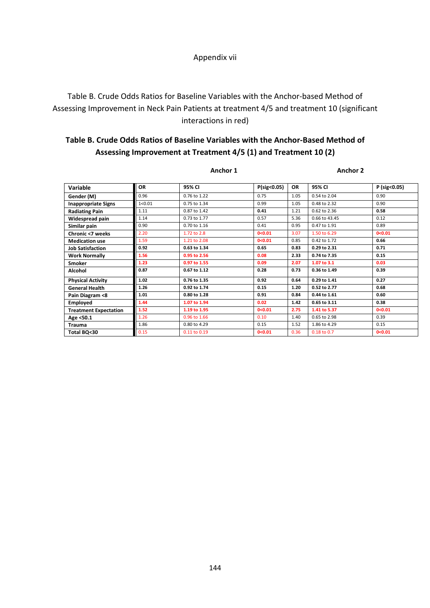#### Appendix vii

## Table B. Crude Odds Ratios for Baseline Variables with the Anchor-based Method of Assessing Improvement in Neck Pain Patients at treatment 4/5 and treatment 10 (significant interactions in red)

## Table B. Crude Odds Ratios of Baseline Variables with the Anchor-Based Method of Assessing Improvement at Treatment 4/5 (1) and Treatment 10 (2)

| Anchor 1<br>_____ | Anchor 2<br>_____ |
|-------------------|-------------------|
|                   |                   |

| <b>Variable</b>              | OR       | 95% CI       | P(sig<0.05) | <b>OR</b> | 95% CI           | P (sig<0.05) |
|------------------------------|----------|--------------|-------------|-----------|------------------|--------------|
| Gender (M)                   | 0.96     | 0.76 to 1.22 | 0.75        | 1.05      | 0.54 to 2.04     | 0.90         |
| <b>Inappropriate Signs</b>   | 1 < 0.01 | 0.75 to 1.34 | 0.99        | 1.05      | 0.48 to 2.32     | 0.90         |
| <b>Radiating Pain</b>        | 1.11     | 0.87 to 1.42 | 0.41        | 1.21      | 0.62 to 2.36     | 0.58         |
| Widespread pain              | 1.14     | 0.73 to 1.77 | 0.57        | 5.36      | 0.66 to 43.45    | 0.12         |
| Similar pain                 | 0.90     | 0.70 to 1.16 | 0.41        | 0.95      | $0.47$ to $1.91$ | 0.89         |
| Chronic <7 weeks             | 2.20     | 1.72 to 2.8  | 0< 0.01     | 3.07      | 1.50 to 6.29     | 0<0.01       |
| <b>Medication use</b>        | 1.59     | 1.21 to 2.08 | 0< 0.01     | 0.85      | 0.42 to 1.72     | 0.66         |
| <b>Job Satisfaction</b>      | 0.92     | 0.63 to 1.34 | 0.65        | 0.83      | 0.29 to 2.31     | 0.71         |
| <b>Work Normally</b>         | 1.56     | 0.95 to 2.56 | 0.08        | 2.33      | 0.74 to 7.35     | 0.15         |
| Smoker                       | 1.23     | 0.97 to 1.55 | 0.09        | 2.07      | 1.07 to 3.1      | 0.03         |
| Alcohol                      | 0.87     | 0.67 to 1.12 | 0.28        | 0.73      | 0.36 to 1.49     | 0.39         |
| <b>Physical Activity</b>     | 1.02     | 0.76 to 1.35 | 0.92        | 0.64      | 0.29 to 1.41     | 0.27         |
| <b>General Health</b>        | 1.26     | 0.92 to 1.74 | 0.15        | 1.20      | 0.52 to 2.77     | 0.68         |
| Pain Diagram <8              | 1.01     | 0.80 to 1.28 | 0.91        | 0.84      | 0.44 to 1.61     | 0.60         |
| Employed                     | 1.44     | 1.07 to 1.94 | 0.02        | 1.42      | 0.65 to 3.11     | 0.38         |
| <b>Treatment Expectation</b> | 1.52     | 1.19 to 1.95 | 0<0.01      | 2.75      | 1.41 to 5.37     | 0<0.01       |
| Age <50.1                    | 1.26     | 0.96 to 1.66 | 0.10        | 1.40      | 0.65 to 2.98     | 0.39         |
| <b>Trauma</b>                | 1.86     | 0.80 to 4.29 | 0.15        | 1.52      | 1.86 to 4.29     | 0.15         |
| Total BQ<30                  | 0.15     | 0.11 to 0.19 | 0<0.01      | 0.36      | 0.18 to 0.7      | 0<0.01       |